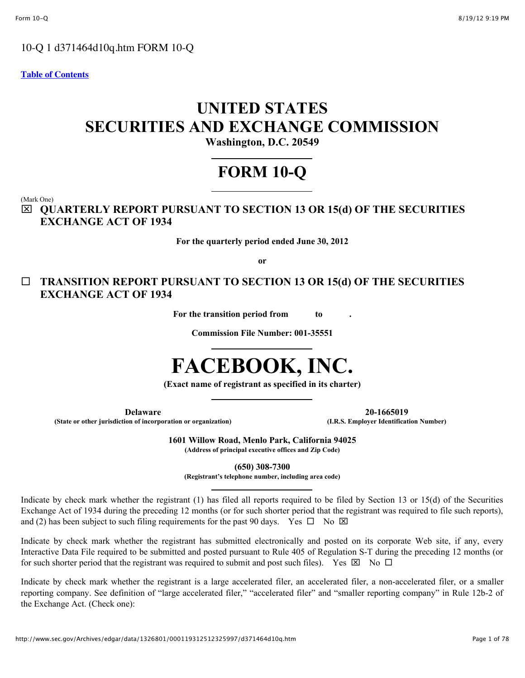# 10-Q 1 d371464d10q.htm FORM 10-Q

#### **[Table of Contents](http://www.sec.gov/Archives/edgar/data/1326801/000119312512325997/d371464d10q.htm#toc)**

# **UNITED STATES SECURITIES AND EXCHANGE COMMISSION**

**Washington, D.C. 20549**

# **FORM 10-Q**

(Mark One)

! **QUARTERLY REPORT PURSUANT TO SECTION 13 OR 15(d) OF THE SECURITIES EXCHANGE ACT OF 1934**

**For the quarterly period ended June 30, 2012**

**or**

□ **TRANSITION REPORT PURSUANT TO SECTION 13 OR 15(d) OF THE SECURITIES EXCHANGE ACT OF 1934**

For the transition period from to

**Commission File Number: 001-35551**

# **FACEBOOK, INC.**

**(Exact name of registrant as specified in its charter)**

**(State or other jurisdiction of incorporation or organization)** 

**Delaware 20-1665019**<br> **20-1665019**<br> **20-1665019**<br> **20-1665019**<br> **20-1665019** 

**1601 Willow Road, Menlo Park, California 94025 (Address of principal executive offices and Zip Code)**

**(650) 308-7300 (Registrant's telephone number, including area code)**

Indicate by check mark whether the registrant (1) has filed all reports required to be filed by Section 13 or 15(d) of the Securities Exchange Act of 1934 during the preceding 12 months (or for such shorter period that the registrant was required to file such reports), and (2) has been subject to such filing requirements for the past 90 days. Yes  $\Box$  No  $\boxtimes$ 

Indicate by check mark whether the registrant has submitted electronically and posted on its corporate Web site, if any, every Interactive Data File required to be submitted and posted pursuant to Rule 405 of Regulation S-T during the preceding 12 months (or for such shorter period that the registrant was required to submit and post such files). Yes  $\boxtimes$  No  $\Box$ 

Indicate by check mark whether the registrant is a large accelerated filer, an accelerated filer, a non-accelerated filer, or a smaller reporting company. See definition of "large accelerated filer," "accelerated filer" and "smaller reporting company" in Rule 12b-2 of the Exchange Act. (Check one):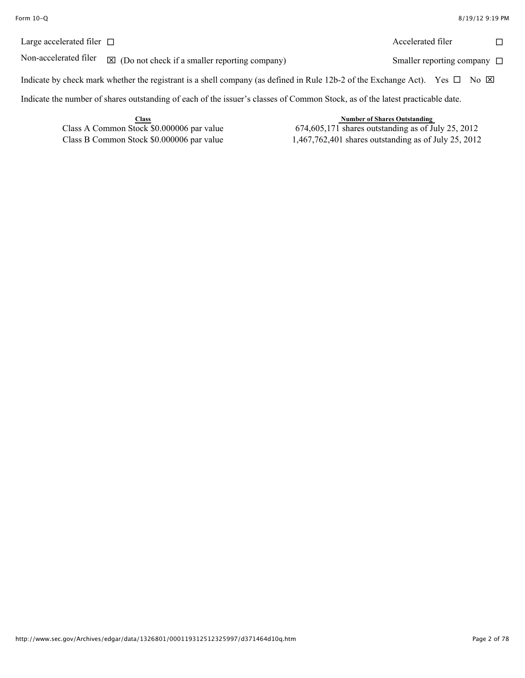Form 10-Q 8/19/12 9:19 PM

| Large accelerated filer $\Box$ |                                                                                                                                             | Accelerated filer                |  | П |
|--------------------------------|---------------------------------------------------------------------------------------------------------------------------------------------|----------------------------------|--|---|
| Non-accelerated filer          | $\boxtimes$ (Do not check if a smaller reporting company)                                                                                   | Smaller reporting company $\Box$ |  |   |
|                                | Indicate by check mark whether the registrant is a shell company (as defined in Rule 12b-2 of the Exchange Act). Yes $\square$ No $\square$ |                                  |  |   |
|                                | Indicate the number of shares outstanding of each of the issuer's classes of Common Stock, as of the latest practicable date.               |                                  |  |   |

Class A Common Stock \$0.000006 par value 674,605,171 shares outstanding as of Ju

Class A Common Stock \$0.000006 par value 674,605,171 shares outstanding as of July 25, 2012<br>Class B Common Stock \$0.000006 par value 1,467,762,401 shares outstanding as of July 25, 2012  $1,467,762,401$  shares outstanding as of July 25, 2012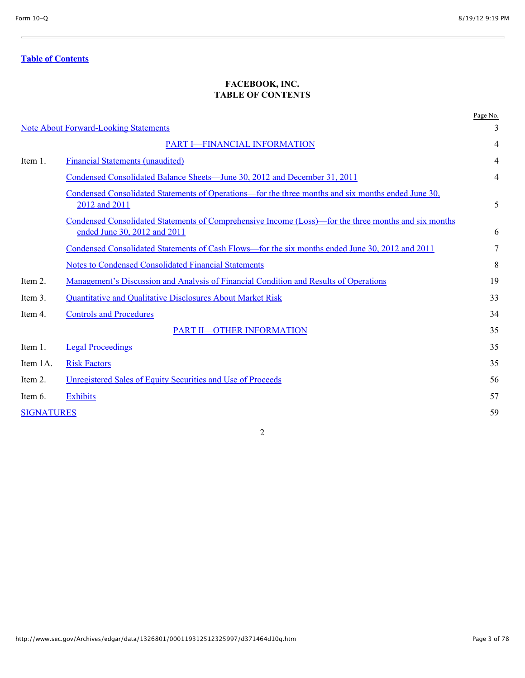# **FACEBOOK, INC. TABLE OF CONTENTS**

|                   |                                                                                                                                      | Page No. |
|-------------------|--------------------------------------------------------------------------------------------------------------------------------------|----------|
|                   | <b>Note About Forward-Looking Statements</b>                                                                                         | 3        |
|                   | PART I-FINANCIAL INFORMATION                                                                                                         | 4        |
| Item 1.           | <b>Financial Statements (unaudited)</b>                                                                                              | 4        |
|                   | Condensed Consolidated Balance Sheets—June 30, 2012 and December 31, 2011                                                            | 4        |
|                   | <u>Condensed Consolidated Statements of Operations—for the three months and six months ended June 30,</u><br>2012 and 2011           | 5        |
|                   | Condensed Consolidated Statements of Comprehensive Income (Loss)—for the three months and six months<br>ended June 30, 2012 and 2011 | 6        |
|                   | Condensed Consolidated Statements of Cash Flows—for the six months ended June 30, 2012 and 2011                                      | 7        |
|                   | <b>Notes to Condensed Consolidated Financial Statements</b>                                                                          | 8        |
| Item 2.           | Management's Discussion and Analysis of Financial Condition and Results of Operations                                                | 19       |
| Item 3.           | <b>Quantitative and Qualitative Disclosures About Market Risk</b>                                                                    | 33       |
| Item 4.           | <b>Controls and Procedures</b>                                                                                                       | 34       |
|                   | <b>PART II-OTHER INFORMATION</b>                                                                                                     | 35       |
| Item 1.           | <b>Legal Proceedings</b>                                                                                                             | 35       |
| Item 1A.          | <b>Risk Factors</b>                                                                                                                  | 35       |
| Item 2.           | Unregistered Sales of Equity Securities and Use of Proceeds                                                                          | 56       |
| Item 6.           | <b>Exhibits</b>                                                                                                                      | 57       |
| <b>SIGNATURES</b> |                                                                                                                                      | 59       |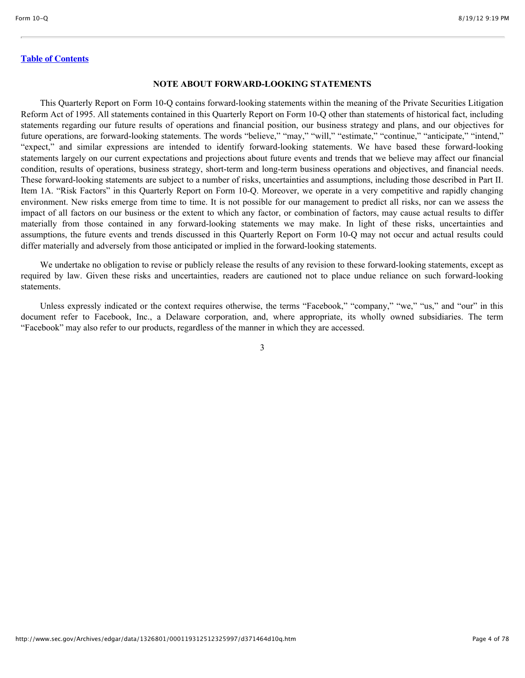#### **NOTE ABOUT FORWARD-LOOKING STATEMENTS**

This Quarterly Report on Form 10-Q contains forward-looking statements within the meaning of the Private Securities Litigation Reform Act of 1995. All statements contained in this Quarterly Report on Form 10-Q other than statements of historical fact, including statements regarding our future results of operations and financial position, our business strategy and plans, and our objectives for future operations, are forward-looking statements. The words "believe," "may," "will," "estimate," "continue," "anticipate," "intend," "expect," and similar expressions are intended to identify forward-looking statements. We have based these forward-looking statements largely on our current expectations and projections about future events and trends that we believe may affect our financial condition, results of operations, business strategy, short-term and long-term business operations and objectives, and financial needs. These forward-looking statements are subject to a number of risks, uncertainties and assumptions, including those described in Part II. Item 1A. "Risk Factors" in this Quarterly Report on Form 10-Q. Moreover, we operate in a very competitive and rapidly changing environment. New risks emerge from time to time. It is not possible for our management to predict all risks, nor can we assess the impact of all factors on our business or the extent to which any factor, or combination of factors, may cause actual results to differ materially from those contained in any forward-looking statements we may make. In light of these risks, uncertainties and assumptions, the future events and trends discussed in this Quarterly Report on Form 10-Q may not occur and actual results could differ materially and adversely from those anticipated or implied in the forward-looking statements.

We undertake no obligation to revise or publicly release the results of any revision to these forward-looking statements, except as required by law. Given these risks and uncertainties, readers are cautioned not to place undue reliance on such forward-looking statements.

Unless expressly indicated or the context requires otherwise, the terms "Facebook," "company," "we," "us," and "our" in this document refer to Facebook, Inc., a Delaware corporation, and, where appropriate, its wholly owned subsidiaries. The term "Facebook" may also refer to our products, regardless of the manner in which they are accessed.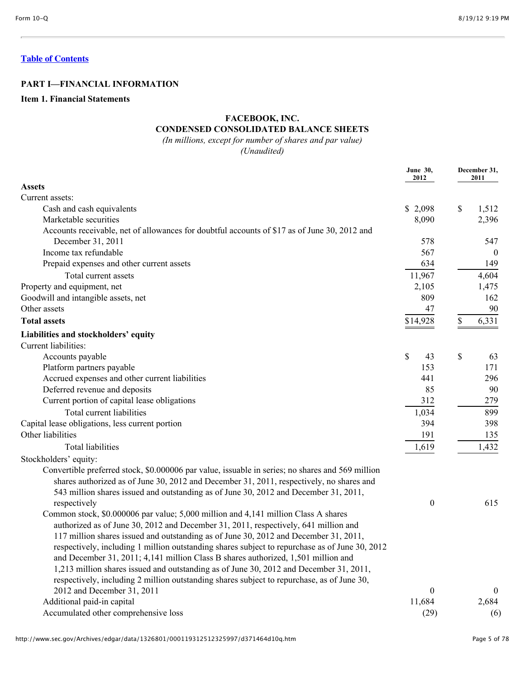#### **PART I—FINANCIAL INFORMATION**

#### **Item 1. Financial Statements**

#### **FACEBOOK, INC.**

#### **CONDENSED CONSOLIDATED BALANCE SHEETS**

*(In millions, except for number of shares and par value) (Unaudited)*

**June 30, 2012 December 31, 2011 Assets** Current assets: Cash and cash equivalents  $\frac{1}{2}$  2,098  $\frac{1}{2}$  1,512 Marketable securities 2,396 Accounts receivable, net of allowances for doubtful accounts of \$17 as of June 30, 2012 and December 31, 2011 547 Income tax refundable  $\hspace{1.6cm} 567$  0 Prepaid expenses and other current assets 634 149 Total current assets  $\overline{11.967}$   $\overline{4.604}$ Property and equipment, net 2,105 1,475 Goodwill and intangible assets, net 809 162 Other assets 47 and 47 and 47 and 47 and 47 and 47 and 47 and 47 and 47 and 47 and 47 and 47 and 47 and 47 and 47 and 47 and 47 and 47 and 47 and 47 and 47 and 47 and 47 and 47 and 47 and 47 and 47 and 47 and 47 and 47 and **Total assets** \$14,928 \$6,331 **Liabilities and stockholders' equity** Current liabilities: Accounts payable  $\begin{array}{cccc} \text{8} & 43 & \text{8} & 63 \end{array}$ Platform partners payable 153 171 Accrued expenses and other current liabilities  $441$  296 Deferred revenue and deposits 85 90 Current portion of capital lease obligations 312 279 Total current liabilities 899 Capital lease obligations, less current portion 394 398 Other liabilities 191 135 Total liabilities 1,432 Stockholders' equity: Convertible preferred stock, \$0.000006 par value, issuable in series; no shares and 569 million shares authorized as of June 30, 2012 and December 31, 2011, respectively, no shares and 543 million shares issued and outstanding as of June 30, 2012 and December 31, 2011, respectively 0 615 Common stock, \$0.000006 par value; 5,000 million and 4,141 million Class A shares authorized as of June 30, 2012 and December 31, 2011, respectively, 641 million and 117 million shares issued and outstanding as of June 30, 2012 and December 31, 2011, respectively, including 1 million outstanding shares subject to repurchase as of June 30, 2012 and December 31, 2011; 4,141 million Class B shares authorized, 1,501 million and 1,213 million shares issued and outstanding as of June 30, 2012 and December 31, 2011, respectively, including 2 million outstanding shares subject to repurchase, as of June 30, 2012 and December 31, 2011 0 0 Additional paid-in capital 2,684 2,684 2,684 2,684 2,684 2,684 2,684 2,684 2,684 2,684 2,684 2,684 2,684 2,684 2,684 2,684 2,684 2,684 2,684 2,684 2,684 2,684 2,684 2,684 2,684 2,684 2,684 2,684 2,684 2,684 2,684 2,684 2,6 Accumulated other comprehensive loss (29) (6)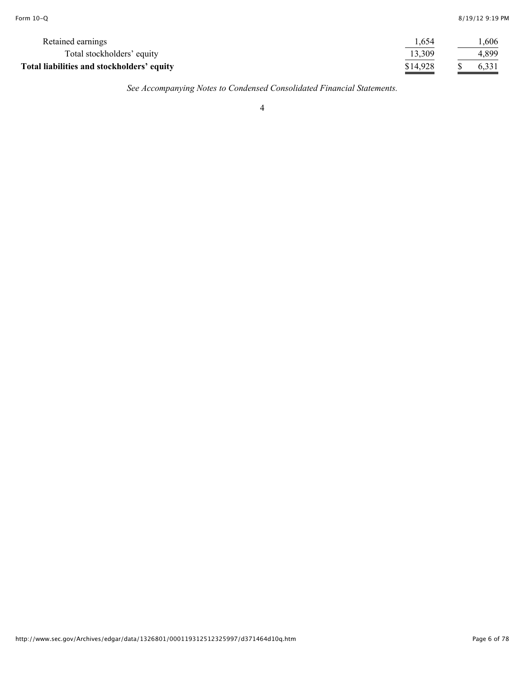| Retained earnings                          | 1,654    | ,606  |
|--------------------------------------------|----------|-------|
| Total stockholders' equity                 | 13,309   | 4,899 |
| Total liabilities and stockholders' equity | \$14,928 | 6,331 |

*See Accompanying Notes to Condensed Consolidated Financial Statements.*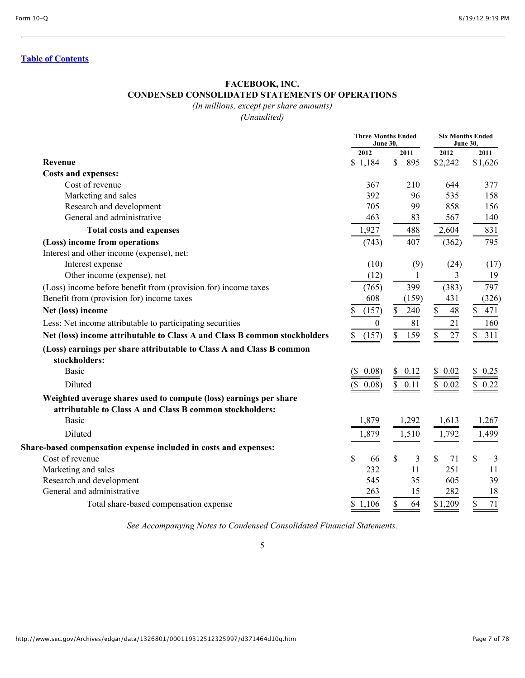# **FACEBOOK, INC. CONDENSED CONSOLIDATED STATEMENTS OF OPERATIONS**

*(In millions, except per share amounts) (Unaudited)*

|                                                                           | <b>Three Months Ended</b><br><b>June 30,</b> |              |                | <b>Six Months Ended</b><br><b>June 30,</b> |  |
|---------------------------------------------------------------------------|----------------------------------------------|--------------|----------------|--------------------------------------------|--|
|                                                                           | 2012                                         | 2011         | 2012           | 2011                                       |  |
| Revenue                                                                   | \$1,184                                      | \$<br>895    | \$2,242        | \$1,626                                    |  |
| <b>Costs and expenses:</b>                                                |                                              |              |                |                                            |  |
| Cost of revenue                                                           | 367                                          | 210          | 644            | 377                                        |  |
| Marketing and sales                                                       | 392                                          | 96           | 535            | 158                                        |  |
| Research and development                                                  | 705                                          | 99           | 858            | 156                                        |  |
| General and administrative                                                | 463                                          | 83           | 567            | 140                                        |  |
| <b>Total costs and expenses</b>                                           | 1,927                                        | 488          | 2,604          | 831                                        |  |
| (Loss) income from operations                                             | (743)                                        | 407          | (362)          | 795                                        |  |
| Interest and other income (expense), net:                                 |                                              |              |                |                                            |  |
| Interest expense                                                          | (10)                                         | (9)          | (24)           | (17)                                       |  |
| Other income (expense), net                                               | (12)                                         | $\mathbf{1}$ | $\mathfrak{Z}$ | 19                                         |  |
| (Loss) income before benefit from (provision for) income taxes            | (765)                                        | 399          | (383)          | 797                                        |  |
| Benefit from (provision for) income taxes                                 | 608                                          | (159)        | 431            | (326)                                      |  |
| Net (loss) income                                                         | (157)<br>\$                                  | \$<br>240    | \$<br>48       | 471<br>\$                                  |  |
| Less: Net income attributable to participating securities                 | $\boldsymbol{0}$                             | 81           | 21             | 160                                        |  |
| Net (loss) income attributable to Class A and Class B common stockholders | (157)<br>\$                                  | 159<br>\$    | \$<br>27       | \$311                                      |  |
| (Loss) earnings per share attributable to Class A and Class B common      |                                              |              |                |                                            |  |
| stockholders:<br><b>Basic</b>                                             |                                              |              |                |                                            |  |
|                                                                           | (\$<br>0.08)                                 | 0.12         | \$0.02         | \$0.25                                     |  |
| Diluted                                                                   | 0.08)<br>(S                                  | S.<br>0.11   | \$0.02         | 0.22<br>S.                                 |  |
| Weighted average shares used to compute (loss) earnings per share         |                                              |              |                |                                            |  |
| attributable to Class A and Class B common stockholders:                  |                                              |              |                |                                            |  |
| <b>Basic</b>                                                              | 1,879                                        | 1,292        | 1,613          | 1,267                                      |  |
| Diluted                                                                   | 1,879                                        | 1,510        | 1,792          | 1,499                                      |  |
| Share-based compensation expense included in costs and expenses:          |                                              |              |                |                                            |  |
| Cost of revenue                                                           | \$<br>66                                     | \$<br>3      | \$<br>71       | $\mathbf S$<br>$\overline{3}$              |  |
| Marketing and sales                                                       | 232                                          | 11           | 251            | 11                                         |  |
| Research and development                                                  | 545                                          | 35           | 605            | 39                                         |  |
| General and administrative                                                | 263                                          | 15           | 282            | 18                                         |  |
| Total share-based compensation expense                                    | \$1,106                                      | 64<br>\$     | \$1,209        | 71<br>\$                                   |  |

*See Accompanying Notes to Condensed Consolidated Financial Statements.*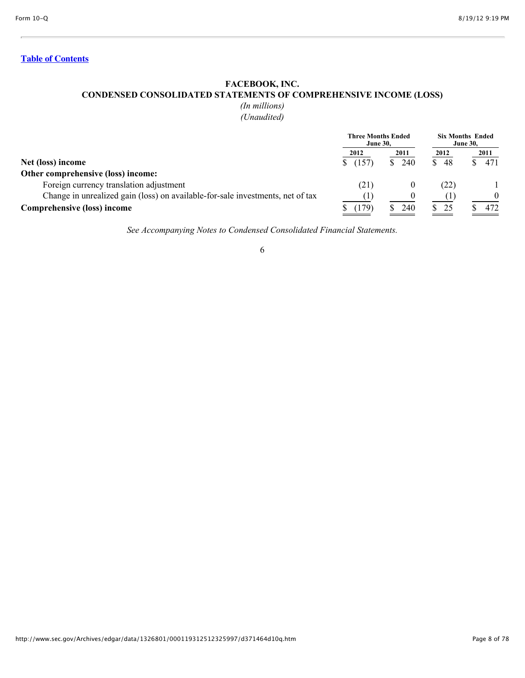# **FACEBOOK, INC. CONDENSED CONSOLIDATED STATEMENTS OF COMPREHENSIVE INCOME (LOSS)** *(In millions)*

*(Unaudited)*

|                                                                                | <b>Three Months Ended</b><br><b>June 30.</b> |      |      | <b>Six Months Ended</b><br><b>June 30.</b> |
|--------------------------------------------------------------------------------|----------------------------------------------|------|------|--------------------------------------------|
|                                                                                | 2012                                         | 2011 | 2012 | 2011                                       |
| Net (loss) income                                                              | (157)                                        | 240  | -48  | 471                                        |
| Other comprehensive (loss) income:                                             |                                              |      |      |                                            |
| Foreign currency translation adjustment                                        | (21)                                         |      | (22) |                                            |
| Change in unrealized gain (loss) on available-for-sale investments, net of tax |                                              |      |      | 0                                          |
| Comprehensive (loss) income                                                    | (179)                                        | 240  | -25  | 472                                        |

*See Accompanying Notes to Condensed Consolidated Financial Statements.*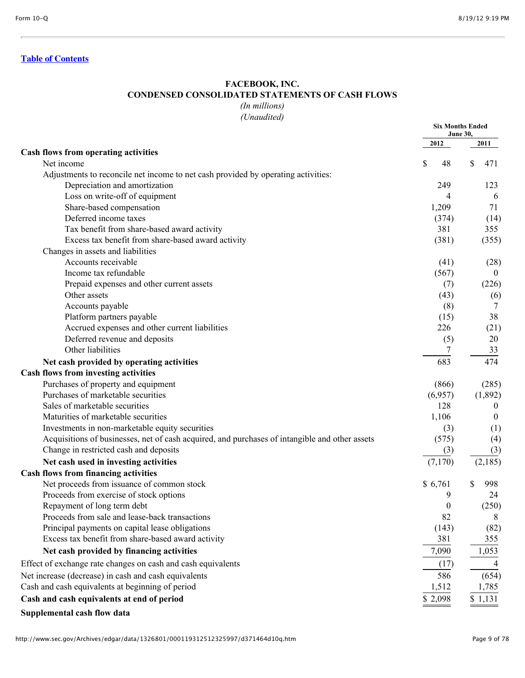**Six Months Ended**

# **[Table of Contents](http://www.sec.gov/Archives/edgar/data/1326801/000119312512325997/d371464d10q.htm#toc)**

# **FACEBOOK, INC.**

# **CONDENSED CONSOLIDATED STATEMENTS OF CASH FLOWS**

*(In millions)*

*(Unaudited)*

|                                                                                                | June 30, |                  |                  |  |
|------------------------------------------------------------------------------------------------|----------|------------------|------------------|--|
|                                                                                                | 2012     |                  | 2011             |  |
| Cash flows from operating activities                                                           |          |                  |                  |  |
| Net income                                                                                     | \$       | 48               | \$<br>471        |  |
| Adjustments to reconcile net income to net cash provided by operating activities:              |          |                  |                  |  |
| Depreciation and amortization                                                                  |          | 249              | 123              |  |
| Loss on write-off of equipment                                                                 |          | 4                | 6                |  |
| Share-based compensation                                                                       | 1,209    |                  | 71               |  |
| Deferred income taxes                                                                          |          | (374)            | (14)             |  |
| Tax benefit from share-based award activity                                                    |          | 381              | 355              |  |
| Excess tax benefit from share-based award activity                                             |          | (381)            | (355)            |  |
| Changes in assets and liabilities                                                              |          |                  |                  |  |
| Accounts receivable                                                                            |          | (41)             | (28)             |  |
| Income tax refundable                                                                          |          | (567)            | $\theta$         |  |
| Prepaid expenses and other current assets                                                      |          | (7)              | (226)            |  |
| Other assets                                                                                   |          | (43)             | (6)              |  |
| Accounts payable                                                                               |          | (8)              | 7                |  |
| Platform partners payable                                                                      |          | (15)             | 38               |  |
| Accrued expenses and other current liabilities                                                 |          | 226              | (21)             |  |
| Deferred revenue and deposits                                                                  |          | (5)              | 20               |  |
| Other liabilities                                                                              |          | 7                | 33               |  |
| Net cash provided by operating activities                                                      |          | 683              | 474              |  |
| Cash flows from investing activities                                                           |          |                  |                  |  |
| Purchases of property and equipment                                                            |          | (866)            | (285)            |  |
| Purchases of marketable securities                                                             | (6,957)  |                  | (1,892)          |  |
| Sales of marketable securities                                                                 |          | 128              | $\boldsymbol{0}$ |  |
| Maturities of marketable securities                                                            | 1,106    |                  | $\mathbf{0}$     |  |
| Investments in non-marketable equity securities                                                |          | (3)              | (1)              |  |
| Acquisitions of businesses, net of cash acquired, and purchases of intangible and other assets |          | (575)            | (4)              |  |
| Change in restricted cash and deposits                                                         |          | (3)              | (3)              |  |
|                                                                                                |          |                  |                  |  |
| Net cash used in investing activities                                                          | (7,170)  |                  | (2,185)          |  |
| <b>Cash flows from financing activities</b>                                                    |          |                  |                  |  |
| Net proceeds from issuance of common stock                                                     | \$6,761  |                  | \$<br>998        |  |
| Proceeds from exercise of stock options                                                        |          | 9                | 24               |  |
| Repayment of long term debt<br>Proceeds from sale and lease-back transactions                  |          | $\boldsymbol{0}$ | (250)            |  |
|                                                                                                |          | 82               | 8                |  |
| Principal payments on capital lease obligations                                                |          | (143)            | (82)             |  |
| Excess tax benefit from share-based award activity                                             |          | 381              | 355              |  |
| Net cash provided by financing activities                                                      | 7,090    |                  | 1,053            |  |
| Effect of exchange rate changes on cash and cash equivalents                                   |          | (17)             | 4                |  |
| Net increase (decrease) in cash and cash equivalents                                           |          | 586              | (654)            |  |
| Cash and cash equivalents at beginning of period                                               | 1,512    |                  | 1,785            |  |
| Cash and cash equivalents at end of period                                                     | \$2,098  |                  | \$1,131          |  |
| Supplemental cash flow data                                                                    |          |                  |                  |  |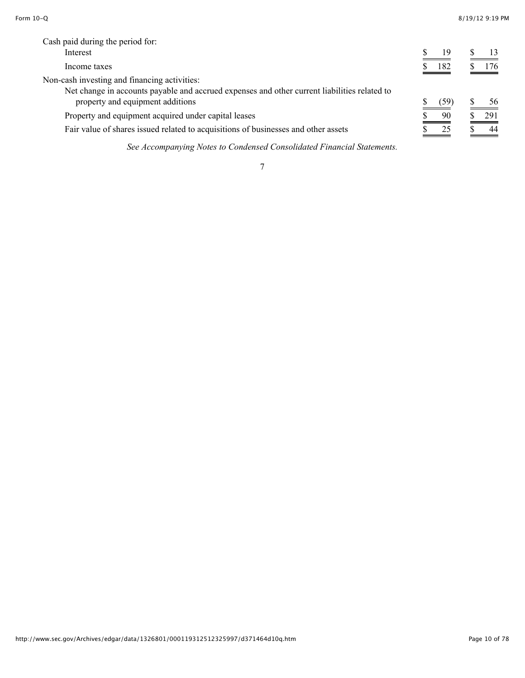| Cash paid during the period for:<br>Interest                                                                                                                                     | 19   |     |
|----------------------------------------------------------------------------------------------------------------------------------------------------------------------------------|------|-----|
| Income taxes                                                                                                                                                                     | 182  | 176 |
| Non-cash investing and financing activities:<br>Net change in accounts payable and accrued expenses and other current liabilities related to<br>property and equipment additions | (59) | 56  |
| Property and equipment acquired under capital leases                                                                                                                             | 90   | 291 |
| Fair value of shares issued related to acquisitions of businesses and other assets                                                                                               | 25   | 44  |
| See Accompanying Notes to Condensed Consolidated Financial Statements.                                                                                                           |      |     |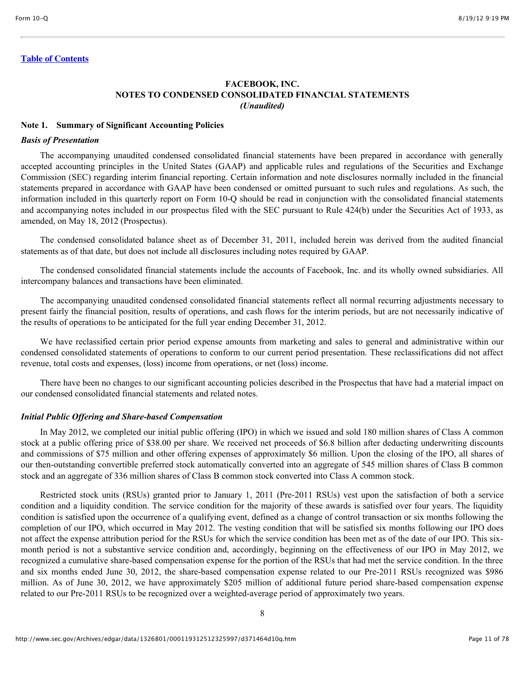# **FACEBOOK, INC. NOTES TO CONDENSED CONSOLIDATED FINANCIAL STATEMENTS** *(Unaudited)*

#### **Note 1. Summary of Significant Accounting Policies**

#### *Basis of Presentation*

The accompanying unaudited condensed consolidated financial statements have been prepared in accordance with generally accepted accounting principles in the United States (GAAP) and applicable rules and regulations of the Securities and Exchange Commission (SEC) regarding interim financial reporting. Certain information and note disclosures normally included in the financial statements prepared in accordance with GAAP have been condensed or omitted pursuant to such rules and regulations. As such, the information included in this quarterly report on Form 10-Q should be read in conjunction with the consolidated financial statements and accompanying notes included in our prospectus filed with the SEC pursuant to Rule 424(b) under the Securities Act of 1933, as amended, on May 18, 2012 (Prospectus).

The condensed consolidated balance sheet as of December 31, 2011, included herein was derived from the audited financial statements as of that date, but does not include all disclosures including notes required by GAAP.

The condensed consolidated financial statements include the accounts of Facebook, Inc. and its wholly owned subsidiaries. All intercompany balances and transactions have been eliminated.

The accompanying unaudited condensed consolidated financial statements reflect all normal recurring adjustments necessary to present fairly the financial position, results of operations, and cash flows for the interim periods, but are not necessarily indicative of the results of operations to be anticipated for the full year ending December 31, 2012.

We have reclassified certain prior period expense amounts from marketing and sales to general and administrative within our condensed consolidated statements of operations to conform to our current period presentation. These reclassifications did not affect revenue, total costs and expenses, (loss) income from operations, or net (loss) income.

There have been no changes to our significant accounting policies described in the Prospectus that have had a material impact on our condensed consolidated financial statements and related notes.

#### *Initial Public Offering and Share-based Compensation*

In May 2012, we completed our initial public offering (IPO) in which we issued and sold 180 million shares of Class A common stock at a public offering price of \$38.00 per share. We received net proceeds of \$6.8 billion after deducting underwriting discounts and commissions of \$75 million and other offering expenses of approximately \$6 million. Upon the closing of the IPO, all shares of our then-outstanding convertible preferred stock automatically converted into an aggregate of 545 million shares of Class B common stock and an aggregate of 336 million shares of Class B common stock converted into Class A common stock.

Restricted stock units (RSUs) granted prior to January 1, 2011 (Pre-2011 RSUs) vest upon the satisfaction of both a service condition and a liquidity condition. The service condition for the majority of these awards is satisfied over four years. The liquidity condition is satisfied upon the occurrence of a qualifying event, defined as a change of control transaction or six months following the completion of our IPO, which occurred in May 2012. The vesting condition that will be satisfied six months following our IPO does not affect the expense attribution period for the RSUs for which the service condition has been met as of the date of our IPO. This sixmonth period is not a substantive service condition and, accordingly, beginning on the effectiveness of our IPO in May 2012, we recognized a cumulative share-based compensation expense for the portion of the RSUs that had met the service condition. In the three and six months ended June 30, 2012, the share-based compensation expense related to our Pre-2011 RSUs recognized was \$986 million. As of June 30, 2012, we have approximately \$205 million of additional future period share-based compensation expense related to our Pre-2011 RSUs to be recognized over a weighted-average period of approximately two years.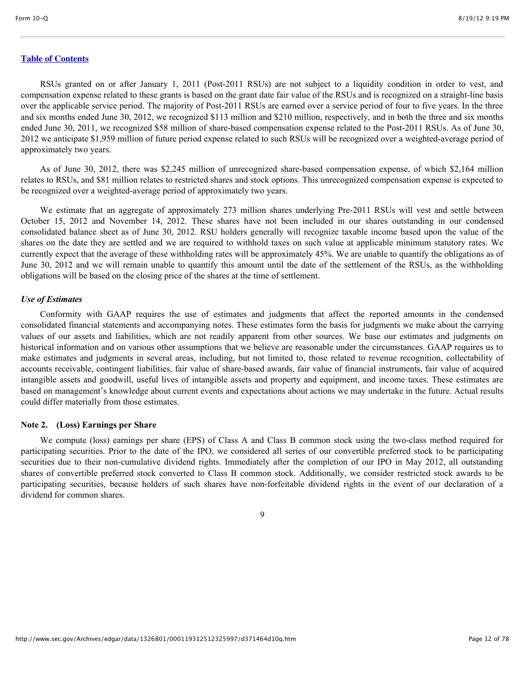RSUs granted on or after January 1, 2011 (Post-2011 RSUs) are not subject to a liquidity condition in order to vest, and compensation expense related to these grants is based on the grant date fair value of the RSUs and is recognized on a straight-line basis over the applicable service period. The majority of Post-2011 RSUs are earned over a service period of four to five years. In the three and six months ended June 30, 2012, we recognized \$113 million and \$210 million, respectively, and in both the three and six months ended June 30, 2011, we recognized \$58 million of share-based compensation expense related to the Post-2011 RSUs. As of June 30, 2012 we anticipate \$1,959 million of future period expense related to such RSUs will be recognized over a weighted-average period of approximately two years.

As of June 30, 2012, there was \$2,245 million of unrecognized share-based compensation expense, of which \$2,164 million relates to RSUs, and \$81 million relates to restricted shares and stock options. This unrecognized compensation expense is expected to be recognized over a weighted-average period of approximately two years.

We estimate that an aggregate of approximately 273 million shares underlying Pre-2011 RSUs will vest and settle between October 15, 2012 and November 14, 2012. These shares have not been included in our shares outstanding in our condensed consolidated balance sheet as of June 30, 2012. RSU holders generally will recognize taxable income based upon the value of the shares on the date they are settled and we are required to withhold taxes on such value at applicable minimum statutory rates. We currently expect that the average of these withholding rates will be approximately 45%. We are unable to quantify the obligations as of June 30, 2012 and we will remain unable to quantify this amount until the date of the settlement of the RSUs, as the withholding obligations will be based on the closing price of the shares at the time of settlement.

#### *Use of Estimates*

Conformity with GAAP requires the use of estimates and judgments that affect the reported amounts in the condensed consolidated financial statements and accompanying notes. These estimates form the basis for judgments we make about the carrying values of our assets and liabilities, which are not readily apparent from other sources. We base our estimates and judgments on historical information and on various other assumptions that we believe are reasonable under the circumstances. GAAP requires us to make estimates and judgments in several areas, including, but not limited to, those related to revenue recognition, collectability of accounts receivable, contingent liabilities, fair value of share-based awards, fair value of financial instruments, fair value of acquired intangible assets and goodwill, useful lives of intangible assets and property and equipment, and income taxes. These estimates are based on management's knowledge about current events and expectations about actions we may undertake in the future. Actual results could differ materially from those estimates.

#### **Note 2. (Loss) Earnings per Share**

We compute (loss) earnings per share (EPS) of Class A and Class B common stock using the two-class method required for participating securities. Prior to the date of the IPO, we considered all series of our convertible preferred stock to be participating securities due to their non-cumulative dividend rights. Immediately after the completion of our IPO in May 2012, all outstanding shares of convertible preferred stock converted to Class B common stock. Additionally, we consider restricted stock awards to be participating securities, because holders of such shares have non-forfeitable dividend rights in the event of our declaration of a dividend for common shares.

 $\overline{9}$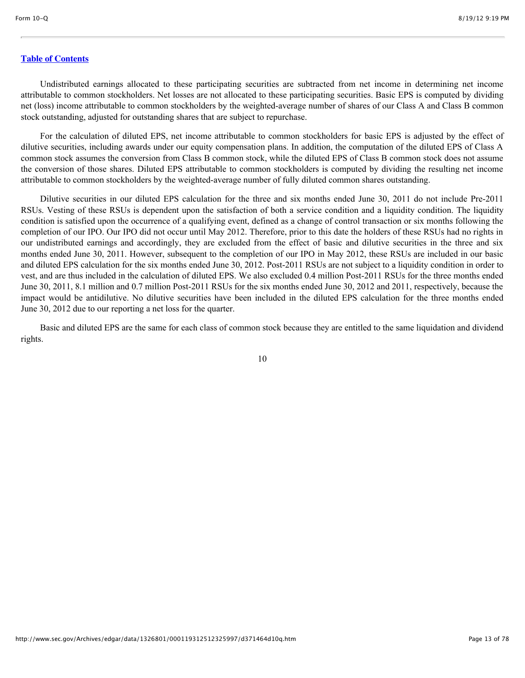Undistributed earnings allocated to these participating securities are subtracted from net income in determining net income attributable to common stockholders. Net losses are not allocated to these participating securities. Basic EPS is computed by dividing net (loss) income attributable to common stockholders by the weighted-average number of shares of our Class A and Class B common stock outstanding, adjusted for outstanding shares that are subject to repurchase.

For the calculation of diluted EPS, net income attributable to common stockholders for basic EPS is adjusted by the effect of dilutive securities, including awards under our equity compensation plans. In addition, the computation of the diluted EPS of Class A common stock assumes the conversion from Class B common stock, while the diluted EPS of Class B common stock does not assume the conversion of those shares. Diluted EPS attributable to common stockholders is computed by dividing the resulting net income attributable to common stockholders by the weighted-average number of fully diluted common shares outstanding.

Dilutive securities in our diluted EPS calculation for the three and six months ended June 30, 2011 do not include Pre-2011 RSUs. Vesting of these RSUs is dependent upon the satisfaction of both a service condition and a liquidity condition. The liquidity condition is satisfied upon the occurrence of a qualifying event, defined as a change of control transaction or six months following the completion of our IPO. Our IPO did not occur until May 2012. Therefore, prior to this date the holders of these RSUs had no rights in our undistributed earnings and accordingly, they are excluded from the effect of basic and dilutive securities in the three and six months ended June 30, 2011. However, subsequent to the completion of our IPO in May 2012, these RSUs are included in our basic and diluted EPS calculation for the six months ended June 30, 2012. Post-2011 RSUs are not subject to a liquidity condition in order to vest, and are thus included in the calculation of diluted EPS. We also excluded 0.4 million Post-2011 RSUs for the three months ended June 30, 2011, 8.1 million and 0.7 million Post-2011 RSUs for the six months ended June 30, 2012 and 2011, respectively, because the impact would be antidilutive. No dilutive securities have been included in the diluted EPS calculation for the three months ended June 30, 2012 due to our reporting a net loss for the quarter.

Basic and diluted EPS are the same for each class of common stock because they are entitled to the same liquidation and dividend rights.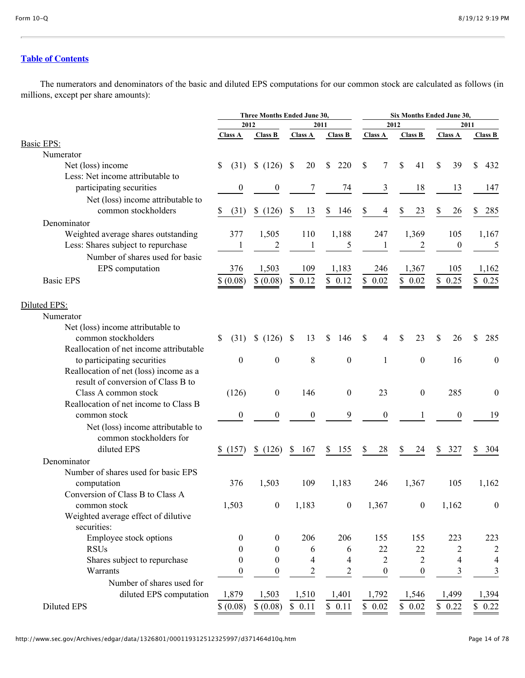The numerators and denominators of the basic and diluted EPS computations for our common stock are calculated as follows (in millions, except per share amounts):

|                                                  |                  | <b>Three Months Ended June 30,</b> |                      |                  |                      | Six Months Ended June 30, |                  |                  |
|--------------------------------------------------|------------------|------------------------------------|----------------------|------------------|----------------------|---------------------------|------------------|------------------|
|                                                  | 2012             |                                    |                      | 2011             |                      | 2012                      |                  | 2011             |
|                                                  | <b>Class A</b>   | <b>Class B</b>                     | <b>Class A</b>       | <b>Class B</b>   | <b>Class A</b>       | <b>Class B</b>            | <b>Class A</b>   | <b>Class B</b>   |
| Basic EPS:                                       |                  |                                    |                      |                  |                      |                           |                  |                  |
| Numerator                                        |                  |                                    |                      |                  |                      |                           |                  |                  |
| Net (loss) income                                | \$<br>(31)       | \$ (126) \$                        | 20                   | 220<br>\$        | \$<br>7              | \$<br>41                  | \$<br>39         | \$<br>432        |
| Less: Net income attributable to                 |                  |                                    |                      |                  |                      |                           |                  |                  |
| participating securities                         | $\boldsymbol{0}$ | $\boldsymbol{0}$                   | $\tau$               | 74               | 3                    | 18                        | 13               | 147              |
| Net (loss) income attributable to                |                  |                                    |                      |                  |                      |                           |                  |                  |
| common stockholders                              | (31)<br>\$       | \$(126)                            | 13<br>\$             | 146<br>S.        | \$<br>4              | 23<br>S.                  | \$<br>26         | 285<br>S.        |
| Denominator                                      |                  |                                    |                      |                  |                      |                           |                  |                  |
| Weighted average shares outstanding              | 377              | 1,505                              | 110                  | 1,188            | 247                  | 1,369                     | 105              | 1,167            |
| Less: Shares subject to repurchase               | 1                | 2                                  |                      | 5                |                      |                           | $\boldsymbol{0}$ | 5                |
| Number of shares used for basic                  |                  |                                    |                      |                  |                      |                           |                  |                  |
| EPS computation                                  | 376              | 1,503                              | 109                  | 1,183            | 246                  | 1,367                     | 105              | 1,162            |
| <b>Basic EPS</b>                                 | \$ (0.08)        | \$ (0.08)                          | \$0.12               | 0.12<br>\$       | \$0.02               | \$0.02                    | 0.25<br>\$       | \$0.25           |
| Diluted EPS:                                     |                  |                                    |                      |                  |                      |                           |                  |                  |
| Numerator                                        |                  |                                    |                      |                  |                      |                           |                  |                  |
| Net (loss) income attributable to                |                  |                                    |                      |                  |                      |                           |                  |                  |
| common stockholders                              | \$<br>(31)       | \$ (126) \$                        | 13                   | \$<br>146        | \$<br>$\overline{4}$ | \$<br>23                  | \$<br>26         | 285<br>\$        |
| Reallocation of net income attributable          |                  |                                    |                      |                  |                      |                           |                  |                  |
| to participating securities                      | $\boldsymbol{0}$ | $\mathbf{0}$                       | 8                    | $\boldsymbol{0}$ | 1                    | $\boldsymbol{0}$          | 16               | $\boldsymbol{0}$ |
| Reallocation of net (loss) income as a           |                  |                                    |                      |                  |                      |                           |                  |                  |
| result of conversion of Class B to               |                  |                                    |                      |                  |                      |                           |                  |                  |
| Class A common stock                             | (126)            | $\mathbf{0}$                       | 146                  | $\boldsymbol{0}$ | 23                   | $\boldsymbol{0}$          | 285              | $\boldsymbol{0}$ |
| Reallocation of net income to Class B            |                  |                                    |                      |                  |                      |                           |                  |                  |
| common stock                                     | $\boldsymbol{0}$ | $\boldsymbol{0}$                   | $\boldsymbol{0}$     | 9                | $\boldsymbol{0}$     | 1                         | $\boldsymbol{0}$ | 19               |
| Net (loss) income attributable to                |                  |                                    |                      |                  |                      |                           |                  |                  |
| common stockholders for                          |                  |                                    |                      |                  |                      |                           |                  |                  |
| diluted EPS                                      | \$(157)          | \$(126)                            | <sup>\$</sup><br>167 | 155<br>S.        | \$<br>28             | S<br>24                   | 327<br>S         | S<br>304         |
| Denominator                                      |                  |                                    |                      |                  |                      |                           |                  |                  |
| Number of shares used for basic EPS              |                  |                                    |                      |                  |                      |                           |                  |                  |
| computation                                      | 376              | 1,503                              | 109                  | 1,183            | 246                  | 1,367                     | 105              | 1,162            |
| Conversion of Class B to Class A<br>common stock | 1,503            | $\boldsymbol{0}$                   | 1,183                | $\boldsymbol{0}$ | 1,367                | $\boldsymbol{0}$          | 1,162            | $\boldsymbol{0}$ |
| Weighted average effect of dilutive              |                  |                                    |                      |                  |                      |                           |                  |                  |
| securities:                                      |                  |                                    |                      |                  |                      |                           |                  |                  |
| Employee stock options                           | $\boldsymbol{0}$ | $\boldsymbol{0}$                   | 206                  | 206              | 155                  | 155                       | 223              | 223              |
| <b>RSUs</b>                                      | 0                | $\boldsymbol{0}$                   | 6                    | 6                | 22                   | 22                        | $\overline{2}$   | $\overline{c}$   |
| Shares subject to repurchase                     | $\boldsymbol{0}$ | $\overline{0}$                     | 4                    | 4                | 2                    | 2                         | 4                | 4                |
| Warrants                                         | $\boldsymbol{0}$ | $\mathbf{0}$                       | $\overline{2}$       | $\overline{2}$   | $\boldsymbol{0}$     | $\boldsymbol{0}$          | $\mathfrak{Z}$   | 3                |
| Number of shares used for                        |                  |                                    |                      |                  |                      |                           |                  |                  |
| diluted EPS computation                          | 1,879            | 1,503                              | 1,510                | 1,401            | 1,792                | 1,546                     | 1,499            | 1,394            |
| Diluted EPS                                      | \$ (0.08)        | \$ (0.08)                          | \$0.11               | \$0.11           | \$0.02               | \$0.02                    | \$0.22           | \$0.22           |
|                                                  |                  |                                    |                      |                  |                      |                           |                  |                  |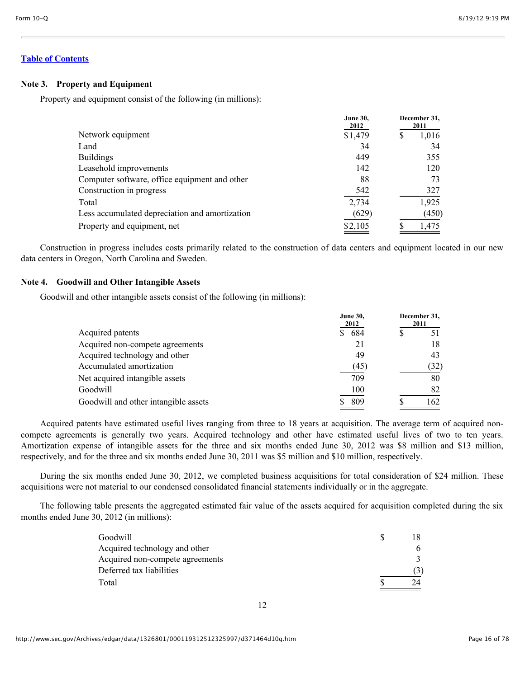#### **Note 3. Property and Equipment**

Property and equipment consist of the following (in millions):

|                                                | <b>June 30.</b><br>2012 |   | December 31.<br>2011 |
|------------------------------------------------|-------------------------|---|----------------------|
| Network equipment                              | \$1,479                 | D | 1,016                |
| Land                                           | 34                      |   | 34                   |
| <b>Buildings</b>                               | 449                     |   | 355                  |
| Leasehold improvements                         | 142                     |   | 120                  |
| Computer software, office equipment and other  | 88                      |   | 73                   |
| Construction in progress                       | 542                     |   | 327                  |
| Total                                          | 2,734                   |   | 1,925                |
| Less accumulated depreciation and amortization | (629)                   |   | (450)                |
| Property and equipment, net                    | \$2,105                 |   | 1,475                |

Construction in progress includes costs primarily related to the construction of data centers and equipment located in our new data centers in Oregon, North Carolina and Sweden.

#### **Note 4. Goodwill and Other Intangible Assets**

Goodwill and other intangible assets consist of the following (in millions):

|                                      | <b>June 30,</b><br>2012 | December 31.<br>2011 |
|--------------------------------------|-------------------------|----------------------|
| Acquired patents                     | \$684                   |                      |
| Acquired non-compete agreements      | 21                      | 18                   |
| Acquired technology and other        | 49                      | 43                   |
| Accumulated amortization             | 45                      | (32)                 |
| Net acquired intangible assets       | 709                     | 80                   |
| Goodwill                             | 100                     | 82                   |
| Goodwill and other intangible assets | 809                     | 162                  |

Acquired patents have estimated useful lives ranging from three to 18 years at acquisition. The average term of acquired noncompete agreements is generally two years. Acquired technology and other have estimated useful lives of two to ten years. Amortization expense of intangible assets for the three and six months ended June 30, 2012 was \$8 million and \$13 million, respectively, and for the three and six months ended June 30, 2011 was \$5 million and \$10 million, respectively.

During the six months ended June 30, 2012, we completed business acquisitions for total consideration of \$24 million. These acquisitions were not material to our condensed consolidated financial statements individually or in the aggregate.

The following table presents the aggregated estimated fair value of the assets acquired for acquisition completed during the six months ended June 30, 2012 (in millions):

| Goodwill                        |  |
|---------------------------------|--|
| Acquired technology and other   |  |
| Acquired non-compete agreements |  |
| Deferred tax liabilities        |  |
| Total                           |  |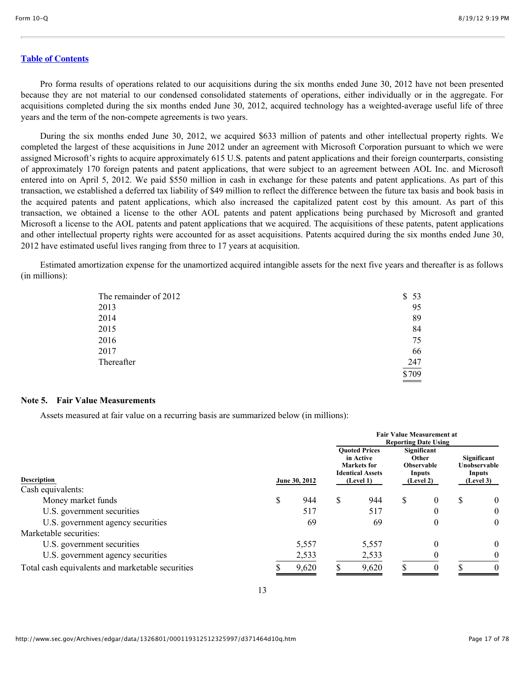Pro forma results of operations related to our acquisitions during the six months ended June 30, 2012 have not been presented because they are not material to our condensed consolidated statements of operations, either individually or in the aggregate. For acquisitions completed during the six months ended June 30, 2012, acquired technology has a weighted-average useful life of three years and the term of the non-compete agreements is two years.

During the six months ended June 30, 2012, we acquired \$633 million of patents and other intellectual property rights. We completed the largest of these acquisitions in June 2012 under an agreement with Microsoft Corporation pursuant to which we were assigned Microsoft's rights to acquire approximately 615 U.S. patents and patent applications and their foreign counterparts, consisting of approximately 170 foreign patents and patent applications, that were subject to an agreement between AOL Inc. and Microsoft entered into on April 5, 2012. We paid \$550 million in cash in exchange for these patents and patent applications. As part of this transaction, we established a deferred tax liability of \$49 million to reflect the difference between the future tax basis and book basis in the acquired patents and patent applications, which also increased the capitalized patent cost by this amount. As part of this transaction, we obtained a license to the other AOL patents and patent applications being purchased by Microsoft and granted Microsoft a license to the AOL patents and patent applications that we acquired. The acquisitions of these patents, patent applications and other intellectual property rights were accounted for as asset acquisitions. Patents acquired during the six months ended June 30, 2012 have estimated useful lives ranging from three to 17 years at acquisition.

Estimated amortization expense for the unamortized acquired intangible assets for the next five years and thereafter is as follows (in millions):

| The remainder of 2012 | $\mathbb{S}$<br>53 |
|-----------------------|--------------------|
| 2013                  | 95                 |
| 2014                  | 89                 |
| 2015                  | 84                 |
| 2016                  | 75                 |
| 2017                  | 66                 |
| Thereafter            | 247                |
|                       | \$709              |

#### **Note 5. Fair Value Measurements**

Assets measured at fair value on a recurring basis are summarized below (in millions):

|                                                  |                                                                                                           |       |    |                                                                  | <b>Fair Value Measurement at</b><br><b>Reporting Date Using</b> |                                                    |   |          |
|--------------------------------------------------|-----------------------------------------------------------------------------------------------------------|-------|----|------------------------------------------------------------------|-----------------------------------------------------------------|----------------------------------------------------|---|----------|
| <b>Description</b>                               | <b>Ouoted Prices</b><br>in Active<br>Markets for<br><b>Identical Assets</b><br>June 30, 2012<br>(Level 1) |       |    | Significant<br>Other<br><b>Observable</b><br>Inputs<br>(Level 2) |                                                                 | Significant<br>Unobservable<br>Inputs<br>(Level 3) |   |          |
| Cash equivalents:                                |                                                                                                           |       |    |                                                                  |                                                                 |                                                    |   |          |
| Money market funds                               | S                                                                                                         | 944   | \$ | 944                                                              | \$                                                              | $\theta$                                           | S | $\theta$ |
| U.S. government securities                       |                                                                                                           | 517   |    | 517                                                              |                                                                 | $\theta$                                           |   | $\theta$ |
| U.S. government agency securities                |                                                                                                           | 69    |    | 69                                                               |                                                                 | $\theta$                                           |   | $\theta$ |
| Marketable securities:                           |                                                                                                           |       |    |                                                                  |                                                                 |                                                    |   |          |
| U.S. government securities                       |                                                                                                           | 5,557 |    | 5,557                                                            |                                                                 | $\theta$                                           |   | $\theta$ |
| U.S. government agency securities                |                                                                                                           | 2,533 |    | 2,533                                                            |                                                                 |                                                    |   | $\theta$ |
| Total cash equivalents and marketable securities |                                                                                                           | 9,620 |    | 9,620                                                            |                                                                 | $\theta$                                           |   | $\theta$ |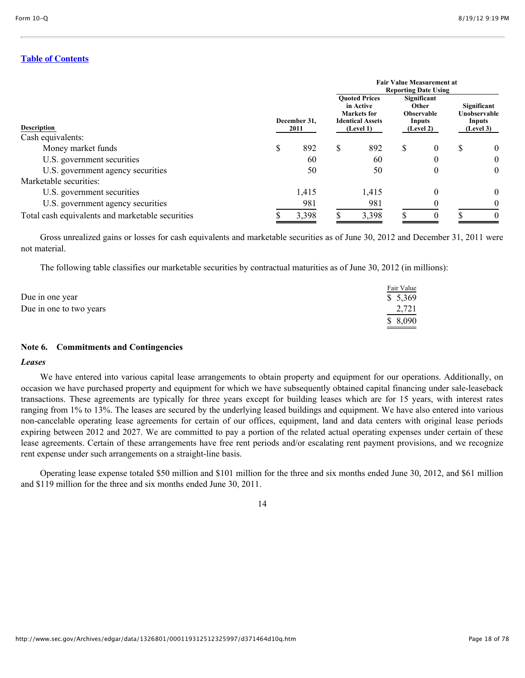|                                                  |                      |   |                                                                                          | <b>Fair Value Measurement at</b><br><b>Reporting Date Using</b> |                                                                  |   |                                                    |
|--------------------------------------------------|----------------------|---|------------------------------------------------------------------------------------------|-----------------------------------------------------------------|------------------------------------------------------------------|---|----------------------------------------------------|
| <b>Description</b>                               | December 31,<br>2011 |   | <b>Ouoted Prices</b><br>in Active<br>Markets for<br><b>Identical Assets</b><br>(Level 1) |                                                                 | Significant<br>Other<br><b>Observable</b><br>Inputs<br>(Level 2) |   | Significant<br>Unobservable<br>Inputs<br>(Level 3) |
| Cash equivalents:                                |                      |   |                                                                                          |                                                                 |                                                                  |   |                                                    |
| Money market funds                               | \$<br>892            | S | 892                                                                                      | \$.                                                             | $\Omega$                                                         | S | $\theta$                                           |
| U.S. government securities                       | 60                   |   | 60                                                                                       |                                                                 | $\theta$                                                         |   | $\theta$                                           |
| U.S. government agency securities                | 50                   |   | 50                                                                                       |                                                                 | 0                                                                |   | $\theta$                                           |
| Marketable securities:                           |                      |   |                                                                                          |                                                                 |                                                                  |   |                                                    |
| U.S. government securities                       | 1,415                |   | 1,415                                                                                    |                                                                 | $\theta$                                                         |   | $\theta$                                           |
| U.S. government agency securities                | 981                  |   | 981                                                                                      |                                                                 |                                                                  |   | $\theta$                                           |
| Total cash equivalents and marketable securities | 3,398                |   | 3,398                                                                                    |                                                                 | $\theta$                                                         |   | $\theta$                                           |

Gross unrealized gains or losses for cash equivalents and marketable securities as of June 30, 2012 and December 31, 2011 were not material.

The following table classifies our marketable securities by contractual maturities as of June 30, 2012 (in millions):

|                         | Fair Value |
|-------------------------|------------|
| Due in one year         | \$5,369    |
| Due in one to two years | 2,721      |
|                         | \$8,090    |

#### **Note 6. Commitments and Contingencies**

#### *Leases*

We have entered into various capital lease arrangements to obtain property and equipment for our operations. Additionally, on occasion we have purchased property and equipment for which we have subsequently obtained capital financing under sale-leaseback transactions. These agreements are typically for three years except for building leases which are for 15 years, with interest rates ranging from 1% to 13%. The leases are secured by the underlying leased buildings and equipment. We have also entered into various non-cancelable operating lease agreements for certain of our offices, equipment, land and data centers with original lease periods expiring between 2012 and 2027. We are committed to pay a portion of the related actual operating expenses under certain of these lease agreements. Certain of these arrangements have free rent periods and/or escalating rent payment provisions, and we recognize rent expense under such arrangements on a straight-line basis.

Operating lease expense totaled \$50 million and \$101 million for the three and six months ended June 30, 2012, and \$61 million and \$119 million for the three and six months ended June 30, 2011.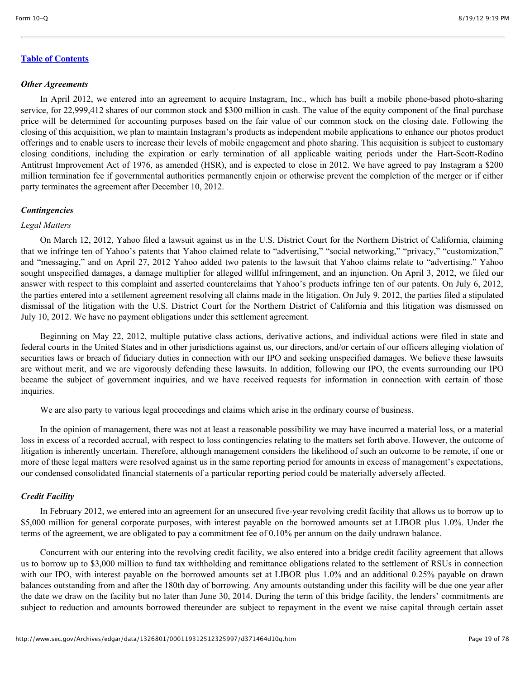#### *Other Agreements*

In April 2012, we entered into an agreement to acquire Instagram, Inc., which has built a mobile phone-based photo-sharing service, for 22,999,412 shares of our common stock and \$300 million in cash. The value of the equity component of the final purchase price will be determined for accounting purposes based on the fair value of our common stock on the closing date. Following the closing of this acquisition, we plan to maintain Instagram's products as independent mobile applications to enhance our photos product offerings and to enable users to increase their levels of mobile engagement and photo sharing. This acquisition is subject to customary closing conditions, including the expiration or early termination of all applicable waiting periods under the Hart-Scott-Rodino Antitrust Improvement Act of 1976, as amended (HSR), and is expected to close in 2012. We have agreed to pay Instagram a \$200 million termination fee if governmental authorities permanently enjoin or otherwise prevent the completion of the merger or if either party terminates the agreement after December 10, 2012.

#### *Contingencies*

#### *Legal Matters*

On March 12, 2012, Yahoo filed a lawsuit against us in the U.S. District Court for the Northern District of California, claiming that we infringe ten of Yahoo's patents that Yahoo claimed relate to "advertising," "social networking," "privacy," "customization," and "messaging," and on April 27, 2012 Yahoo added two patents to the lawsuit that Yahoo claims relate to "advertising." Yahoo sought unspecified damages, a damage multiplier for alleged willful infringement, and an injunction. On April 3, 2012, we filed our answer with respect to this complaint and asserted counterclaims that Yahoo's products infringe ten of our patents. On July 6, 2012, the parties entered into a settlement agreement resolving all claims made in the litigation. On July 9, 2012, the parties filed a stipulated dismissal of the litigation with the U.S. District Court for the Northern District of California and this litigation was dismissed on July 10, 2012. We have no payment obligations under this settlement agreement.

Beginning on May 22, 2012, multiple putative class actions, derivative actions, and individual actions were filed in state and federal courts in the United States and in other jurisdictions against us, our directors, and/or certain of our officers alleging violation of securities laws or breach of fiduciary duties in connection with our IPO and seeking unspecified damages. We believe these lawsuits are without merit, and we are vigorously defending these lawsuits. In addition, following our IPO, the events surrounding our IPO became the subject of government inquiries, and we have received requests for information in connection with certain of those inquiries.

We are also party to various legal proceedings and claims which arise in the ordinary course of business.

In the opinion of management, there was not at least a reasonable possibility we may have incurred a material loss, or a material loss in excess of a recorded accrual, with respect to loss contingencies relating to the matters set forth above. However, the outcome of litigation is inherently uncertain. Therefore, although management considers the likelihood of such an outcome to be remote, if one or more of these legal matters were resolved against us in the same reporting period for amounts in excess of management's expectations, our condensed consolidated financial statements of a particular reporting period could be materially adversely affected.

### *Credit Facility*

In February 2012, we entered into an agreement for an unsecured five-year revolving credit facility that allows us to borrow up to \$5,000 million for general corporate purposes, with interest payable on the borrowed amounts set at LIBOR plus 1.0%. Under the terms of the agreement, we are obligated to pay a commitment fee of 0.10% per annum on the daily undrawn balance.

Concurrent with our entering into the revolving credit facility, we also entered into a bridge credit facility agreement that allows us to borrow up to \$3,000 million to fund tax withholding and remittance obligations related to the settlement of RSUs in connection with our IPO, with interest payable on the borrowed amounts set at LIBOR plus 1.0% and an additional 0.25% payable on drawn balances outstanding from and after the 180th day of borrowing. Any amounts outstanding under this facility will be due one year after the date we draw on the facility but no later than June 30, 2014. During the term of this bridge facility, the lenders' commitments are subject to reduction and amounts borrowed thereunder are subject to repayment in the event we raise capital through certain asset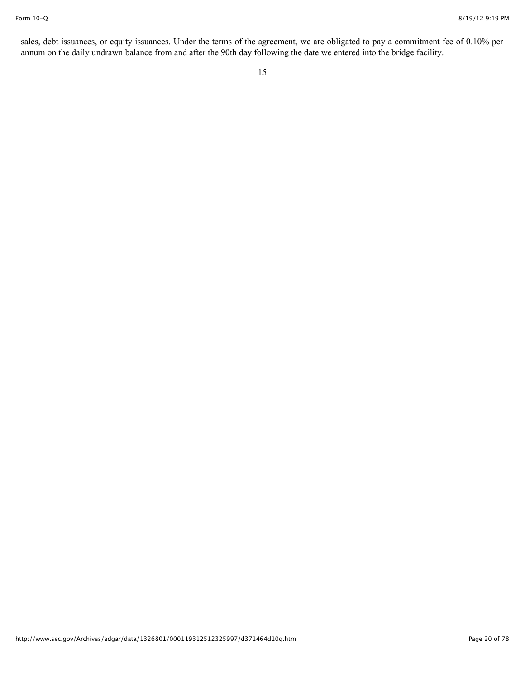sales, debt issuances, or equity issuances. Under the terms of the agreement, we are obligated to pay a commitment fee of 0.10% per annum on the daily undrawn balance from and after the 90th day following the date we entered into the bridge facility.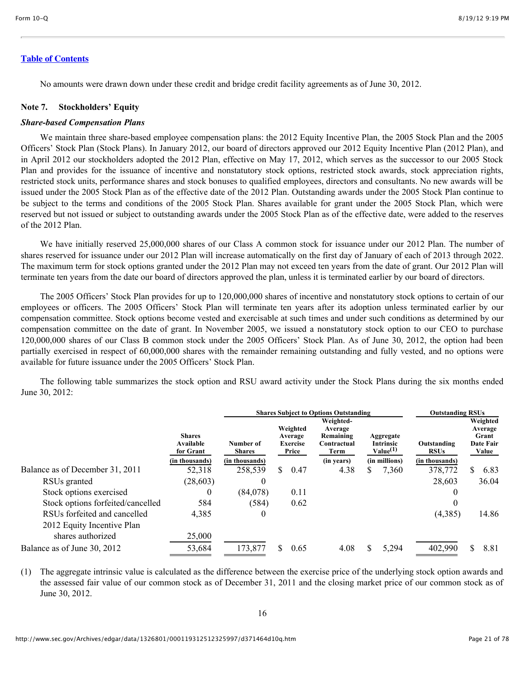No amounts were drawn down under these credit and bridge credit facility agreements as of June 30, 2012.

#### **Note 7. Stockholders' Equity**

#### *Share-based Compensation Plans*

We maintain three share-based employee compensation plans: the 2012 Equity Incentive Plan, the 2005 Stock Plan and the 2005 Officers' Stock Plan (Stock Plans). In January 2012, our board of directors approved our 2012 Equity Incentive Plan (2012 Plan), and in April 2012 our stockholders adopted the 2012 Plan, effective on May 17, 2012, which serves as the successor to our 2005 Stock Plan and provides for the issuance of incentive and nonstatutory stock options, restricted stock awards, stock appreciation rights, restricted stock units, performance shares and stock bonuses to qualified employees, directors and consultants. No new awards will be issued under the 2005 Stock Plan as of the effective date of the 2012 Plan. Outstanding awards under the 2005 Stock Plan continue to be subject to the terms and conditions of the 2005 Stock Plan. Shares available for grant under the 2005 Stock Plan, which were reserved but not issued or subject to outstanding awards under the 2005 Stock Plan as of the effective date, were added to the reserves of the 2012 Plan.

We have initially reserved 25,000,000 shares of our Class A common stock for issuance under our 2012 Plan. The number of shares reserved for issuance under our 2012 Plan will increase automatically on the first day of January of each of 2013 through 2022. The maximum term for stock options granted under the 2012 Plan may not exceed ten years from the date of grant. Our 2012 Plan will terminate ten years from the date our board of directors approved the plan, unless it is terminated earlier by our board of directors.

The 2005 Officers' Stock Plan provides for up to 120,000,000 shares of incentive and nonstatutory stock options to certain of our employees or officers. The 2005 Officers' Stock Plan will terminate ten years after its adoption unless terminated earlier by our compensation committee. Stock options become vested and exercisable at such times and under such conditions as determined by our compensation committee on the date of grant. In November 2005, we issued a nonstatutory stock option to our CEO to purchase 120,000,000 shares of our Class B common stock under the 2005 Officers' Stock Plan. As of June 30, 2012, the option had been partially exercised in respect of 60,000,000 shares with the remainder remaining outstanding and fully vested, and no options were available for future issuance under the 2005 Officers' Stock Plan.

The following table summarizes the stock option and RSU award activity under the Stock Plans during the six months ended June 30, 2012:

|                                   | <b>Shares Subject to Options Outstanding</b> | <b>Outstanding RSUs</b>    |   |                                          |                                                          |   |                                                       |                            |    |                                                    |
|-----------------------------------|----------------------------------------------|----------------------------|---|------------------------------------------|----------------------------------------------------------|---|-------------------------------------------------------|----------------------------|----|----------------------------------------------------|
|                                   | <b>Shares</b><br>Available<br>for Grant      | Number of<br><b>Shares</b> |   | Weighted<br>Average<br>Exercise<br>Price | Weighted-<br>Average<br>Remaining<br>Contractual<br>Term |   | Aggregate<br><b>Intrinsic</b><br>Value <sup>(1)</sup> | Outstanding<br><b>RSUs</b> |    | Weighted<br>Average<br>Grant<br>Date Fair<br>Value |
|                                   | (in thousands)                               | (in thousands)             |   |                                          | (in years)                                               |   | (in millions)                                         | (in thousands)             |    |                                                    |
| Balance as of December 31, 2011   | 52,318                                       | 258,539                    | S | 0.47                                     | 4.38                                                     | S | 7,360                                                 | 378,772                    | S  | 6.83                                               |
| RSU <sub>s</sub> granted          | (28, 603)                                    | $\theta$                   |   |                                          |                                                          |   |                                                       | 28,603                     |    | 36.04                                              |
| Stock options exercised           |                                              | (84,078)                   |   | 0.11                                     |                                                          |   |                                                       |                            |    |                                                    |
| Stock options forfeited/cancelled | 584                                          | (584)                      |   | 0.62                                     |                                                          |   |                                                       | $\Omega$                   |    |                                                    |
| RSUs forfeited and cancelled      | 4,385                                        | $\theta$                   |   |                                          |                                                          |   |                                                       | (4,385)                    |    | 14.86                                              |
| 2012 Equity Incentive Plan        |                                              |                            |   |                                          |                                                          |   |                                                       |                            |    |                                                    |
| shares authorized                 | 25,000                                       |                            |   |                                          |                                                          |   |                                                       |                            |    |                                                    |
| Balance as of June 30, 2012       | 53,684                                       | 173,877                    |   | 0.65                                     | 4.08                                                     |   | 5,294                                                 | 402,990                    | S. | 8.81                                               |

(1) The aggregate intrinsic value is calculated as the difference between the exercise price of the underlying stock option awards and the assessed fair value of our common stock as of December 31, 2011 and the closing market price of our common stock as of June 30, 2012.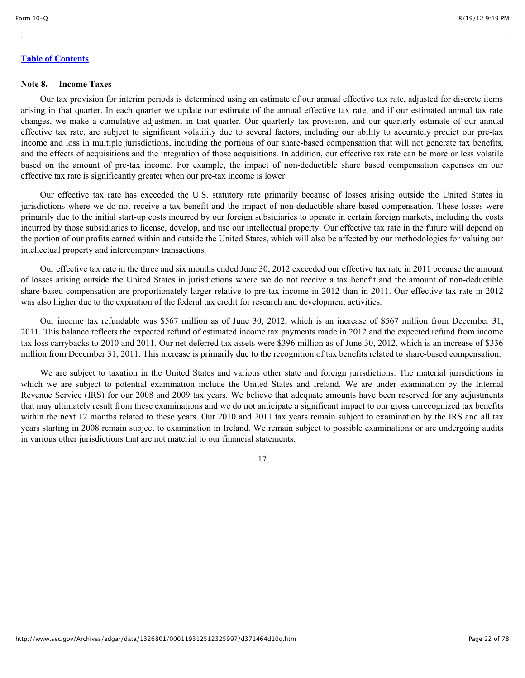#### **Note 8. Income Taxes**

Our tax provision for interim periods is determined using an estimate of our annual effective tax rate, adjusted for discrete items arising in that quarter. In each quarter we update our estimate of the annual effective tax rate, and if our estimated annual tax rate changes, we make a cumulative adjustment in that quarter. Our quarterly tax provision, and our quarterly estimate of our annual effective tax rate, are subject to significant volatility due to several factors, including our ability to accurately predict our pre-tax income and loss in multiple jurisdictions, including the portions of our share-based compensation that will not generate tax benefits, and the effects of acquisitions and the integration of those acquisitions. In addition, our effective tax rate can be more or less volatile based on the amount of pre-tax income. For example, the impact of non-deductible share based compensation expenses on our effective tax rate is significantly greater when our pre-tax income is lower.

Our effective tax rate has exceeded the U.S. statutory rate primarily because of losses arising outside the United States in jurisdictions where we do not receive a tax benefit and the impact of non-deductible share-based compensation. These losses were primarily due to the initial start-up costs incurred by our foreign subsidiaries to operate in certain foreign markets, including the costs incurred by those subsidiaries to license, develop, and use our intellectual property. Our effective tax rate in the future will depend on the portion of our profits earned within and outside the United States, which will also be affected by our methodologies for valuing our intellectual property and intercompany transactions.

Our effective tax rate in the three and six months ended June 30, 2012 exceeded our effective tax rate in 2011 because the amount of losses arising outside the United States in jurisdictions where we do not receive a tax benefit and the amount of non-deductible share-based compensation are proportionately larger relative to pre-tax income in 2012 than in 2011. Our effective tax rate in 2012 was also higher due to the expiration of the federal tax credit for research and development activities.

Our income tax refundable was \$567 million as of June 30, 2012, which is an increase of \$567 million from December 31, 2011. This balance reflects the expected refund of estimated income tax payments made in 2012 and the expected refund from income tax loss carrybacks to 2010 and 2011. Our net deferred tax assets were \$396 million as of June 30, 2012, which is an increase of \$336 million from December 31, 2011. This increase is primarily due to the recognition of tax benefits related to share-based compensation.

We are subject to taxation in the United States and various other state and foreign jurisdictions. The material jurisdictions in which we are subject to potential examination include the United States and Ireland. We are under examination by the Internal Revenue Service (IRS) for our 2008 and 2009 tax years. We believe that adequate amounts have been reserved for any adjustments that may ultimately result from these examinations and we do not anticipate a significant impact to our gross unrecognized tax benefits within the next 12 months related to these years. Our 2010 and 2011 tax years remain subject to examination by the IRS and all tax years starting in 2008 remain subject to examination in Ireland. We remain subject to possible examinations or are undergoing audits in various other jurisdictions that are not material to our financial statements.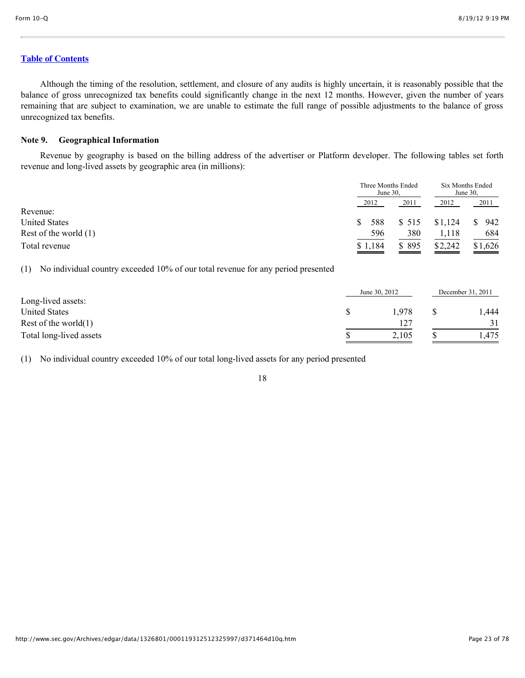Although the timing of the resolution, settlement, and closure of any audits is highly uncertain, it is reasonably possible that the balance of gross unrecognized tax benefits could significantly change in the next 12 months. However, given the number of years remaining that are subject to examination, we are unable to estimate the full range of possible adjustments to the balance of gross unrecognized tax benefits.

#### **Note 9. Geographical Information**

Revenue by geography is based on the billing address of the advertiser or Platform developer. The following tables set forth revenue and long-lived assets by geographic area (in millions):

|                         |                     | Three Months Ended<br>June $30$ . |         | Six Months Ended<br>June $30$ . |
|-------------------------|---------------------|-----------------------------------|---------|---------------------------------|
|                         | 2012                | 2011                              | 2012    | <u>2011</u>                     |
| Revenue:                |                     |                                   |         |                                 |
| <b>United States</b>    | 588<br><sup>S</sup> | \$515                             | \$1,124 | 942                             |
| Rest of the world $(1)$ | 596                 | 380                               | 1,118   | 684                             |
| Total revenue           | \$1,184             | \$895                             | \$2,242 | \$1,626                         |

(1) No individual country exceeded 10% of our total revenue for any period presented

|                         | June 30, 2012 | December 31, 2011 |      |  |
|-------------------------|---------------|-------------------|------|--|
| Long-lived assets:      |               |                   |      |  |
| <b>United States</b>    | .978          |                   | .444 |  |
| Rest of the world $(1)$ | 127           |                   |      |  |
| Total long-lived assets | 2.105         |                   | .475 |  |

(1) No individual country exceeded 10% of our total long-lived assets for any period presented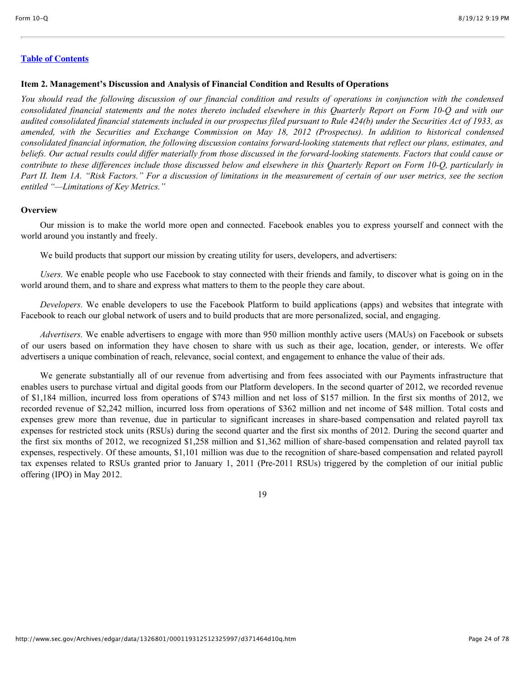#### **Item 2. Management's Discussion and Analysis of Financial Condition and Results of Operations**

*You should read the following discussion of our financial condition and results of operations in conjunction with the condensed consolidated financial statements and the notes thereto included elsewhere in this Quarterly Report on Form 10-Q and with our audited consolidated financial statements included in our prospectus filed pursuant to Rule 424(b) under the Securities Act of 1933, as amended, with the Securities and Exchange Commission on May 18, 2012 (Prospectus). In addition to historical condensed consolidated financial information, the following discussion contains forward-looking statements that reflect our plans, estimates, and beliefs. Our actual results could differ materially from those discussed in the forward-looking statements. Factors that could cause or contribute to these differences include those discussed below and elsewhere in this Quarterly Report on Form 10-Q, particularly in Part II. Item 1A. "Risk Factors." For a discussion of limitations in the measurement of certain of our user metrics, see the section entitled "—Limitations of Key Metrics."*

#### **Overview**

Our mission is to make the world more open and connected. Facebook enables you to express yourself and connect with the world around you instantly and freely.

We build products that support our mission by creating utility for users, developers, and advertisers:

*Users.* We enable people who use Facebook to stay connected with their friends and family, to discover what is going on in the world around them, and to share and express what matters to them to the people they care about.

*Developers.* We enable developers to use the Facebook Platform to build applications (apps) and websites that integrate with Facebook to reach our global network of users and to build products that are more personalized, social, and engaging.

*Advertisers.* We enable advertisers to engage with more than 950 million monthly active users (MAUs) on Facebook or subsets of our users based on information they have chosen to share with us such as their age, location, gender, or interests. We offer advertisers a unique combination of reach, relevance, social context, and engagement to enhance the value of their ads.

We generate substantially all of our revenue from advertising and from fees associated with our Payments infrastructure that enables users to purchase virtual and digital goods from our Platform developers. In the second quarter of 2012, we recorded revenue of \$1,184 million, incurred loss from operations of \$743 million and net loss of \$157 million. In the first six months of 2012, we recorded revenue of \$2,242 million, incurred loss from operations of \$362 million and net income of \$48 million. Total costs and expenses grew more than revenue, due in particular to significant increases in share-based compensation and related payroll tax expenses for restricted stock units (RSUs) during the second quarter and the first six months of 2012. During the second quarter and the first six months of 2012, we recognized \$1,258 million and \$1,362 million of share-based compensation and related payroll tax expenses, respectively. Of these amounts, \$1,101 million was due to the recognition of share-based compensation and related payroll tax expenses related to RSUs granted prior to January 1, 2011 (Pre-2011 RSUs) triggered by the completion of our initial public offering (IPO) in May 2012.

<sup>19</sup>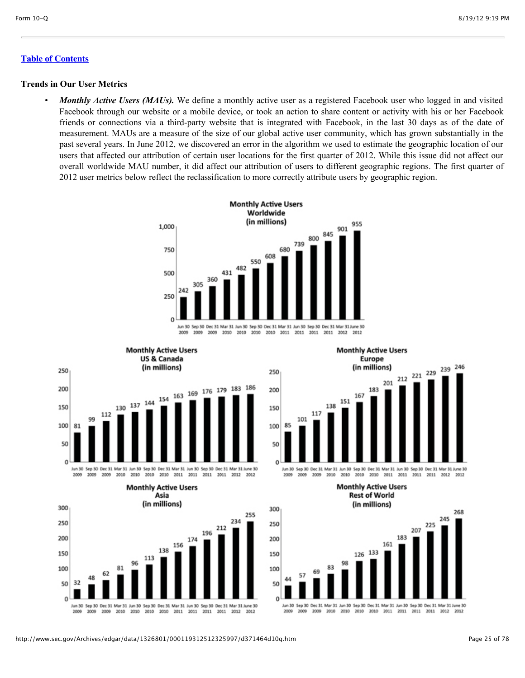#### **Trends in Our User Metrics**

*Monthly Active Users (MAUs).* We define a monthly active user as a registered Facebook user who logged in and visited Facebook through our website or a mobile device, or took an action to share content or activity with his or her Facebook friends or connections via a third-party website that is integrated with Facebook, in the last 30 days as of the date of measurement. MAUs are a measure of the size of our global active user community, which has grown substantially in the past several years. In June 2012, we discovered an error in the algorithm we used to estimate the geographic location of our users that affected our attribution of certain user locations for the first quarter of 2012. While this issue did not affect our overall worldwide MAU number, it did affect our attribution of users to different geographic regions. The first quarter of 2012 user metrics below reflect the reclassification to more correctly attribute users by geographic region.





**Monthly Active Users** 





**Monthly Active Users Rest of World** (in millions)

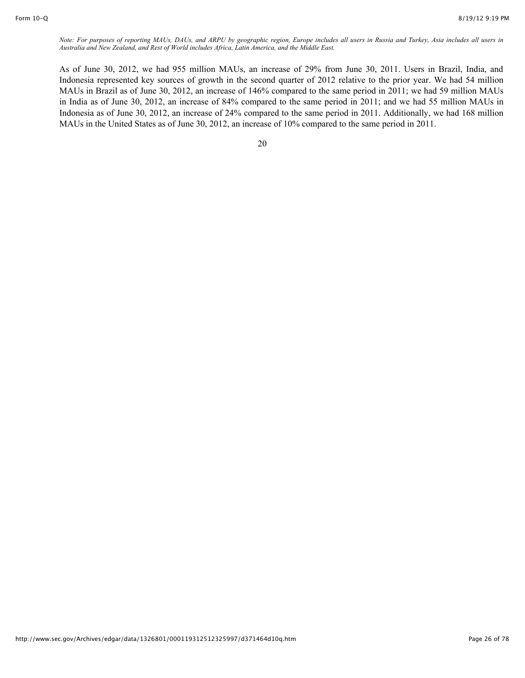*Note: For purposes of reporting MAUs, DAUs, and ARPU by geographic region, Europe includes all users in Russia and Turkey, Asia includes all users in Australia and New Zealand, and Rest of World includes Africa, Latin America, and the Middle East.*

As of June 30, 2012, we had 955 million MAUs, an increase of 29% from June 30, 2011. Users in Brazil, India, and Indonesia represented key sources of growth in the second quarter of 2012 relative to the prior year. We had 54 million MAUs in Brazil as of June 30, 2012, an increase of 146% compared to the same period in 2011; we had 59 million MAUs in India as of June 30, 2012, an increase of 84% compared to the same period in 2011; and we had 55 million MAUs in Indonesia as of June 30, 2012, an increase of 24% compared to the same period in 2011. Additionally, we had 168 million MAUs in the United States as of June 30, 2012, an increase of 10% compared to the same period in 2011.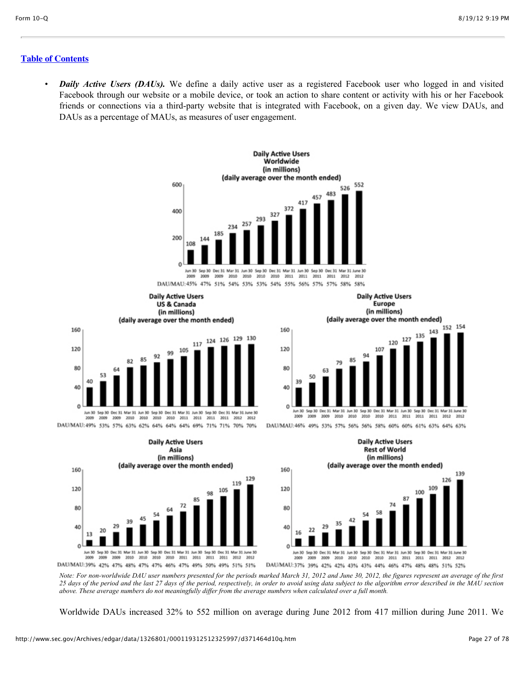152 154

143 135

#### **[Table of Contents](http://www.sec.gov/Archives/edgar/data/1326801/000119312512325997/d371464d10q.htm#toc)**

• *Daily Active Users (DAUs)*. We define a daily active user as a registered Facebook user who logged in and visited Facebook through our website or a mobile device, or took an action to share content or activity with his or her Facebook friends or connections via a third-party website that is integrated with Facebook, on a given day. We view DAUs, and DAUs as a percentage of MAUs, as measures of user engagement.



Jun 30 Sep 30 Dec 31 Mar 31 Jun 30 Sep 30 Dec 31 Mar 31 Jun 30 Sep 30 Dec 31 Mar 31 June 30 2010 2010 2010 2011 2011 2011 2011 2012 3012 2009 2009 2010 DAU/MAU: 49% 53% 57% 63% 62% 64% 64% 64% 69% 71% 71% 70% 70%



2010 DAU/MAU:46% 49% 53% 57% 56% 56% 58% 60% 60% 61% 63% 64% 63%

2011

2011 2011 2011 2012

2010



*Note: For non-worldwide DAU user numbers presented for the periods marked March 31, 2012 and June 30, 2012, the figures represent an average of the first 25 days of the period and the last 27 days of the period, respectively, in order to avoid using data subject to the algorithm error described in the MAU section above. These average numbers do not meaningfully differ from the average numbers when calculated over a full month.*

2009 2009 2009 2010 2010

Worldwide DAUs increased 32% to 552 million on average during June 2012 from 417 million during June 2011. We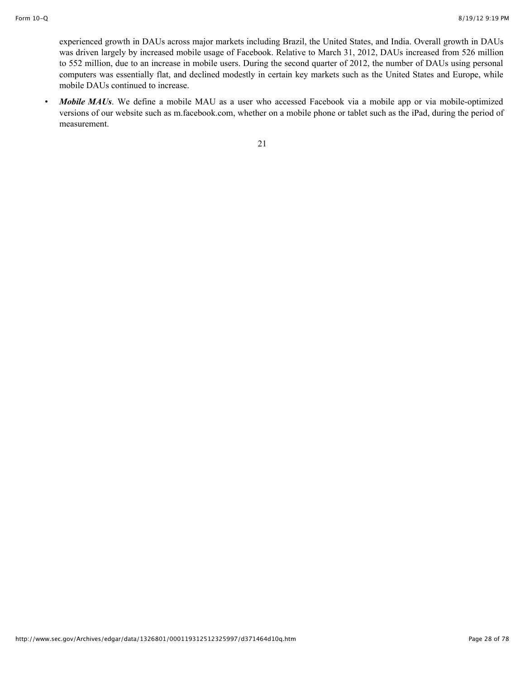experienced growth in DAUs across major markets including Brazil, the United States, and India. Overall growth in DAUs was driven largely by increased mobile usage of Facebook. Relative to March 31, 2012, DAUs increased from 526 million to 552 million, due to an increase in mobile users. During the second quarter of 2012, the number of DAUs using personal computers was essentially flat, and declined modestly in certain key markets such as the United States and Europe, while mobile DAUs continued to increase.

• *Mobile MAUs*. We define a mobile MAU as a user who accessed Facebook via a mobile app or via mobile-optimized versions of our website such as m.facebook.com, whether on a mobile phone or tablet such as the iPad, during the period of measurement.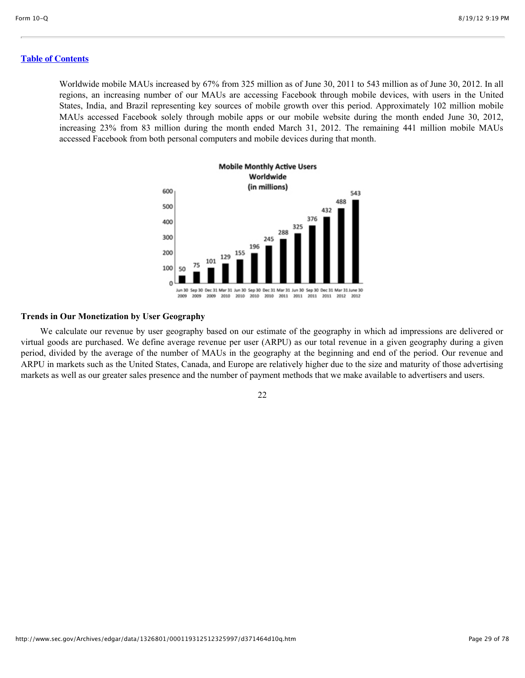Worldwide mobile MAUs increased by 67% from 325 million as of June 30, 2011 to 543 million as of June 30, 2012. In all regions, an increasing number of our MAUs are accessing Facebook through mobile devices, with users in the United States, India, and Brazil representing key sources of mobile growth over this period. Approximately 102 million mobile MAUs accessed Facebook solely through mobile apps or our mobile website during the month ended June 30, 2012, increasing 23% from 83 million during the month ended March 31, 2012. The remaining 441 million mobile MAUs accessed Facebook from both personal computers and mobile devices during that month.



#### **Trends in Our Monetization by User Geography**

We calculate our revenue by user geography based on our estimate of the geography in which ad impressions are delivered or virtual goods are purchased. We define average revenue per user (ARPU) as our total revenue in a given geography during a given period, divided by the average of the number of MAUs in the geography at the beginning and end of the period. Our revenue and ARPU in markets such as the United States, Canada, and Europe are relatively higher due to the size and maturity of those advertising markets as well as our greater sales presence and the number of payment methods that we make available to advertisers and users.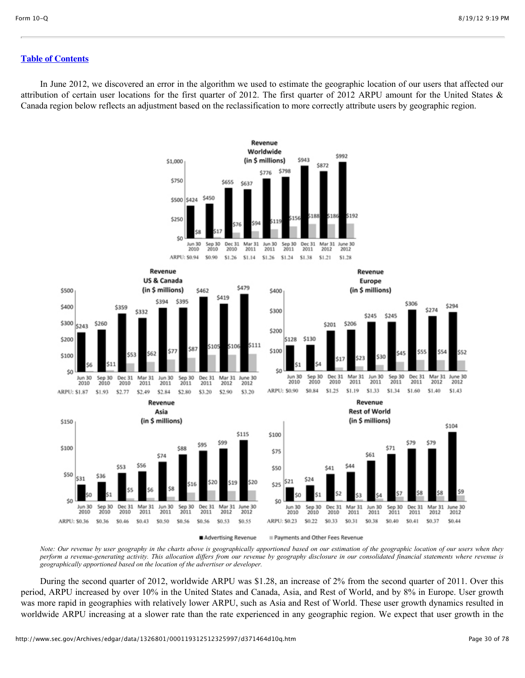In June 2012, we discovered an error in the algorithm we used to estimate the geographic location of our users that affected our attribution of certain user locations for the first quarter of 2012. The first quarter of 2012 ARPU amount for the United States  $\&$ Canada region below reflects an adjustment based on the reclassification to more correctly attribute users by geographic region.



*Note: Our revenue by user geography in the charts above is geographically apportioned based on our estimation of the geographic location of our users when they perform a revenue-generating activity. This allocation differs from our revenue by geography disclosure in our consolidated financial statements where revenue is geographically apportioned based on the location of the advertiser or developer.*

During the second quarter of 2012, worldwide ARPU was \$1.28, an increase of 2% from the second quarter of 2011. Over this period, ARPU increased by over 10% in the United States and Canada, Asia, and Rest of World, and by 8% in Europe. User growth was more rapid in geographies with relatively lower ARPU, such as Asia and Rest of World. These user growth dynamics resulted in worldwide ARPU increasing at a slower rate than the rate experienced in any geographic region. We expect that user growth in the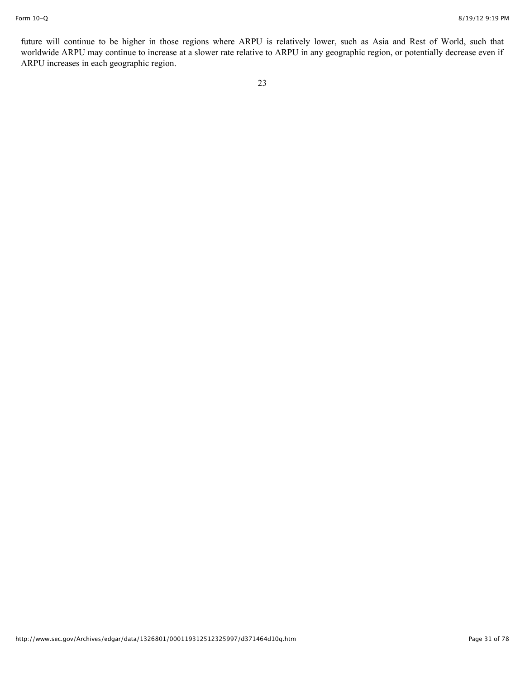future will continue to be higher in those regions where ARPU is relatively lower, such as Asia and Rest of World, such that worldwide ARPU may continue to increase at a slower rate relative to ARPU in any geographic region, or potentially decrease even if ARPU increases in each geographic region.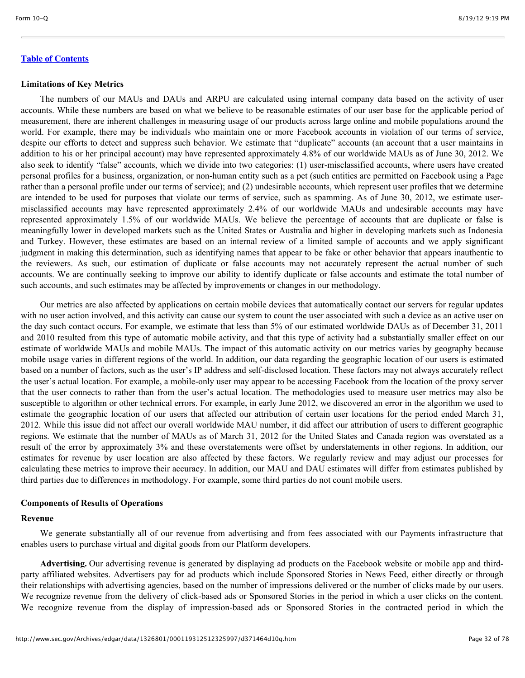#### **Limitations of Key Metrics**

The numbers of our MAUs and DAUs and ARPU are calculated using internal company data based on the activity of user accounts. While these numbers are based on what we believe to be reasonable estimates of our user base for the applicable period of measurement, there are inherent challenges in measuring usage of our products across large online and mobile populations around the world. For example, there may be individuals who maintain one or more Facebook accounts in violation of our terms of service, despite our efforts to detect and suppress such behavior. We estimate that "duplicate" accounts (an account that a user maintains in addition to his or her principal account) may have represented approximately 4.8% of our worldwide MAUs as of June 30, 2012. We also seek to identify "false" accounts, which we divide into two categories: (1) user-misclassified accounts, where users have created personal profiles for a business, organization, or non-human entity such as a pet (such entities are permitted on Facebook using a Page rather than a personal profile under our terms of service); and (2) undesirable accounts, which represent user profiles that we determine are intended to be used for purposes that violate our terms of service, such as spamming. As of June 30, 2012, we estimate usermisclassified accounts may have represented approximately 2.4% of our worldwide MAUs and undesirable accounts may have represented approximately 1.5% of our worldwide MAUs. We believe the percentage of accounts that are duplicate or false is meaningfully lower in developed markets such as the United States or Australia and higher in developing markets such as Indonesia and Turkey. However, these estimates are based on an internal review of a limited sample of accounts and we apply significant judgment in making this determination, such as identifying names that appear to be fake or other behavior that appears inauthentic to the reviewers. As such, our estimation of duplicate or false accounts may not accurately represent the actual number of such accounts. We are continually seeking to improve our ability to identify duplicate or false accounts and estimate the total number of such accounts, and such estimates may be affected by improvements or changes in our methodology.

Our metrics are also affected by applications on certain mobile devices that automatically contact our servers for regular updates with no user action involved, and this activity can cause our system to count the user associated with such a device as an active user on the day such contact occurs. For example, we estimate that less than 5% of our estimated worldwide DAUs as of December 31, 2011 and 2010 resulted from this type of automatic mobile activity, and that this type of activity had a substantially smaller effect on our estimate of worldwide MAUs and mobile MAUs. The impact of this automatic activity on our metrics varies by geography because mobile usage varies in different regions of the world. In addition, our data regarding the geographic location of our users is estimated based on a number of factors, such as the user's IP address and self-disclosed location. These factors may not always accurately reflect the user's actual location. For example, a mobile-only user may appear to be accessing Facebook from the location of the proxy server that the user connects to rather than from the user's actual location. The methodologies used to measure user metrics may also be susceptible to algorithm or other technical errors. For example, in early June 2012, we discovered an error in the algorithm we used to estimate the geographic location of our users that affected our attribution of certain user locations for the period ended March 31, 2012. While this issue did not affect our overall worldwide MAU number, it did affect our attribution of users to different geographic regions. We estimate that the number of MAUs as of March 31, 2012 for the United States and Canada region was overstated as a result of the error by approximately 3% and these overstatements were offset by understatements in other regions. In addition, our estimates for revenue by user location are also affected by these factors. We regularly review and may adjust our processes for calculating these metrics to improve their accuracy. In addition, our MAU and DAU estimates will differ from estimates published by third parties due to differences in methodology. For example, some third parties do not count mobile users.

#### **Components of Results of Operations**

#### **Revenue**

We generate substantially all of our revenue from advertising and from fees associated with our Payments infrastructure that enables users to purchase virtual and digital goods from our Platform developers.

**Advertising.** Our advertising revenue is generated by displaying ad products on the Facebook website or mobile app and thirdparty affiliated websites. Advertisers pay for ad products which include Sponsored Stories in News Feed, either directly or through their relationships with advertising agencies, based on the number of impressions delivered or the number of clicks made by our users. We recognize revenue from the delivery of click-based ads or Sponsored Stories in the period in which a user clicks on the content. We recognize revenue from the display of impression-based ads or Sponsored Stories in the contracted period in which the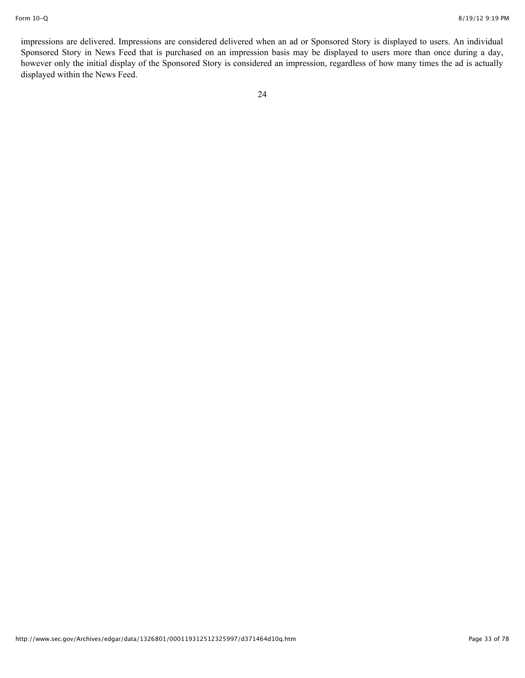impressions are delivered. Impressions are considered delivered when an ad or Sponsored Story is displayed to users. An individual Sponsored Story in News Feed that is purchased on an impression basis may be displayed to users more than once during a day, however only the initial display of the Sponsored Story is considered an impression, regardless of how many times the ad is actually displayed within the News Feed.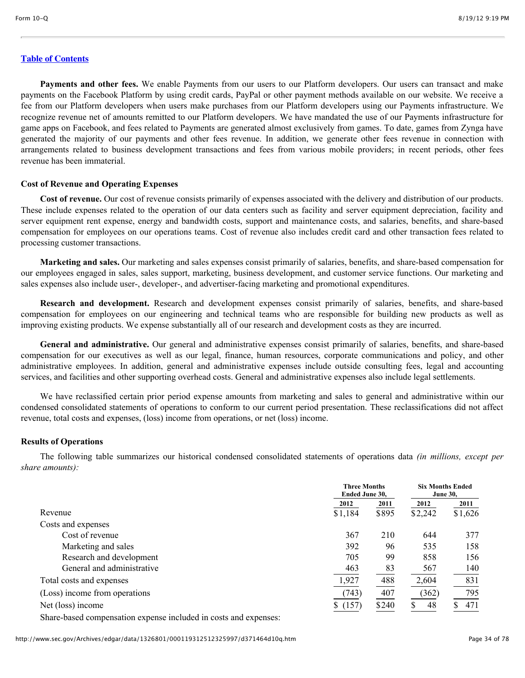**Payments and other fees.** We enable Payments from our users to our Platform developers. Our users can transact and make payments on the Facebook Platform by using credit cards, PayPal or other payment methods available on our website. We receive a fee from our Platform developers when users make purchases from our Platform developers using our Payments infrastructure. We recognize revenue net of amounts remitted to our Platform developers. We have mandated the use of our Payments infrastructure for game apps on Facebook, and fees related to Payments are generated almost exclusively from games. To date, games from Zynga have generated the majority of our payments and other fees revenue. In addition, we generate other fees revenue in connection with arrangements related to business development transactions and fees from various mobile providers; in recent periods, other fees revenue has been immaterial.

#### **Cost of Revenue and Operating Expenses**

**Cost of revenue.** Our cost of revenue consists primarily of expenses associated with the delivery and distribution of our products. These include expenses related to the operation of our data centers such as facility and server equipment depreciation, facility and server equipment rent expense, energy and bandwidth costs, support and maintenance costs, and salaries, benefits, and share-based compensation for employees on our operations teams. Cost of revenue also includes credit card and other transaction fees related to processing customer transactions.

**Marketing and sales.** Our marketing and sales expenses consist primarily of salaries, benefits, and share-based compensation for our employees engaged in sales, sales support, marketing, business development, and customer service functions. Our marketing and sales expenses also include user-, developer-, and advertiser-facing marketing and promotional expenditures.

**Research and development.** Research and development expenses consist primarily of salaries, benefits, and share-based compensation for employees on our engineering and technical teams who are responsible for building new products as well as improving existing products. We expense substantially all of our research and development costs as they are incurred.

**General and administrative.** Our general and administrative expenses consist primarily of salaries, benefits, and share-based compensation for our executives as well as our legal, finance, human resources, corporate communications and policy, and other administrative employees. In addition, general and administrative expenses include outside consulting fees, legal and accounting services, and facilities and other supporting overhead costs. General and administrative expenses also include legal settlements.

We have reclassified certain prior period expense amounts from marketing and sales to general and administrative within our condensed consolidated statements of operations to conform to our current period presentation. These reclassifications did not affect revenue, total costs and expenses, (loss) income from operations, or net (loss) income.

#### **Results of Operations**

The following table summarizes our historical condensed consolidated statements of operations data *(in millions, except per share amounts):*

|                                                                  | <b>Three Months</b><br><b>Ended June 30.</b> | <b>Six Months Ended</b><br><b>June 30.</b> |         |           |
|------------------------------------------------------------------|----------------------------------------------|--------------------------------------------|---------|-----------|
|                                                                  | 2012                                         | 2011                                       | 2012    | 2011      |
| Revenue                                                          | \$1,184                                      | \$895                                      | \$2,242 | \$1,626   |
| Costs and expenses                                               |                                              |                                            |         |           |
| Cost of revenue                                                  | 367                                          | 210                                        | 644     | 377       |
| Marketing and sales                                              | 392                                          | 96                                         | 535     | 158       |
| Research and development                                         | 705                                          | 99                                         | 858     | 156       |
| General and administrative                                       | 463                                          | 83                                         | 567     | 140       |
| Total costs and expenses                                         | 1,927                                        | 488                                        | 2,604   | 831       |
| (Loss) income from operations                                    | (743)                                        | 407                                        | (362)   | 795       |
| Net (loss) income                                                | \$(157)                                      | \$240                                      | 48      | 471<br>S. |
| Shore hosed compensation expanse included in costs and expanses: |                                              |                                            |         |           |

Share-based compensation expense included in costs and expenses: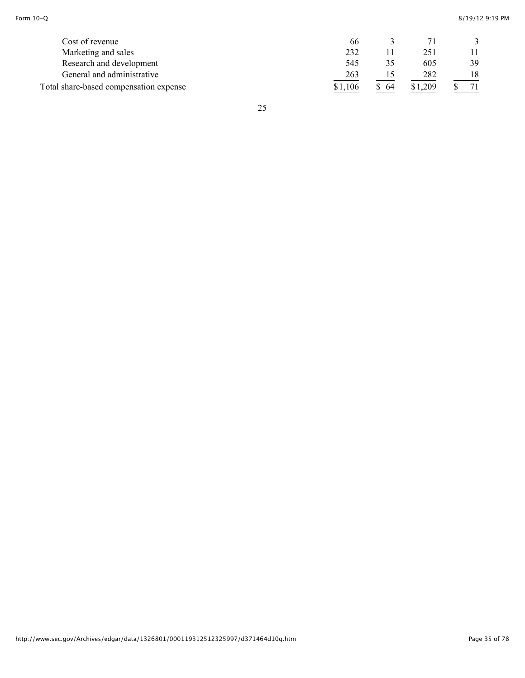| Cost of revenue                        | 66      |       |         |    |
|----------------------------------------|---------|-------|---------|----|
| Marketing and sales                    | 232     |       | 251     |    |
| Research and development               | 545     | 35    | 605     | 39 |
| General and administrative             | 263     |       | 282     | 18 |
| Total share-based compensation expense | \$1,106 | \$ 64 | \$1,209 |    |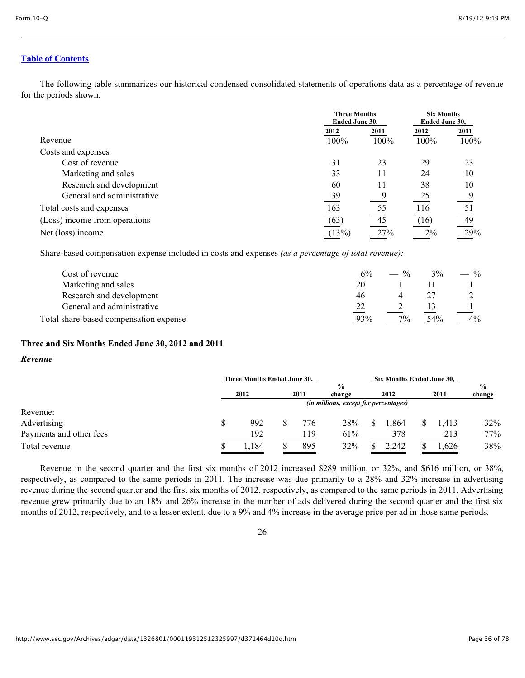The following table summarizes our historical condensed consolidated statements of operations data as a percentage of revenue for the periods shown:

|                               |       | <b>Three Months</b><br>Ended June 30, |       | <b>Six Months</b><br><b>Ended June 30,</b> |
|-------------------------------|-------|---------------------------------------|-------|--------------------------------------------|
|                               | 2012  | 2011                                  | 2012  | 2011                                       |
| Revenue                       | 100%  | 100%                                  | 100%  | 100%                                       |
| Costs and expenses            |       |                                       |       |                                            |
| Cost of revenue               | 31    | 23                                    | 29    | 23                                         |
| Marketing and sales           | 33    | 11                                    | 24    | 10                                         |
| Research and development      | 60    |                                       | 38    | 10                                         |
| General and administrative    | 39    | 9                                     | 25    | 9                                          |
| Total costs and expenses      | 163   | 55                                    | 116   | 51                                         |
| (Loss) income from operations | (63)  | 45                                    | (16)  | 49                                         |
| Net (loss) income             | (13%) | 27%                                   | $2\%$ | 29%                                        |

Share-based compensation expense included in costs and expenses *(as a percentage of total revenue):*

| Cost of revenue                        | 6%  | $-$ % | $3\%$           | $-$ % |
|----------------------------------------|-----|-------|-----------------|-------|
| Marketing and sales                    | 20  |       |                 |       |
| Research and development               | 46  |       |                 |       |
| General and administrative             | 22  |       |                 |       |
| Total share-based compensation expense | 93% | $7\%$ | 54 <sup>%</sup> | $4\%$ |

#### **Three and Six Months Ended June 30, 2012 and 2011**

#### *Revenue*

|                         | Three Months Ended June 30,           |       |  |      | Six Months Ended June 30, |  |       |  |       |                         |
|-------------------------|---------------------------------------|-------|--|------|---------------------------|--|-------|--|-------|-------------------------|
|                         |                                       | 2012  |  | 2011 | $\frac{0}{0}$<br>change   |  | 2012  |  | 2011  | $\frac{0}{0}$<br>change |
|                         | (in millions, except for percentages) |       |  |      |                           |  |       |  |       |                         |
| Revenue:                |                                       |       |  |      |                           |  |       |  |       |                         |
| Advertising             |                                       | 992   |  | 776  | 28%                       |  | .864  |  | 1.413 | 32%                     |
| Payments and other fees |                                       | 192   |  | 119  | 61%                       |  | 378   |  | 213   | 77%                     |
| Total revenue           |                                       | 1,184 |  | 895  | 32%                       |  | 2,242 |  | 1,626 | 38%                     |

Revenue in the second quarter and the first six months of 2012 increased \$289 million, or 32%, and \$616 million, or 38%, respectively, as compared to the same periods in 2011. The increase was due primarily to a 28% and 32% increase in advertising revenue during the second quarter and the first six months of 2012, respectively, as compared to the same periods in 2011. Advertising revenue grew primarily due to an 18% and 26% increase in the number of ads delivered during the second quarter and the first six months of 2012, respectively, and to a lesser extent, due to a 9% and 4% increase in the average price per ad in those same periods.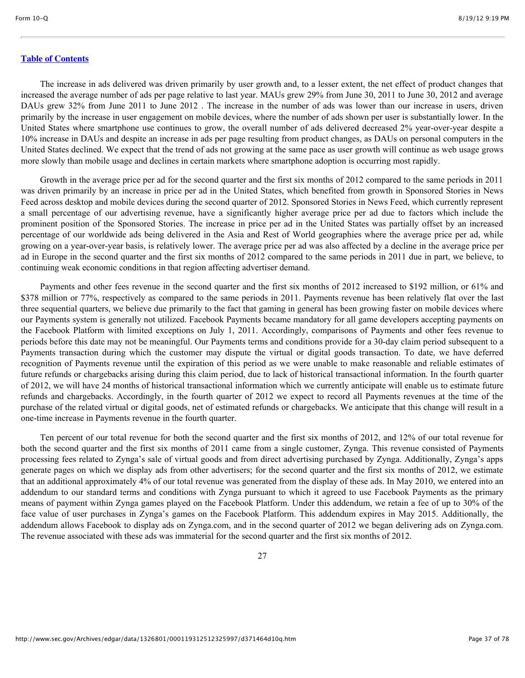The increase in ads delivered was driven primarily by user growth and, to a lesser extent, the net effect of product changes that increased the average number of ads per page relative to last year. MAUs grew 29% from June 30, 2011 to June 30, 2012 and average DAUs grew 32% from June 2011 to June 2012 . The increase in the number of ads was lower than our increase in users, driven primarily by the increase in user engagement on mobile devices, where the number of ads shown per user is substantially lower. In the United States where smartphone use continues to grow, the overall number of ads delivered decreased 2% year-over-year despite a 10% increase in DAUs and despite an increase in ads per page resulting from product changes, as DAUs on personal computers in the United States declined. We expect that the trend of ads not growing at the same pace as user growth will continue as web usage grows more slowly than mobile usage and declines in certain markets where smartphone adoption is occurring most rapidly.

Growth in the average price per ad for the second quarter and the first six months of 2012 compared to the same periods in 2011 was driven primarily by an increase in price per ad in the United States, which benefited from growth in Sponsored Stories in News Feed across desktop and mobile devices during the second quarter of 2012. Sponsored Stories in News Feed, which currently represent a small percentage of our advertising revenue, have a significantly higher average price per ad due to factors which include the prominent position of the Sponsored Stories. The increase in price per ad in the United States was partially offset by an increased percentage of our worldwide ads being delivered in the Asia and Rest of World geographies where the average price per ad, while growing on a year-over-year basis, is relatively lower. The average price per ad was also affected by a decline in the average price per ad in Europe in the second quarter and the first six months of 2012 compared to the same periods in 2011 due in part, we believe, to continuing weak economic conditions in that region affecting advertiser demand.

Payments and other fees revenue in the second quarter and the first six months of 2012 increased to \$192 million, or 61% and \$378 million or 77%, respectively as compared to the same periods in 2011. Payments revenue has been relatively flat over the last three sequential quarters, we believe due primarily to the fact that gaming in general has been growing faster on mobile devices where our Payments system is generally not utilized. Facebook Payments became mandatory for all game developers accepting payments on the Facebook Platform with limited exceptions on July 1, 2011. Accordingly, comparisons of Payments and other fees revenue to periods before this date may not be meaningful. Our Payments terms and conditions provide for a 30-day claim period subsequent to a Payments transaction during which the customer may dispute the virtual or digital goods transaction. To date, we have deferred recognition of Payments revenue until the expiration of this period as we were unable to make reasonable and reliable estimates of future refunds or chargebacks arising during this claim period, due to lack of historical transactional information. In the fourth quarter of 2012, we will have 24 months of historical transactional information which we currently anticipate will enable us to estimate future refunds and chargebacks. Accordingly, in the fourth quarter of 2012 we expect to record all Payments revenues at the time of the purchase of the related virtual or digital goods, net of estimated refunds or chargebacks. We anticipate that this change will result in a one-time increase in Payments revenue in the fourth quarter.

Ten percent of our total revenue for both the second quarter and the first six months of 2012, and 12% of our total revenue for both the second quarter and the first six months of 2011 came from a single customer, Zynga. This revenue consisted of Payments processing fees related to Zynga's sale of virtual goods and from direct advertising purchased by Zynga. Additionally, Zynga's apps generate pages on which we display ads from other advertisers; for the second quarter and the first six months of 2012, we estimate that an additional approximately 4% of our total revenue was generated from the display of these ads. In May 2010, we entered into an addendum to our standard terms and conditions with Zynga pursuant to which it agreed to use Facebook Payments as the primary means of payment within Zynga games played on the Facebook Platform. Under this addendum, we retain a fee of up to 30% of the face value of user purchases in Zynga's games on the Facebook Platform. This addendum expires in May 2015. Additionally, the addendum allows Facebook to display ads on Zynga.com, and in the second quarter of 2012 we began delivering ads on Zynga.com. The revenue associated with these ads was immaterial for the second quarter and the first six months of 2012.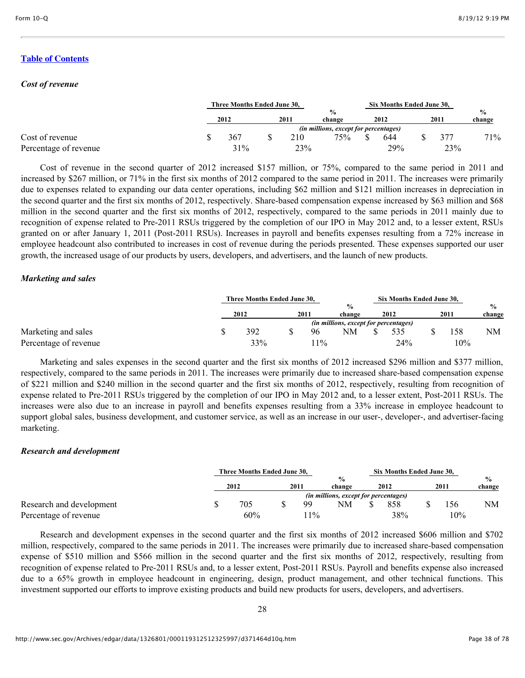### *Cost of revenue*

|                       | Three Months Ended June 30.                  |  |                | Six Months Ended June 30. |      |     |      |     |               |  |
|-----------------------|----------------------------------------------|--|----------------|---------------------------|------|-----|------|-----|---------------|--|
|                       |                                              |  |                | $\frac{0}{0}$             |      |     |      |     | $\frac{0}{0}$ |  |
|                       | 2012                                         |  | 2011<br>change |                           | 2012 |     | 2011 |     | change        |  |
|                       | <i>(in millions, except for percentages)</i> |  |                |                           |      |     |      |     |               |  |
| Cost of revenue       | 367                                          |  | 210            | 75%                       |      | 644 |      |     | 71%           |  |
| Percentage of revenue | 31%                                          |  | 23%            |                           |      | 29% |      | 23% |               |  |

Cost of revenue in the second quarter of 2012 increased \$157 million, or 75%, compared to the same period in 2011 and increased by \$267 million, or 71% in the first six months of 2012 compared to the same period in 2011. The increases were primarily due to expenses related to expanding our data center operations, including \$62 million and \$121 million increases in depreciation in the second quarter and the first six months of 2012, respectively. Share-based compensation expense increased by \$63 million and \$68 million in the second quarter and the first six months of 2012, respectively, compared to the same periods in 2011 mainly due to recognition of expense related to Pre-2011 RSUs triggered by the completion of our IPO in May 2012 and, to a lesser extent, RSUs granted on or after January 1, 2011 (Post-2011 RSUs). Increases in payroll and benefits expenses resulting from a 72% increase in employee headcount also contributed to increases in cost of revenue during the periods presented. These expenses supported our user growth, the increased usage of our products by users, developers, and advertisers, and the launch of new products.

### *Marketing and sales*

|                       | Three Months Ended June 30. |  | Six Months Ended June 30, |                                              |  |      |      |               |        |
|-----------------------|-----------------------------|--|---------------------------|----------------------------------------------|--|------|------|---------------|--------|
|                       | $\frac{0}{0}$               |  |                           |                                              |  |      |      | $\frac{0}{0}$ |        |
|                       | 2012                        |  | 2011                      | change                                       |  | 2012 | 2011 |               | change |
|                       |                             |  |                           | <i>(in millions, except for percentages)</i> |  |      |      |               |        |
| Marketing and sales   | 392                         |  | 96                        | NΜ                                           |  | 535  |      | 58ء           | NM     |
| Percentage of revenue | 33%                         |  | $1\%$                     |                                              |  | 24%  |      | 10%           |        |

Marketing and sales expenses in the second quarter and the first six months of 2012 increased \$296 million and \$377 million, respectively, compared to the same periods in 2011. The increases were primarily due to increased share-based compensation expense of \$221 million and \$240 million in the second quarter and the first six months of 2012, respectively, resulting from recognition of expense related to Pre-2011 RSUs triggered by the completion of our IPO in May 2012 and, to a lesser extent, Post-2011 RSUs. The increases were also due to an increase in payroll and benefits expenses resulting from a 33% increase in employee headcount to support global sales, business development, and customer service, as well as an increase in our user-, developer-, and advertiser-facing marketing.

### *Research and development*

|                          | Three Months Ended June 30. |  |                |                                              |      | Six Months Ended June 30. |      |      |               |  |
|--------------------------|-----------------------------|--|----------------|----------------------------------------------|------|---------------------------|------|------|---------------|--|
|                          | $\frac{0}{0}$               |  |                |                                              |      |                           |      |      | $\frac{0}{0}$ |  |
|                          | 2012                        |  | 2011<br>change |                                              | 2012 |                           | 2011 |      | change        |  |
|                          |                             |  |                | <i>(in millions, except for percentages)</i> |      |                           |      |      |               |  |
| Research and development | 705                         |  | 99             | NΜ                                           |      | 858                       |      | . 56 | NΜ            |  |
| Percentage of revenue    | 60%                         |  | $1\%$          |                                              |      | 38%                       |      | 10%  |               |  |

Research and development expenses in the second quarter and the first six months of 2012 increased \$606 million and \$702 million, respectively, compared to the same periods in 2011. The increases were primarily due to increased share-based compensation expense of \$510 million and \$566 million in the second quarter and the first six months of 2012, respectively, resulting from recognition of expense related to Pre-2011 RSUs and, to a lesser extent, Post-2011 RSUs. Payroll and benefits expense also increased due to a 65% growth in employee headcount in engineering, design, product management, and other technical functions. This investment supported our efforts to improve existing products and build new products for users, developers, and advertisers.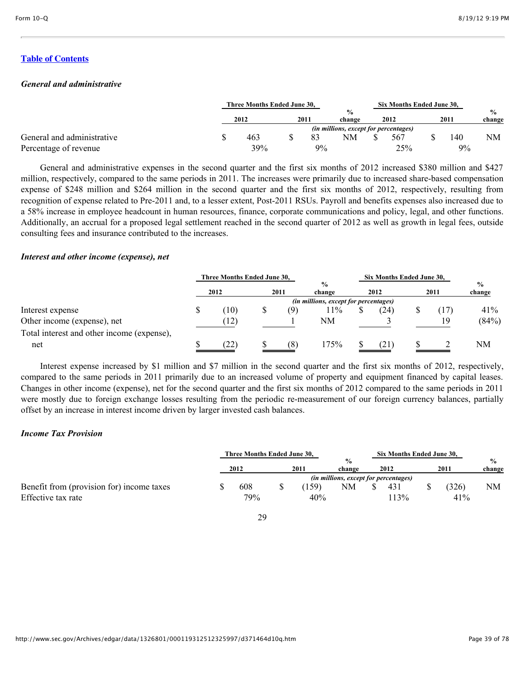### *General and administrative*

|                            | Three Months Ended June 30. |  |      |                                       | Six Months Ended June 30. |     |      |     |                         |  |
|----------------------------|-----------------------------|--|------|---------------------------------------|---------------------------|-----|------|-----|-------------------------|--|
|                            | $\frac{0}{0}$               |  |      |                                       |                           |     | 2011 |     | $\frac{0}{0}$<br>change |  |
|                            | 2012                        |  | 2011 |                                       | 2012<br>change            |     |      |     |                         |  |
|                            |                             |  |      | (in millions, except for percentages) |                           |     |      |     |                         |  |
| General and administrative | 463                         |  | 83   | NΜ                                    |                           | 567 |      | 140 | NΜ                      |  |
| Percentage of revenue      | 39%                         |  | 9%   |                                       |                           | 25% |      | 9%  |                         |  |

General and administrative expenses in the second quarter and the first six months of 2012 increased \$380 million and \$427 million, respectively, compared to the same periods in 2011. The increases were primarily due to increased share-based compensation expense of \$248 million and \$264 million in the second quarter and the first six months of 2012, respectively, resulting from recognition of expense related to Pre-2011 and, to a lesser extent, Post-2011 RSUs. Payroll and benefits expenses also increased due to a 58% increase in employee headcount in human resources, finance, corporate communications and policy, legal, and other functions. Additionally, an accrual for a proposed legal settlement reached in the second quarter of 2012 as well as growth in legal fees, outside consulting fees and insurance contributed to the increases.

#### *Interest and other income (expense), net*

|                                            | Three Months Ended June 30, |           |  |      |                                              | Six Months Ended June 30, |  |      |                         |
|--------------------------------------------|-----------------------------|-----------|--|------|----------------------------------------------|---------------------------|--|------|-------------------------|
|                                            |                             | 2012      |  | 2011 | $\frac{0}{0}$<br>change                      | 2012                      |  | 2011 | $\frac{0}{0}$<br>change |
|                                            |                             |           |  |      | <i>(in millions, except for percentages)</i> |                           |  |      |                         |
| Interest expense                           |                             | (10)      |  | (9)  | $1\%$                                        | (24)                      |  | (17) | 41%                     |
| Other income (expense), net                |                             | (12)      |  |      | NΜ                                           |                           |  | 19   | (84%)                   |
| Total interest and other income (expense), |                             |           |  |      |                                              |                           |  |      |                         |
| net                                        |                             | $^{(22)}$ |  | (8)  | 175%                                         | (21                       |  |      | NΜ                      |

Interest expense increased by \$1 million and \$7 million in the second quarter and the first six months of 2012, respectively, compared to the same periods in 2011 primarily due to an increased volume of property and equipment financed by capital leases. Changes in other income (expense), net for the second quarter and the first six months of 2012 compared to the same periods in 2011 were mostly due to foreign exchange losses resulting from the periodic re-measurement of our foreign currency balances, partially offset by an increase in interest income driven by larger invested cash balances.

# *Income Tax Provision*

|                                           | Three Months Ended June 30. |     |      |       |               | Six Months Ended June 30, |                                              |  |     |        |  |
|-------------------------------------------|-----------------------------|-----|------|-------|---------------|---------------------------|----------------------------------------------|--|-----|--------|--|
|                                           |                             |     |      |       | $\frac{0}{0}$ |                           |                                              |  |     |        |  |
|                                           | 2012                        |     | 2011 |       | change        |                           | 2011<br>2012                                 |  |     | change |  |
|                                           |                             |     |      |       |               |                           | <i>(in millions, except for percentages)</i> |  |     |        |  |
| Benefit from (provision for) income taxes |                             | 608 |      | (159) | NΜ            |                           | 431                                          |  | 326 | NΜ     |  |
| Effective tax rate                        |                             | 79% |      | 40%   |               |                           | 13%                                          |  | 41% |        |  |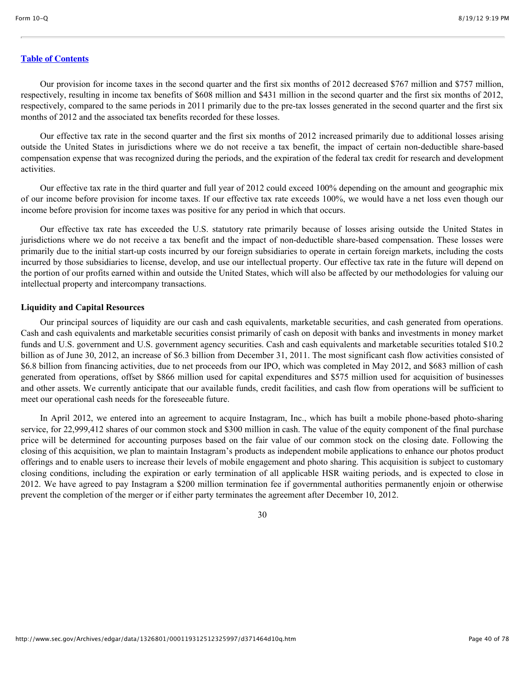Our provision for income taxes in the second quarter and the first six months of 2012 decreased \$767 million and \$757 million, respectively, resulting in income tax benefits of \$608 million and \$431 million in the second quarter and the first six months of 2012, respectively, compared to the same periods in 2011 primarily due to the pre-tax losses generated in the second quarter and the first six months of 2012 and the associated tax benefits recorded for these losses.

Our effective tax rate in the second quarter and the first six months of 2012 increased primarily due to additional losses arising outside the United States in jurisdictions where we do not receive a tax benefit, the impact of certain non-deductible share-based compensation expense that was recognized during the periods, and the expiration of the federal tax credit for research and development activities.

Our effective tax rate in the third quarter and full year of 2012 could exceed 100% depending on the amount and geographic mix of our income before provision for income taxes. If our effective tax rate exceeds 100%, we would have a net loss even though our income before provision for income taxes was positive for any period in which that occurs.

Our effective tax rate has exceeded the U.S. statutory rate primarily because of losses arising outside the United States in jurisdictions where we do not receive a tax benefit and the impact of non-deductible share-based compensation. These losses were primarily due to the initial start-up costs incurred by our foreign subsidiaries to operate in certain foreign markets, including the costs incurred by those subsidiaries to license, develop, and use our intellectual property. Our effective tax rate in the future will depend on the portion of our profits earned within and outside the United States, which will also be affected by our methodologies for valuing our intellectual property and intercompany transactions.

### **Liquidity and Capital Resources**

Our principal sources of liquidity are our cash and cash equivalents, marketable securities, and cash generated from operations. Cash and cash equivalents and marketable securities consist primarily of cash on deposit with banks and investments in money market funds and U.S. government and U.S. government agency securities. Cash and cash equivalents and marketable securities totaled \$10.2 billion as of June 30, 2012, an increase of \$6.3 billion from December 31, 2011. The most significant cash flow activities consisted of \$6.8 billion from financing activities, due to net proceeds from our IPO, which was completed in May 2012, and \$683 million of cash generated from operations, offset by \$866 million used for capital expenditures and \$575 million used for acquisition of businesses and other assets. We currently anticipate that our available funds, credit facilities, and cash flow from operations will be sufficient to meet our operational cash needs for the foreseeable future.

In April 2012, we entered into an agreement to acquire Instagram, Inc., which has built a mobile phone-based photo-sharing service, for 22,999,412 shares of our common stock and \$300 million in cash. The value of the equity component of the final purchase price will be determined for accounting purposes based on the fair value of our common stock on the closing date. Following the closing of this acquisition, we plan to maintain Instagram's products as independent mobile applications to enhance our photos product offerings and to enable users to increase their levels of mobile engagement and photo sharing. This acquisition is subject to customary closing conditions, including the expiration or early termination of all applicable HSR waiting periods, and is expected to close in 2012. We have agreed to pay Instagram a \$200 million termination fee if governmental authorities permanently enjoin or otherwise prevent the completion of the merger or if either party terminates the agreement after December 10, 2012.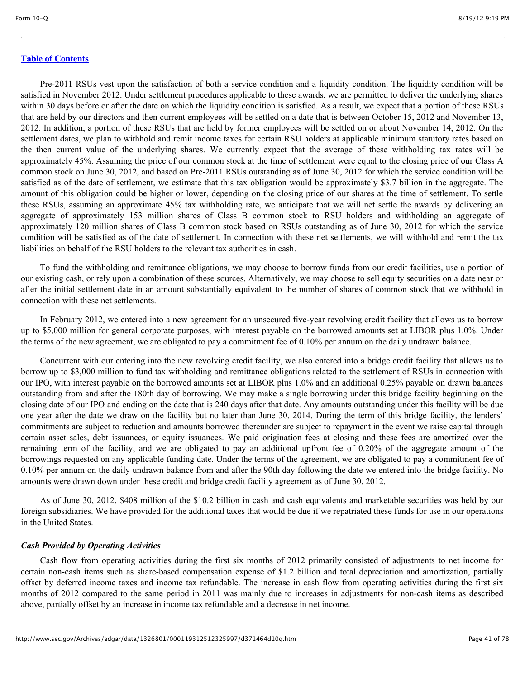Pre-2011 RSUs vest upon the satisfaction of both a service condition and a liquidity condition. The liquidity condition will be satisfied in November 2012. Under settlement procedures applicable to these awards, we are permitted to deliver the underlying shares within 30 days before or after the date on which the liquidity condition is satisfied. As a result, we expect that a portion of these RSUs that are held by our directors and then current employees will be settled on a date that is between October 15, 2012 and November 13, 2012. In addition, a portion of these RSUs that are held by former employees will be settled on or about November 14, 2012. On the settlement dates, we plan to withhold and remit income taxes for certain RSU holders at applicable minimum statutory rates based on the then current value of the underlying shares. We currently expect that the average of these withholding tax rates will be approximately 45%. Assuming the price of our common stock at the time of settlement were equal to the closing price of our Class A common stock on June 30, 2012, and based on Pre-2011 RSUs outstanding as of June 30, 2012 for which the service condition will be satisfied as of the date of settlement, we estimate that this tax obligation would be approximately \$3.7 billion in the aggregate. The amount of this obligation could be higher or lower, depending on the closing price of our shares at the time of settlement. To settle these RSUs, assuming an approximate 45% tax withholding rate, we anticipate that we will net settle the awards by delivering an aggregate of approximately 153 million shares of Class B common stock to RSU holders and withholding an aggregate of approximately 120 million shares of Class B common stock based on RSUs outstanding as of June 30, 2012 for which the service condition will be satisfied as of the date of settlement. In connection with these net settlements, we will withhold and remit the tax liabilities on behalf of the RSU holders to the relevant tax authorities in cash.

To fund the withholding and remittance obligations, we may choose to borrow funds from our credit facilities, use a portion of our existing cash, or rely upon a combination of these sources. Alternatively, we may choose to sell equity securities on a date near or after the initial settlement date in an amount substantially equivalent to the number of shares of common stock that we withhold in connection with these net settlements.

In February 2012, we entered into a new agreement for an unsecured five-year revolving credit facility that allows us to borrow up to \$5,000 million for general corporate purposes, with interest payable on the borrowed amounts set at LIBOR plus 1.0%. Under the terms of the new agreement, we are obligated to pay a commitment fee of 0.10% per annum on the daily undrawn balance.

Concurrent with our entering into the new revolving credit facility, we also entered into a bridge credit facility that allows us to borrow up to \$3,000 million to fund tax withholding and remittance obligations related to the settlement of RSUs in connection with our IPO, with interest payable on the borrowed amounts set at LIBOR plus 1.0% and an additional 0.25% payable on drawn balances outstanding from and after the 180th day of borrowing. We may make a single borrowing under this bridge facility beginning on the closing date of our IPO and ending on the date that is 240 days after that date. Any amounts outstanding under this facility will be due one year after the date we draw on the facility but no later than June 30, 2014. During the term of this bridge facility, the lenders' commitments are subject to reduction and amounts borrowed thereunder are subject to repayment in the event we raise capital through certain asset sales, debt issuances, or equity issuances. We paid origination fees at closing and these fees are amortized over the remaining term of the facility, and we are obligated to pay an additional upfront fee of 0.20% of the aggregate amount of the borrowings requested on any applicable funding date. Under the terms of the agreement, we are obligated to pay a commitment fee of 0.10% per annum on the daily undrawn balance from and after the 90th day following the date we entered into the bridge facility. No amounts were drawn down under these credit and bridge credit facility agreement as of June 30, 2012.

As of June 30, 2012, \$408 million of the \$10.2 billion in cash and cash equivalents and marketable securities was held by our foreign subsidiaries. We have provided for the additional taxes that would be due if we repatriated these funds for use in our operations in the United States.

### *Cash Provided by Operating Activities*

Cash flow from operating activities during the first six months of 2012 primarily consisted of adjustments to net income for certain non-cash items such as share-based compensation expense of \$1.2 billion and total depreciation and amortization, partially offset by deferred income taxes and income tax refundable. The increase in cash flow from operating activities during the first six months of 2012 compared to the same period in 2011 was mainly due to increases in adjustments for non-cash items as described above, partially offset by an increase in income tax refundable and a decrease in net income.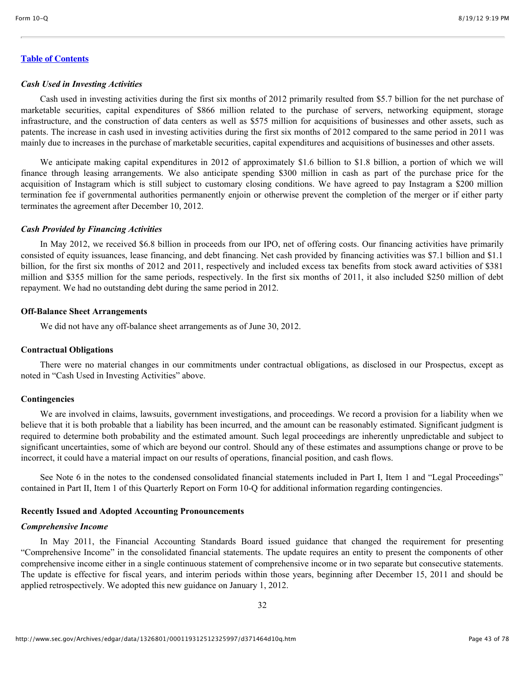#### *Cash Used in Investing Activities*

Cash used in investing activities during the first six months of 2012 primarily resulted from \$5.7 billion for the net purchase of marketable securities, capital expenditures of \$866 million related to the purchase of servers, networking equipment, storage infrastructure, and the construction of data centers as well as \$575 million for acquisitions of businesses and other assets, such as patents. The increase in cash used in investing activities during the first six months of 2012 compared to the same period in 2011 was mainly due to increases in the purchase of marketable securities, capital expenditures and acquisitions of businesses and other assets.

We anticipate making capital expenditures in 2012 of approximately \$1.6 billion to \$1.8 billion, a portion of which we will finance through leasing arrangements. We also anticipate spending \$300 million in cash as part of the purchase price for the acquisition of Instagram which is still subject to customary closing conditions. We have agreed to pay Instagram a \$200 million termination fee if governmental authorities permanently enjoin or otherwise prevent the completion of the merger or if either party terminates the agreement after December 10, 2012.

#### *Cash Provided by Financing Activities*

In May 2012, we received \$6.8 billion in proceeds from our IPO, net of offering costs. Our financing activities have primarily consisted of equity issuances, lease financing, and debt financing. Net cash provided by financing activities was \$7.1 billion and \$1.1 billion, for the first six months of 2012 and 2011, respectively and included excess tax benefits from stock award activities of \$381 million and \$355 million for the same periods, respectively. In the first six months of 2011, it also included \$250 million of debt repayment. We had no outstanding debt during the same period in 2012.

#### **Off-Balance Sheet Arrangements**

We did not have any off-balance sheet arrangements as of June 30, 2012.

#### **Contractual Obligations**

There were no material changes in our commitments under contractual obligations, as disclosed in our Prospectus, except as noted in "Cash Used in Investing Activities" above.

### **Contingencies**

We are involved in claims, lawsuits, government investigations, and proceedings. We record a provision for a liability when we believe that it is both probable that a liability has been incurred, and the amount can be reasonably estimated. Significant judgment is required to determine both probability and the estimated amount. Such legal proceedings are inherently unpredictable and subject to significant uncertainties, some of which are beyond our control. Should any of these estimates and assumptions change or prove to be incorrect, it could have a material impact on our results of operations, financial position, and cash flows.

See Note 6 in the notes to the condensed consolidated financial statements included in Part I, Item 1 and "Legal Proceedings" contained in Part II, Item 1 of this Quarterly Report on Form 10-Q for additional information regarding contingencies.

#### **Recently Issued and Adopted Accounting Pronouncements**

#### *Comprehensive Income*

In May 2011, the Financial Accounting Standards Board issued guidance that changed the requirement for presenting "Comprehensive Income" in the consolidated financial statements. The update requires an entity to present the components of other comprehensive income either in a single continuous statement of comprehensive income or in two separate but consecutive statements. The update is effective for fiscal years, and interim periods within those years, beginning after December 15, 2011 and should be applied retrospectively. We adopted this new guidance on January 1, 2012.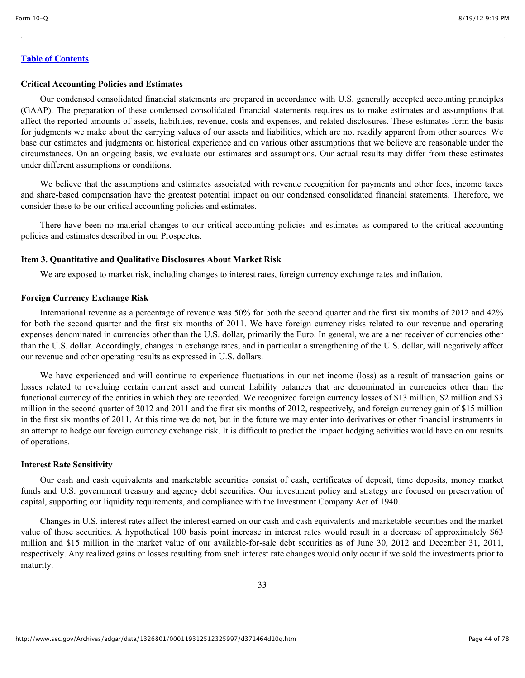#### **Critical Accounting Policies and Estimates**

Our condensed consolidated financial statements are prepared in accordance with U.S. generally accepted accounting principles (GAAP). The preparation of these condensed consolidated financial statements requires us to make estimates and assumptions that affect the reported amounts of assets, liabilities, revenue, costs and expenses, and related disclosures. These estimates form the basis for judgments we make about the carrying values of our assets and liabilities, which are not readily apparent from other sources. We base our estimates and judgments on historical experience and on various other assumptions that we believe are reasonable under the circumstances. On an ongoing basis, we evaluate our estimates and assumptions. Our actual results may differ from these estimates under different assumptions or conditions.

We believe that the assumptions and estimates associated with revenue recognition for payments and other fees, income taxes and share-based compensation have the greatest potential impact on our condensed consolidated financial statements. Therefore, we consider these to be our critical accounting policies and estimates.

There have been no material changes to our critical accounting policies and estimates as compared to the critical accounting policies and estimates described in our Prospectus.

### **Item 3. Quantitative and Qualitative Disclosures About Market Risk**

We are exposed to market risk, including changes to interest rates, foreign currency exchange rates and inflation.

### **Foreign Currency Exchange Risk**

International revenue as a percentage of revenue was 50% for both the second quarter and the first six months of 2012 and 42% for both the second quarter and the first six months of 2011. We have foreign currency risks related to our revenue and operating expenses denominated in currencies other than the U.S. dollar, primarily the Euro. In general, we are a net receiver of currencies other than the U.S. dollar. Accordingly, changes in exchange rates, and in particular a strengthening of the U.S. dollar, will negatively affect our revenue and other operating results as expressed in U.S. dollars.

We have experienced and will continue to experience fluctuations in our net income (loss) as a result of transaction gains or losses related to revaluing certain current asset and current liability balances that are denominated in currencies other than the functional currency of the entities in which they are recorded. We recognized foreign currency losses of \$13 million, \$2 million and \$3 million in the second quarter of 2012 and 2011 and the first six months of 2012, respectively, and foreign currency gain of \$15 million in the first six months of 2011. At this time we do not, but in the future we may enter into derivatives or other financial instruments in an attempt to hedge our foreign currency exchange risk. It is difficult to predict the impact hedging activities would have on our results of operations.

### **Interest Rate Sensitivity**

Our cash and cash equivalents and marketable securities consist of cash, certificates of deposit, time deposits, money market funds and U.S. government treasury and agency debt securities. Our investment policy and strategy are focused on preservation of capital, supporting our liquidity requirements, and compliance with the Investment Company Act of 1940.

Changes in U.S. interest rates affect the interest earned on our cash and cash equivalents and marketable securities and the market value of those securities. A hypothetical 100 basis point increase in interest rates would result in a decrease of approximately \$63 million and \$15 million in the market value of our available-for-sale debt securities as of June 30, 2012 and December 31, 2011, respectively. Any realized gains or losses resulting from such interest rate changes would only occur if we sold the investments prior to maturity.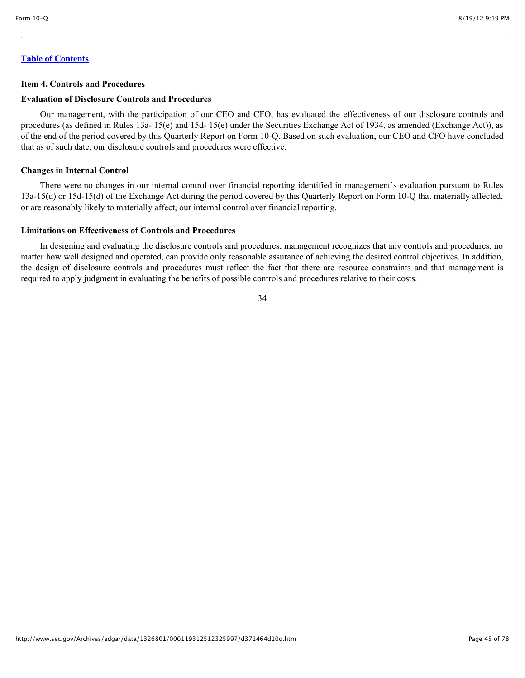#### **Item 4. Controls and Procedures**

### **Evaluation of Disclosure Controls and Procedures**

Our management, with the participation of our CEO and CFO, has evaluated the effectiveness of our disclosure controls and procedures (as defined in Rules 13a- 15(e) and 15d- 15(e) under the Securities Exchange Act of 1934, as amended (Exchange Act)), as of the end of the period covered by this Quarterly Report on Form 10-Q. Based on such evaluation, our CEO and CFO have concluded that as of such date, our disclosure controls and procedures were effective.

### **Changes in Internal Control**

There were no changes in our internal control over financial reporting identified in management's evaluation pursuant to Rules 13a-15(d) or 15d-15(d) of the Exchange Act during the period covered by this Quarterly Report on Form 10-Q that materially affected, or are reasonably likely to materially affect, our internal control over financial reporting.

### **Limitations on Effectiveness of Controls and Procedures**

In designing and evaluating the disclosure controls and procedures, management recognizes that any controls and procedures, no matter how well designed and operated, can provide only reasonable assurance of achieving the desired control objectives. In addition, the design of disclosure controls and procedures must reflect the fact that there are resource constraints and that management is required to apply judgment in evaluating the benefits of possible controls and procedures relative to their costs.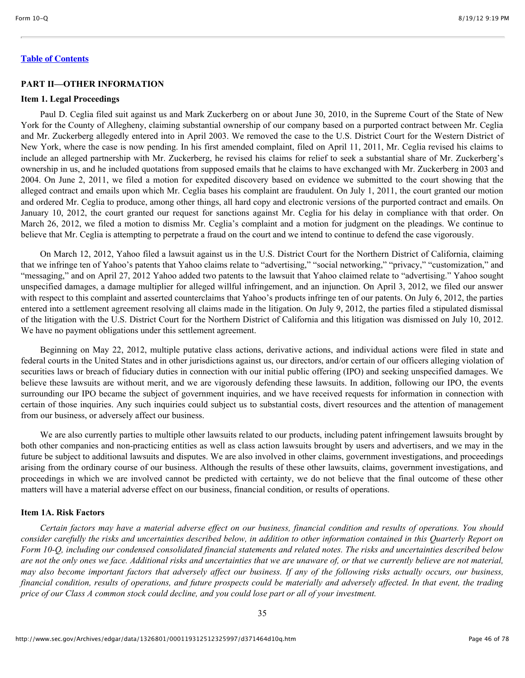#### **PART II—OTHER INFORMATION**

#### **Item 1. Legal Proceedings**

Paul D. Ceglia filed suit against us and Mark Zuckerberg on or about June 30, 2010, in the Supreme Court of the State of New York for the County of Allegheny, claiming substantial ownership of our company based on a purported contract between Mr. Ceglia and Mr. Zuckerberg allegedly entered into in April 2003. We removed the case to the U.S. District Court for the Western District of New York, where the case is now pending. In his first amended complaint, filed on April 11, 2011, Mr. Ceglia revised his claims to include an alleged partnership with Mr. Zuckerberg, he revised his claims for relief to seek a substantial share of Mr. Zuckerberg's ownership in us, and he included quotations from supposed emails that he claims to have exchanged with Mr. Zuckerberg in 2003 and 2004. On June 2, 2011, we filed a motion for expedited discovery based on evidence we submitted to the court showing that the alleged contract and emails upon which Mr. Ceglia bases his complaint are fraudulent. On July 1, 2011, the court granted our motion and ordered Mr. Ceglia to produce, among other things, all hard copy and electronic versions of the purported contract and emails. On January 10, 2012, the court granted our request for sanctions against Mr. Ceglia for his delay in compliance with that order. On March 26, 2012, we filed a motion to dismiss Mr. Ceglia's complaint and a motion for judgment on the pleadings. We continue to believe that Mr. Ceglia is attempting to perpetrate a fraud on the court and we intend to continue to defend the case vigorously.

On March 12, 2012, Yahoo filed a lawsuit against us in the U.S. District Court for the Northern District of California, claiming that we infringe ten of Yahoo's patents that Yahoo claims relate to "advertising," "social networking," "privacy," "customization," and "messaging," and on April 27, 2012 Yahoo added two patents to the lawsuit that Yahoo claimed relate to "advertising." Yahoo sought unspecified damages, a damage multiplier for alleged willful infringement, and an injunction. On April 3, 2012, we filed our answer with respect to this complaint and asserted counterclaims that Yahoo's products infringe ten of our patents. On July 6, 2012, the parties entered into a settlement agreement resolving all claims made in the litigation. On July 9, 2012, the parties filed a stipulated dismissal of the litigation with the U.S. District Court for the Northern District of California and this litigation was dismissed on July 10, 2012. We have no payment obligations under this settlement agreement.

Beginning on May 22, 2012, multiple putative class actions, derivative actions, and individual actions were filed in state and federal courts in the United States and in other jurisdictions against us, our directors, and/or certain of our officers alleging violation of securities laws or breach of fiduciary duties in connection with our initial public offering (IPO) and seeking unspecified damages. We believe these lawsuits are without merit, and we are vigorously defending these lawsuits. In addition, following our IPO, the events surrounding our IPO became the subject of government inquiries, and we have received requests for information in connection with certain of those inquiries. Any such inquiries could subject us to substantial costs, divert resources and the attention of management from our business, or adversely affect our business.

We are also currently parties to multiple other lawsuits related to our products, including patent infringement lawsuits brought by both other companies and non-practicing entities as well as class action lawsuits brought by users and advertisers, and we may in the future be subject to additional lawsuits and disputes. We are also involved in other claims, government investigations, and proceedings arising from the ordinary course of our business. Although the results of these other lawsuits, claims, government investigations, and proceedings in which we are involved cannot be predicted with certainty, we do not believe that the final outcome of these other matters will have a material adverse effect on our business, financial condition, or results of operations.

### **Item 1A. Risk Factors**

*Certain factors may have a material adverse effect on our business, financial condition and results of operations. You should consider carefully the risks and uncertainties described below, in addition to other information contained in this Quarterly Report on Form 10-Q, including our condensed consolidated financial statements and related notes. The risks and uncertainties described below are not the only ones we face. Additional risks and uncertainties that we are unaware of, or that we currently believe are not material, may also become important factors that adversely affect our business. If any of the following risks actually occurs, our business, financial condition, results of operations, and future prospects could be materially and adversely affected. In that event, the trading price of our Class A common stock could decline, and you could lose part or all of your investment.*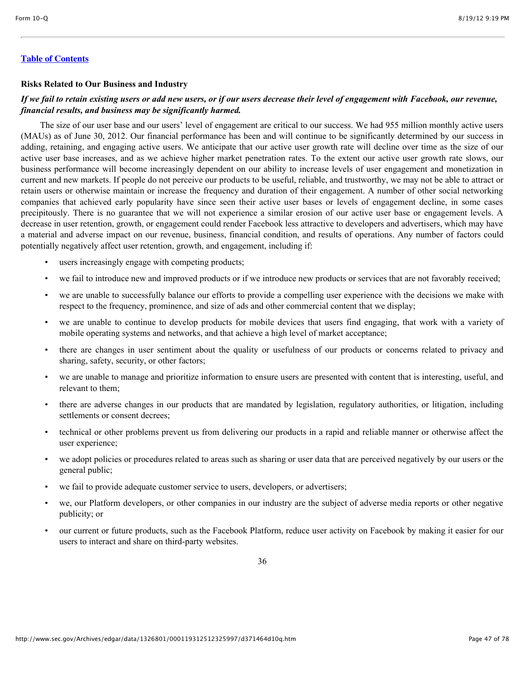### **Risks Related to Our Business and Industry**

# *If we fail to retain existing users or add new users, or if our users decrease their level of engagement with Facebook, our revenue, financial results, and business may be significantly harmed.*

The size of our user base and our users' level of engagement are critical to our success. We had 955 million monthly active users (MAUs) as of June 30, 2012. Our financial performance has been and will continue to be significantly determined by our success in adding, retaining, and engaging active users. We anticipate that our active user growth rate will decline over time as the size of our active user base increases, and as we achieve higher market penetration rates. To the extent our active user growth rate slows, our business performance will become increasingly dependent on our ability to increase levels of user engagement and monetization in current and new markets. If people do not perceive our products to be useful, reliable, and trustworthy, we may not be able to attract or retain users or otherwise maintain or increase the frequency and duration of their engagement. A number of other social networking companies that achieved early popularity have since seen their active user bases or levels of engagement decline, in some cases precipitously. There is no guarantee that we will not experience a similar erosion of our active user base or engagement levels. A decrease in user retention, growth, or engagement could render Facebook less attractive to developers and advertisers, which may have a material and adverse impact on our revenue, business, financial condition, and results of operations. Any number of factors could potentially negatively affect user retention, growth, and engagement, including if:

- users increasingly engage with competing products;
- we fail to introduce new and improved products or if we introduce new products or services that are not favorably received;
- we are unable to successfully balance our efforts to provide a compelling user experience with the decisions we make with respect to the frequency, prominence, and size of ads and other commercial content that we display;
- we are unable to continue to develop products for mobile devices that users find engaging, that work with a variety of mobile operating systems and networks, and that achieve a high level of market acceptance;
- there are changes in user sentiment about the quality or usefulness of our products or concerns related to privacy and sharing, safety, security, or other factors;
- we are unable to manage and prioritize information to ensure users are presented with content that is interesting, useful, and relevant to them;
- there are adverse changes in our products that are mandated by legislation, regulatory authorities, or litigation, including settlements or consent decrees;
- technical or other problems prevent us from delivering our products in a rapid and reliable manner or otherwise affect the user experience;
- we adopt policies or procedures related to areas such as sharing or user data that are perceived negatively by our users or the general public;
- we fail to provide adequate customer service to users, developers, or advertisers;
- we, our Platform developers, or other companies in our industry are the subject of adverse media reports or other negative publicity; or
- our current or future products, such as the Facebook Platform, reduce user activity on Facebook by making it easier for our users to interact and share on third-party websites.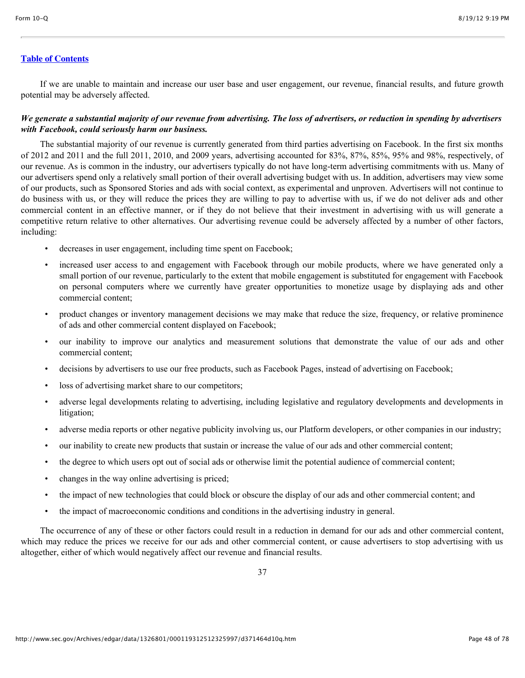If we are unable to maintain and increase our user base and user engagement, our revenue, financial results, and future growth potential may be adversely affected.

# *We generate a substantial majority of our revenue from advertising. The loss of advertisers, or reduction in spending by advertisers with Facebook, could seriously harm our business.*

The substantial majority of our revenue is currently generated from third parties advertising on Facebook. In the first six months of 2012 and 2011 and the full 2011, 2010, and 2009 years, advertising accounted for 83%, 87%, 85%, 95% and 98%, respectively, of our revenue. As is common in the industry, our advertisers typically do not have long-term advertising commitments with us. Many of our advertisers spend only a relatively small portion of their overall advertising budget with us. In addition, advertisers may view some of our products, such as Sponsored Stories and ads with social context, as experimental and unproven. Advertisers will not continue to do business with us, or they will reduce the prices they are willing to pay to advertise with us, if we do not deliver ads and other commercial content in an effective manner, or if they do not believe that their investment in advertising with us will generate a competitive return relative to other alternatives. Our advertising revenue could be adversely affected by a number of other factors, including:

- decreases in user engagement, including time spent on Facebook;
- increased user access to and engagement with Facebook through our mobile products, where we have generated only a small portion of our revenue, particularly to the extent that mobile engagement is substituted for engagement with Facebook on personal computers where we currently have greater opportunities to monetize usage by displaying ads and other commercial content;
- product changes or inventory management decisions we may make that reduce the size, frequency, or relative prominence of ads and other commercial content displayed on Facebook;
- our inability to improve our analytics and measurement solutions that demonstrate the value of our ads and other commercial content;
- decisions by advertisers to use our free products, such as Facebook Pages, instead of advertising on Facebook;
- loss of advertising market share to our competitors;
- adverse legal developments relating to advertising, including legislative and regulatory developments and developments in litigation;
- adverse media reports or other negative publicity involving us, our Platform developers, or other companies in our industry;
- our inability to create new products that sustain or increase the value of our ads and other commercial content;
- the degree to which users opt out of social ads or otherwise limit the potential audience of commercial content;
- changes in the way online advertising is priced;
- the impact of new technologies that could block or obscure the display of our ads and other commercial content; and
- the impact of macroeconomic conditions and conditions in the advertising industry in general.

The occurrence of any of these or other factors could result in a reduction in demand for our ads and other commercial content, which may reduce the prices we receive for our ads and other commercial content, or cause advertisers to stop advertising with us altogether, either of which would negatively affect our revenue and financial results.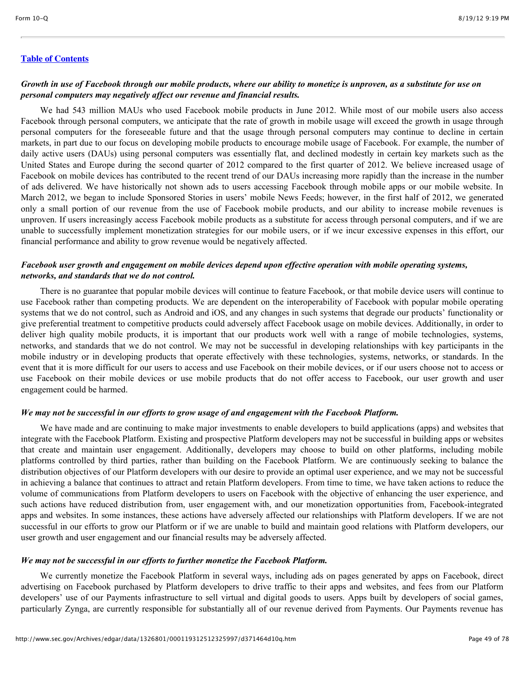# *Growth in use of Facebook through our mobile products, where our ability to monetize is unproven, as a substitute for use on personal computers may negatively affect our revenue and financial results.*

We had 543 million MAUs who used Facebook mobile products in June 2012. While most of our mobile users also access Facebook through personal computers, we anticipate that the rate of growth in mobile usage will exceed the growth in usage through personal computers for the foreseeable future and that the usage through personal computers may continue to decline in certain markets, in part due to our focus on developing mobile products to encourage mobile usage of Facebook. For example, the number of daily active users (DAUs) using personal computers was essentially flat, and declined modestly in certain key markets such as the United States and Europe during the second quarter of 2012 compared to the first quarter of 2012. We believe increased usage of Facebook on mobile devices has contributed to the recent trend of our DAUs increasing more rapidly than the increase in the number of ads delivered. We have historically not shown ads to users accessing Facebook through mobile apps or our mobile website. In March 2012, we began to include Sponsored Stories in users' mobile News Feeds; however, in the first half of 2012, we generated only a small portion of our revenue from the use of Facebook mobile products, and our ability to increase mobile revenues is unproven. If users increasingly access Facebook mobile products as a substitute for access through personal computers, and if we are unable to successfully implement monetization strategies for our mobile users, or if we incur excessive expenses in this effort, our financial performance and ability to grow revenue would be negatively affected.

## *Facebook user growth and engagement on mobile devices depend upon effective operation with mobile operating systems, networks, and standards that we do not control.*

There is no guarantee that popular mobile devices will continue to feature Facebook, or that mobile device users will continue to use Facebook rather than competing products. We are dependent on the interoperability of Facebook with popular mobile operating systems that we do not control, such as Android and iOS, and any changes in such systems that degrade our products' functionality or give preferential treatment to competitive products could adversely affect Facebook usage on mobile devices. Additionally, in order to deliver high quality mobile products, it is important that our products work well with a range of mobile technologies, systems, networks, and standards that we do not control. We may not be successful in developing relationships with key participants in the mobile industry or in developing products that operate effectively with these technologies, systems, networks, or standards. In the event that it is more difficult for our users to access and use Facebook on their mobile devices, or if our users choose not to access or use Facebook on their mobile devices or use mobile products that do not offer access to Facebook, our user growth and user engagement could be harmed.

## *We may not be successful in our efforts to grow usage of and engagement with the Facebook Platform.*

We have made and are continuing to make major investments to enable developers to build applications (apps) and websites that integrate with the Facebook Platform. Existing and prospective Platform developers may not be successful in building apps or websites that create and maintain user engagement. Additionally, developers may choose to build on other platforms, including mobile platforms controlled by third parties, rather than building on the Facebook Platform. We are continuously seeking to balance the distribution objectives of our Platform developers with our desire to provide an optimal user experience, and we may not be successful in achieving a balance that continues to attract and retain Platform developers. From time to time, we have taken actions to reduce the volume of communications from Platform developers to users on Facebook with the objective of enhancing the user experience, and such actions have reduced distribution from, user engagement with, and our monetization opportunities from, Facebook-integrated apps and websites. In some instances, these actions have adversely affected our relationships with Platform developers. If we are not successful in our efforts to grow our Platform or if we are unable to build and maintain good relations with Platform developers, our user growth and user engagement and our financial results may be adversely affected.

### *We may not be successful in our efforts to further monetize the Facebook Platform.*

We currently monetize the Facebook Platform in several ways, including ads on pages generated by apps on Facebook, direct advertising on Facebook purchased by Platform developers to drive traffic to their apps and websites, and fees from our Platform developers' use of our Payments infrastructure to sell virtual and digital goods to users. Apps built by developers of social games, particularly Zynga, are currently responsible for substantially all of our revenue derived from Payments. Our Payments revenue has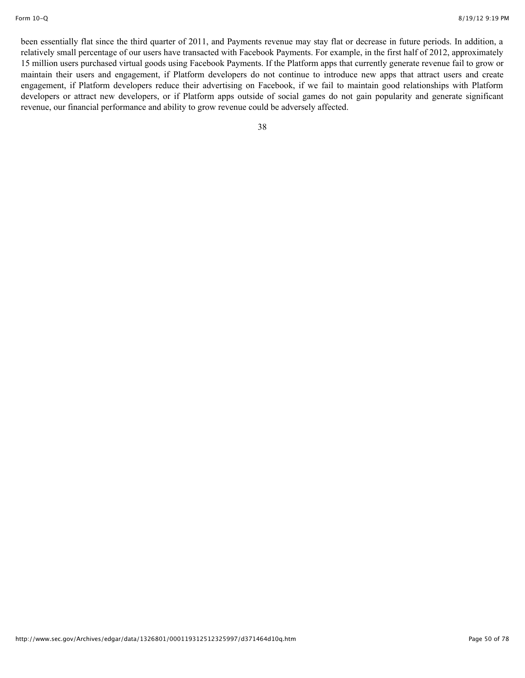been essentially flat since the third quarter of 2011, and Payments revenue may stay flat or decrease in future periods. In addition, a relatively small percentage of our users have transacted with Facebook Payments. For example, in the first half of 2012, approximately 15 million users purchased virtual goods using Facebook Payments. If the Platform apps that currently generate revenue fail to grow or maintain their users and engagement, if Platform developers do not continue to introduce new apps that attract users and create engagement, if Platform developers reduce their advertising on Facebook, if we fail to maintain good relationships with Platform developers or attract new developers, or if Platform apps outside of social games do not gain popularity and generate significant revenue, our financial performance and ability to grow revenue could be adversely affected.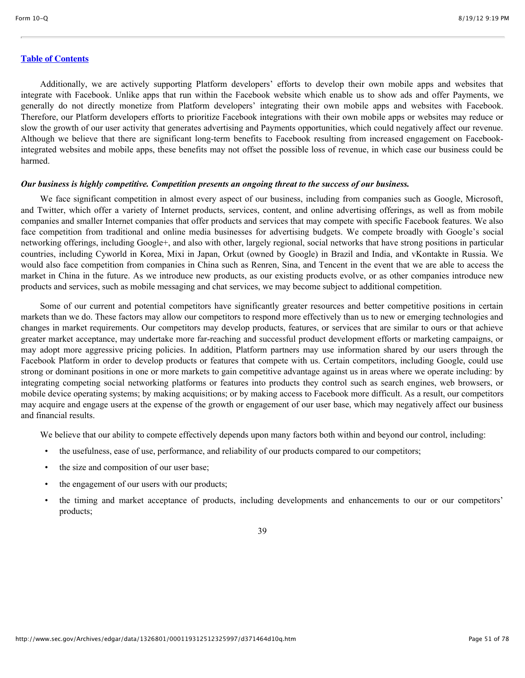Additionally, we are actively supporting Platform developers' efforts to develop their own mobile apps and websites that integrate with Facebook. Unlike apps that run within the Facebook website which enable us to show ads and offer Payments, we generally do not directly monetize from Platform developers' integrating their own mobile apps and websites with Facebook. Therefore, our Platform developers efforts to prioritize Facebook integrations with their own mobile apps or websites may reduce or slow the growth of our user activity that generates advertising and Payments opportunities, which could negatively affect our revenue. Although we believe that there are significant long-term benefits to Facebook resulting from increased engagement on Facebookintegrated websites and mobile apps, these benefits may not offset the possible loss of revenue, in which case our business could be harmed.

#### *Our business is highly competitive. Competition presents an ongoing threat to the success of our business.*

We face significant competition in almost every aspect of our business, including from companies such as Google, Microsoft, and Twitter, which offer a variety of Internet products, services, content, and online advertising offerings, as well as from mobile companies and smaller Internet companies that offer products and services that may compete with specific Facebook features. We also face competition from traditional and online media businesses for advertising budgets. We compete broadly with Google's social networking offerings, including Google+, and also with other, largely regional, social networks that have strong positions in particular countries, including Cyworld in Korea, Mixi in Japan, Orkut (owned by Google) in Brazil and India, and vKontakte in Russia. We would also face competition from companies in China such as Renren, Sina, and Tencent in the event that we are able to access the market in China in the future. As we introduce new products, as our existing products evolve, or as other companies introduce new products and services, such as mobile messaging and chat services, we may become subject to additional competition.

Some of our current and potential competitors have significantly greater resources and better competitive positions in certain markets than we do. These factors may allow our competitors to respond more effectively than us to new or emerging technologies and changes in market requirements. Our competitors may develop products, features, or services that are similar to ours or that achieve greater market acceptance, may undertake more far-reaching and successful product development efforts or marketing campaigns, or may adopt more aggressive pricing policies. In addition, Platform partners may use information shared by our users through the Facebook Platform in order to develop products or features that compete with us. Certain competitors, including Google, could use strong or dominant positions in one or more markets to gain competitive advantage against us in areas where we operate including: by integrating competing social networking platforms or features into products they control such as search engines, web browsers, or mobile device operating systems; by making acquisitions; or by making access to Facebook more difficult. As a result, our competitors may acquire and engage users at the expense of the growth or engagement of our user base, which may negatively affect our business and financial results.

We believe that our ability to compete effectively depends upon many factors both within and beyond our control, including:

- the usefulness, ease of use, performance, and reliability of our products compared to our competitors;
- the size and composition of our user base:
- the engagement of our users with our products;
- the timing and market acceptance of products, including developments and enhancements to our or our competitors' products;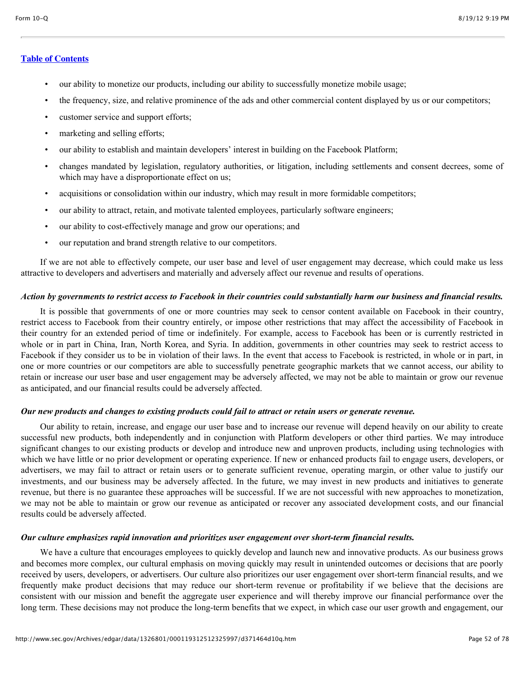- our ability to monetize our products, including our ability to successfully monetize mobile usage;
- the frequency, size, and relative prominence of the ads and other commercial content displayed by us or our competitors;
- customer service and support efforts;
- marketing and selling efforts;
- our ability to establish and maintain developers' interest in building on the Facebook Platform;
- changes mandated by legislation, regulatory authorities, or litigation, including settlements and consent decrees, some of which may have a disproportionate effect on us;
- acquisitions or consolidation within our industry, which may result in more formidable competitors;
- our ability to attract, retain, and motivate talented employees, particularly software engineers;
- our ability to cost-effectively manage and grow our operations; and
- our reputation and brand strength relative to our competitors.

If we are not able to effectively compete, our user base and level of user engagement may decrease, which could make us less attractive to developers and advertisers and materially and adversely affect our revenue and results of operations.

### *Action by governments to restrict access to Facebook in their countries could substantially harm our business and financial results.*

It is possible that governments of one or more countries may seek to censor content available on Facebook in their country, restrict access to Facebook from their country entirely, or impose other restrictions that may affect the accessibility of Facebook in their country for an extended period of time or indefinitely. For example, access to Facebook has been or is currently restricted in whole or in part in China, Iran, North Korea, and Syria. In addition, governments in other countries may seek to restrict access to Facebook if they consider us to be in violation of their laws. In the event that access to Facebook is restricted, in whole or in part, in one or more countries or our competitors are able to successfully penetrate geographic markets that we cannot access, our ability to retain or increase our user base and user engagement may be adversely affected, we may not be able to maintain or grow our revenue as anticipated, and our financial results could be adversely affected.

#### *Our new products and changes to existing products could fail to attract or retain users or generate revenue.*

Our ability to retain, increase, and engage our user base and to increase our revenue will depend heavily on our ability to create successful new products, both independently and in conjunction with Platform developers or other third parties. We may introduce significant changes to our existing products or develop and introduce new and unproven products, including using technologies with which we have little or no prior development or operating experience. If new or enhanced products fail to engage users, developers, or advertisers, we may fail to attract or retain users or to generate sufficient revenue, operating margin, or other value to justify our investments, and our business may be adversely affected. In the future, we may invest in new products and initiatives to generate revenue, but there is no guarantee these approaches will be successful. If we are not successful with new approaches to monetization, we may not be able to maintain or grow our revenue as anticipated or recover any associated development costs, and our financial results could be adversely affected.

### *Our culture emphasizes rapid innovation and prioritizes user engagement over short-term financial results.*

We have a culture that encourages employees to quickly develop and launch new and innovative products. As our business grows and becomes more complex, our cultural emphasis on moving quickly may result in unintended outcomes or decisions that are poorly received by users, developers, or advertisers. Our culture also prioritizes our user engagement over short-term financial results, and we frequently make product decisions that may reduce our short-term revenue or profitability if we believe that the decisions are consistent with our mission and benefit the aggregate user experience and will thereby improve our financial performance over the long term. These decisions may not produce the long-term benefits that we expect, in which case our user growth and engagement, our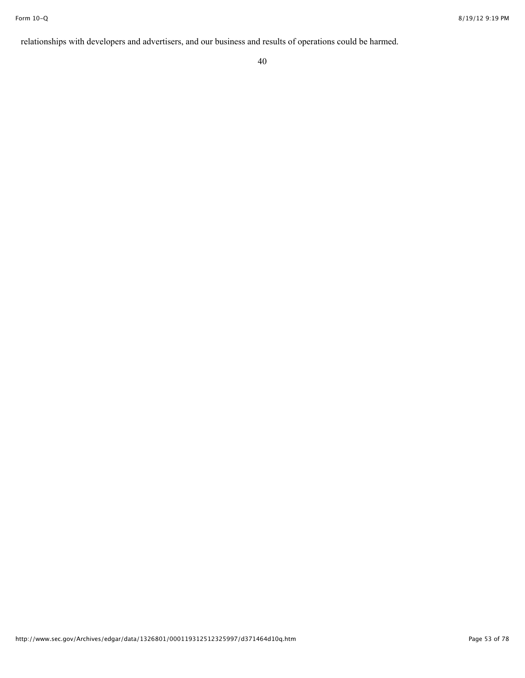relationships with developers and advertisers, and our business and results of operations could be harmed.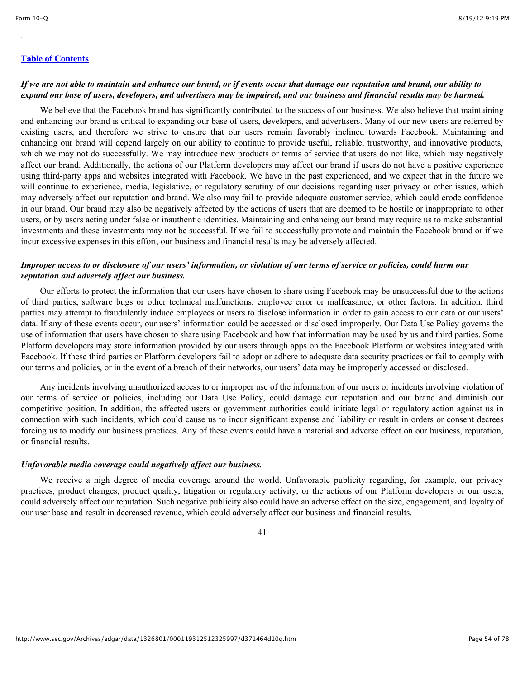# *If we are not able to maintain and enhance our brand, or if events occur that damage our reputation and brand, our ability to expand our base of users, developers, and advertisers may be impaired, and our business and financial results may be harmed.*

We believe that the Facebook brand has significantly contributed to the success of our business. We also believe that maintaining and enhancing our brand is critical to expanding our base of users, developers, and advertisers. Many of our new users are referred by existing users, and therefore we strive to ensure that our users remain favorably inclined towards Facebook. Maintaining and enhancing our brand will depend largely on our ability to continue to provide useful, reliable, trustworthy, and innovative products, which we may not do successfully. We may introduce new products or terms of service that users do not like, which may negatively affect our brand. Additionally, the actions of our Platform developers may affect our brand if users do not have a positive experience using third-party apps and websites integrated with Facebook. We have in the past experienced, and we expect that in the future we will continue to experience, media, legislative, or regulatory scrutiny of our decisions regarding user privacy or other issues, which may adversely affect our reputation and brand. We also may fail to provide adequate customer service, which could erode confidence in our brand. Our brand may also be negatively affected by the actions of users that are deemed to be hostile or inappropriate to other users, or by users acting under false or inauthentic identities. Maintaining and enhancing our brand may require us to make substantial investments and these investments may not be successful. If we fail to successfully promote and maintain the Facebook brand or if we incur excessive expenses in this effort, our business and financial results may be adversely affected.

### *Improper access to or disclosure of our users' information, or violation of our terms of service or policies, could harm our reputation and adversely affect our business.*

Our efforts to protect the information that our users have chosen to share using Facebook may be unsuccessful due to the actions of third parties, software bugs or other technical malfunctions, employee error or malfeasance, or other factors. In addition, third parties may attempt to fraudulently induce employees or users to disclose information in order to gain access to our data or our users' data. If any of these events occur, our users' information could be accessed or disclosed improperly. Our Data Use Policy governs the use of information that users have chosen to share using Facebook and how that information may be used by us and third parties. Some Platform developers may store information provided by our users through apps on the Facebook Platform or websites integrated with Facebook. If these third parties or Platform developers fail to adopt or adhere to adequate data security practices or fail to comply with our terms and policies, or in the event of a breach of their networks, our users' data may be improperly accessed or disclosed.

Any incidents involving unauthorized access to or improper use of the information of our users or incidents involving violation of our terms of service or policies, including our Data Use Policy, could damage our reputation and our brand and diminish our competitive position. In addition, the affected users or government authorities could initiate legal or regulatory action against us in connection with such incidents, which could cause us to incur significant expense and liability or result in orders or consent decrees forcing us to modify our business practices. Any of these events could have a material and adverse effect on our business, reputation, or financial results.

### *Unfavorable media coverage could negatively affect our business.*

We receive a high degree of media coverage around the world. Unfavorable publicity regarding, for example, our privacy practices, product changes, product quality, litigation or regulatory activity, or the actions of our Platform developers or our users, could adversely affect our reputation. Such negative publicity also could have an adverse effect on the size, engagement, and loyalty of our user base and result in decreased revenue, which could adversely affect our business and financial results.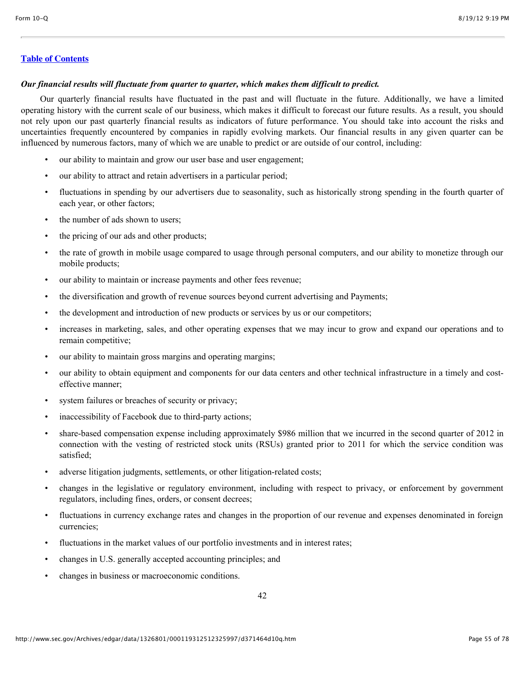### *Our financial results will fluctuate from quarter to quarter, which makes them difficult to predict.*

Our quarterly financial results have fluctuated in the past and will fluctuate in the future. Additionally, we have a limited operating history with the current scale of our business, which makes it difficult to forecast our future results. As a result, you should not rely upon our past quarterly financial results as indicators of future performance. You should take into account the risks and uncertainties frequently encountered by companies in rapidly evolving markets. Our financial results in any given quarter can be influenced by numerous factors, many of which we are unable to predict or are outside of our control, including:

- our ability to maintain and grow our user base and user engagement;
- our ability to attract and retain advertisers in a particular period;
- fluctuations in spending by our advertisers due to seasonality, such as historically strong spending in the fourth quarter of each year, or other factors;
- the number of ads shown to users;
- the pricing of our ads and other products;
- the rate of growth in mobile usage compared to usage through personal computers, and our ability to monetize through our mobile products;
- our ability to maintain or increase payments and other fees revenue;
- the diversification and growth of revenue sources beyond current advertising and Payments;
- the development and introduction of new products or services by us or our competitors;
- increases in marketing, sales, and other operating expenses that we may incur to grow and expand our operations and to remain competitive;
- our ability to maintain gross margins and operating margins;
- our ability to obtain equipment and components for our data centers and other technical infrastructure in a timely and costeffective manner;
- system failures or breaches of security or privacy;
- inaccessibility of Facebook due to third-party actions;
- share-based compensation expense including approximately \$986 million that we incurred in the second quarter of 2012 in connection with the vesting of restricted stock units (RSUs) granted prior to 2011 for which the service condition was satisfied;
- adverse litigation judgments, settlements, or other litigation-related costs;
- changes in the legislative or regulatory environment, including with respect to privacy, or enforcement by government regulators, including fines, orders, or consent decrees;
- fluctuations in currency exchange rates and changes in the proportion of our revenue and expenses denominated in foreign currencies;
- fluctuations in the market values of our portfolio investments and in interest rates;
- changes in U.S. generally accepted accounting principles; and
- changes in business or macroeconomic conditions.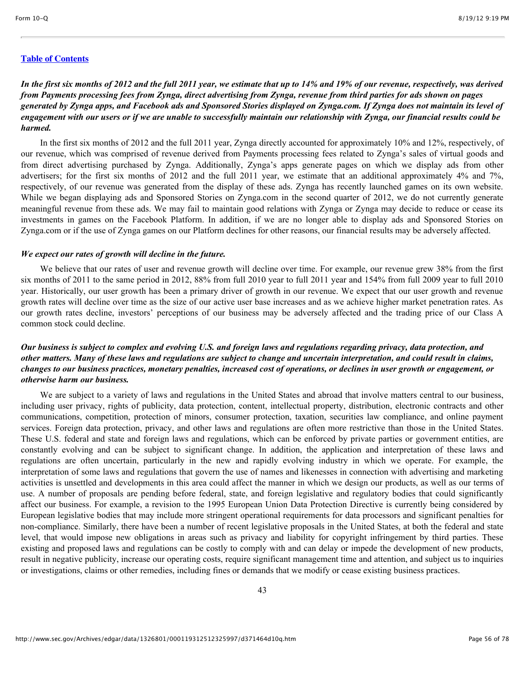# *In the first six months of 2012 and the full 2011 year, we estimate that up to 14% and 19% of our revenue, respectively, was derived from Payments processing fees from Zynga, direct advertising from Zynga, revenue from third parties for ads shown on pages generated by Zynga apps, and Facebook ads and Sponsored Stories displayed on Zynga.com. If Zynga does not maintain its level of engagement with our users or if we are unable to successfully maintain our relationship with Zynga, our financial results could be harmed.*

In the first six months of 2012 and the full 2011 year, Zynga directly accounted for approximately 10% and 12%, respectively, of our revenue, which was comprised of revenue derived from Payments processing fees related to Zynga's sales of virtual goods and from direct advertising purchased by Zynga. Additionally, Zynga's apps generate pages on which we display ads from other advertisers; for the first six months of 2012 and the full 2011 year, we estimate that an additional approximately 4% and 7%, respectively, of our revenue was generated from the display of these ads. Zynga has recently launched games on its own website. While we began displaying ads and Sponsored Stories on Zynga.com in the second quarter of 2012, we do not currently generate meaningful revenue from these ads. We may fail to maintain good relations with Zynga or Zynga may decide to reduce or cease its investments in games on the Facebook Platform. In addition, if we are no longer able to display ads and Sponsored Stories on Zynga.com or if the use of Zynga games on our Platform declines for other reasons, our financial results may be adversely affected.

### *We expect our rates of growth will decline in the future.*

We believe that our rates of user and revenue growth will decline over time. For example, our revenue grew 38% from the first six months of 2011 to the same period in 2012, 88% from full 2010 year to full 2011 year and 154% from full 2009 year to full 2010 year. Historically, our user growth has been a primary driver of growth in our revenue. We expect that our user growth and revenue growth rates will decline over time as the size of our active user base increases and as we achieve higher market penetration rates. As our growth rates decline, investors' perceptions of our business may be adversely affected and the trading price of our Class A common stock could decline.

# *Our business is subject to complex and evolving U.S. and foreign laws and regulations regarding privacy, data protection, and other matters. Many of these laws and regulations are subject to change and uncertain interpretation, and could result in claims, changes to our business practices, monetary penalties, increased cost of operations, or declines in user growth or engagement, or otherwise harm our business.*

We are subject to a variety of laws and regulations in the United States and abroad that involve matters central to our business, including user privacy, rights of publicity, data protection, content, intellectual property, distribution, electronic contracts and other communications, competition, protection of minors, consumer protection, taxation, securities law compliance, and online payment services. Foreign data protection, privacy, and other laws and regulations are often more restrictive than those in the United States. These U.S. federal and state and foreign laws and regulations, which can be enforced by private parties or government entities, are constantly evolving and can be subject to significant change. In addition, the application and interpretation of these laws and regulations are often uncertain, particularly in the new and rapidly evolving industry in which we operate. For example, the interpretation of some laws and regulations that govern the use of names and likenesses in connection with advertising and marketing activities is unsettled and developments in this area could affect the manner in which we design our products, as well as our terms of use. A number of proposals are pending before federal, state, and foreign legislative and regulatory bodies that could significantly affect our business. For example, a revision to the 1995 European Union Data Protection Directive is currently being considered by European legislative bodies that may include more stringent operational requirements for data processors and significant penalties for non-compliance. Similarly, there have been a number of recent legislative proposals in the United States, at both the federal and state level, that would impose new obligations in areas such as privacy and liability for copyright infringement by third parties. These existing and proposed laws and regulations can be costly to comply with and can delay or impede the development of new products, result in negative publicity, increase our operating costs, require significant management time and attention, and subject us to inquiries or investigations, claims or other remedies, including fines or demands that we modify or cease existing business practices.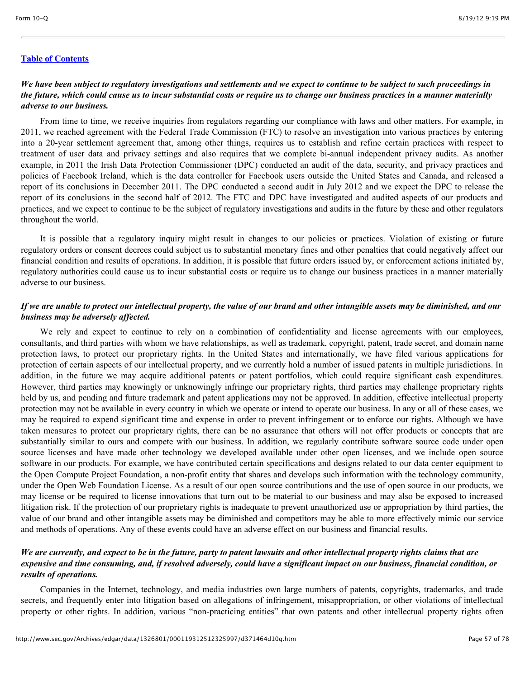# *We have been subject to regulatory investigations and settlements and we expect to continue to be subject to such proceedings in the future, which could cause us to incur substantial costs or require us to change our business practices in a manner materially adverse to our business.*

From time to time, we receive inquiries from regulators regarding our compliance with laws and other matters. For example, in 2011, we reached agreement with the Federal Trade Commission (FTC) to resolve an investigation into various practices by entering into a 20-year settlement agreement that, among other things, requires us to establish and refine certain practices with respect to treatment of user data and privacy settings and also requires that we complete bi-annual independent privacy audits. As another example, in 2011 the Irish Data Protection Commissioner (DPC) conducted an audit of the data, security, and privacy practices and policies of Facebook Ireland, which is the data controller for Facebook users outside the United States and Canada, and released a report of its conclusions in December 2011. The DPC conducted a second audit in July 2012 and we expect the DPC to release the report of its conclusions in the second half of 2012. The FTC and DPC have investigated and audited aspects of our products and practices, and we expect to continue to be the subject of regulatory investigations and audits in the future by these and other regulators throughout the world.

It is possible that a regulatory inquiry might result in changes to our policies or practices. Violation of existing or future regulatory orders or consent decrees could subject us to substantial monetary fines and other penalties that could negatively affect our financial condition and results of operations. In addition, it is possible that future orders issued by, or enforcement actions initiated by, regulatory authorities could cause us to incur substantial costs or require us to change our business practices in a manner materially adverse to our business.

# *If we are unable to protect our intellectual property, the value of our brand and other intangible assets may be diminished, and our business may be adversely affected.*

We rely and expect to continue to rely on a combination of confidentiality and license agreements with our employees, consultants, and third parties with whom we have relationships, as well as trademark, copyright, patent, trade secret, and domain name protection laws, to protect our proprietary rights. In the United States and internationally, we have filed various applications for protection of certain aspects of our intellectual property, and we currently hold a number of issued patents in multiple jurisdictions. In addition, in the future we may acquire additional patents or patent portfolios, which could require significant cash expenditures. However, third parties may knowingly or unknowingly infringe our proprietary rights, third parties may challenge proprietary rights held by us, and pending and future trademark and patent applications may not be approved. In addition, effective intellectual property protection may not be available in every country in which we operate or intend to operate our business. In any or all of these cases, we may be required to expend significant time and expense in order to prevent infringement or to enforce our rights. Although we have taken measures to protect our proprietary rights, there can be no assurance that others will not offer products or concepts that are substantially similar to ours and compete with our business. In addition, we regularly contribute software source code under open source licenses and have made other technology we developed available under other open licenses, and we include open source software in our products. For example, we have contributed certain specifications and designs related to our data center equipment to the Open Compute Project Foundation, a non-profit entity that shares and develops such information with the technology community, under the Open Web Foundation License. As a result of our open source contributions and the use of open source in our products, we may license or be required to license innovations that turn out to be material to our business and may also be exposed to increased litigation risk. If the protection of our proprietary rights is inadequate to prevent unauthorized use or appropriation by third parties, the value of our brand and other intangible assets may be diminished and competitors may be able to more effectively mimic our service and methods of operations. Any of these events could have an adverse effect on our business and financial results.

# *We are currently, and expect to be in the future, party to patent lawsuits and other intellectual property rights claims that are expensive and time consuming, and, if resolved adversely, could have a significant impact on our business, financial condition, or results of operations.*

Companies in the Internet, technology, and media industries own large numbers of patents, copyrights, trademarks, and trade secrets, and frequently enter into litigation based on allegations of infringement, misappropriation, or other violations of intellectual property or other rights. In addition, various "non-practicing entities" that own patents and other intellectual property rights often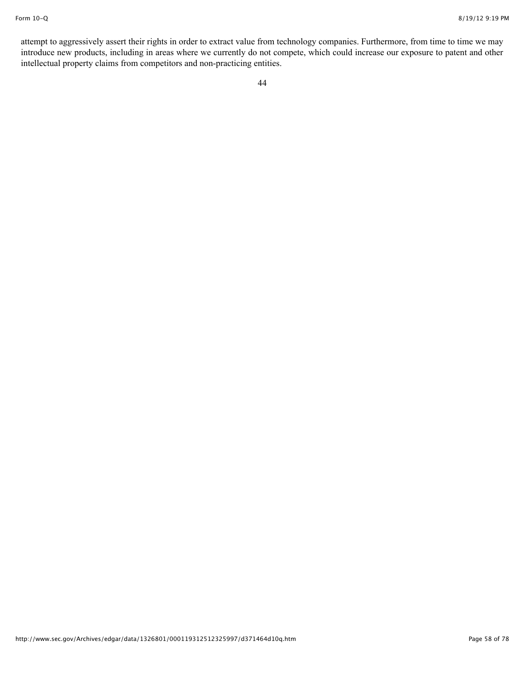attempt to aggressively assert their rights in order to extract value from technology companies. Furthermore, from time to time we may introduce new products, including in areas where we currently do not compete, which could increase our exposure to patent and other intellectual property claims from competitors and non-practicing entities.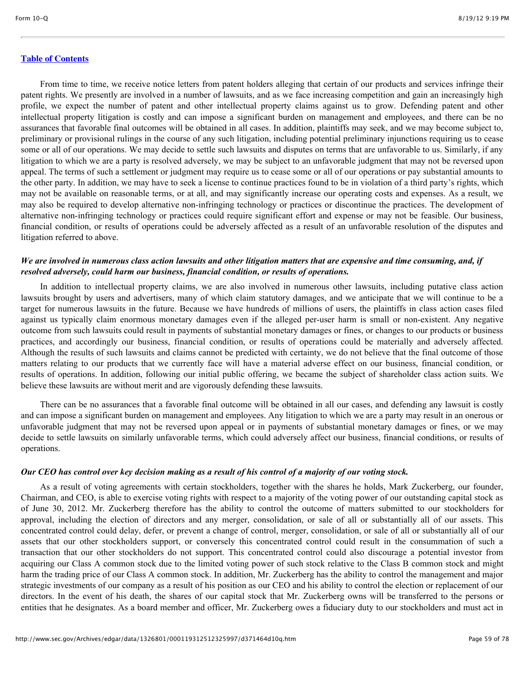From time to time, we receive notice letters from patent holders alleging that certain of our products and services infringe their patent rights. We presently are involved in a number of lawsuits, and as we face increasing competition and gain an increasingly high profile, we expect the number of patent and other intellectual property claims against us to grow. Defending patent and other intellectual property litigation is costly and can impose a significant burden on management and employees, and there can be no assurances that favorable final outcomes will be obtained in all cases. In addition, plaintiffs may seek, and we may become subject to, preliminary or provisional rulings in the course of any such litigation, including potential preliminary injunctions requiring us to cease some or all of our operations. We may decide to settle such lawsuits and disputes on terms that are unfavorable to us. Similarly, if any litigation to which we are a party is resolved adversely, we may be subject to an unfavorable judgment that may not be reversed upon appeal. The terms of such a settlement or judgment may require us to cease some or all of our operations or pay substantial amounts to the other party. In addition, we may have to seek a license to continue practices found to be in violation of a third party's rights, which may not be available on reasonable terms, or at all, and may significantly increase our operating costs and expenses. As a result, we may also be required to develop alternative non-infringing technology or practices or discontinue the practices. The development of alternative non-infringing technology or practices could require significant effort and expense or may not be feasible. Our business, financial condition, or results of operations could be adversely affected as a result of an unfavorable resolution of the disputes and litigation referred to above.

## *We are involved in numerous class action lawsuits and other litigation matters that are expensive and time consuming, and, if resolved adversely, could harm our business, financial condition, or results of operations.*

In addition to intellectual property claims, we are also involved in numerous other lawsuits, including putative class action lawsuits brought by users and advertisers, many of which claim statutory damages, and we anticipate that we will continue to be a target for numerous lawsuits in the future. Because we have hundreds of millions of users, the plaintiffs in class action cases filed against us typically claim enormous monetary damages even if the alleged per-user harm is small or non-existent. Any negative outcome from such lawsuits could result in payments of substantial monetary damages or fines, or changes to our products or business practices, and accordingly our business, financial condition, or results of operations could be materially and adversely affected. Although the results of such lawsuits and claims cannot be predicted with certainty, we do not believe that the final outcome of those matters relating to our products that we currently face will have a material adverse effect on our business, financial condition, or results of operations. In addition, following our initial public offering, we became the subject of shareholder class action suits. We believe these lawsuits are without merit and are vigorously defending these lawsuits.

There can be no assurances that a favorable final outcome will be obtained in all our cases, and defending any lawsuit is costly and can impose a significant burden on management and employees. Any litigation to which we are a party may result in an onerous or unfavorable judgment that may not be reversed upon appeal or in payments of substantial monetary damages or fines, or we may decide to settle lawsuits on similarly unfavorable terms, which could adversely affect our business, financial conditions, or results of operations.

### *Our CEO has control over key decision making as a result of his control of a majority of our voting stock.*

As a result of voting agreements with certain stockholders, together with the shares he holds, Mark Zuckerberg, our founder, Chairman, and CEO, is able to exercise voting rights with respect to a majority of the voting power of our outstanding capital stock as of June 30, 2012. Mr. Zuckerberg therefore has the ability to control the outcome of matters submitted to our stockholders for approval, including the election of directors and any merger, consolidation, or sale of all or substantially all of our assets. This concentrated control could delay, defer, or prevent a change of control, merger, consolidation, or sale of all or substantially all of our assets that our other stockholders support, or conversely this concentrated control could result in the consummation of such a transaction that our other stockholders do not support. This concentrated control could also discourage a potential investor from acquiring our Class A common stock due to the limited voting power of such stock relative to the Class B common stock and might harm the trading price of our Class A common stock. In addition, Mr. Zuckerberg has the ability to control the management and major strategic investments of our company as a result of his position as our CEO and his ability to control the election or replacement of our directors. In the event of his death, the shares of our capital stock that Mr. Zuckerberg owns will be transferred to the persons or entities that he designates. As a board member and officer, Mr. Zuckerberg owes a fiduciary duty to our stockholders and must act in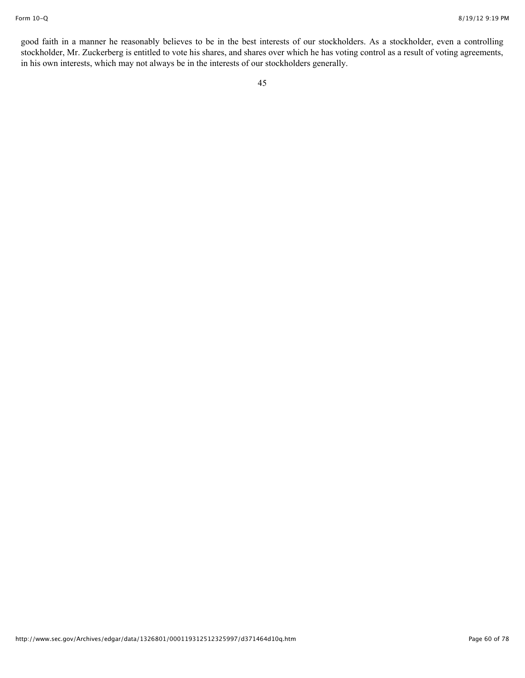good faith in a manner he reasonably believes to be in the best interests of our stockholders. As a stockholder, even a controlling stockholder, Mr. Zuckerberg is entitled to vote his shares, and shares over which he has voting control as a result of voting agreements, in his own interests, which may not always be in the interests of our stockholders generally.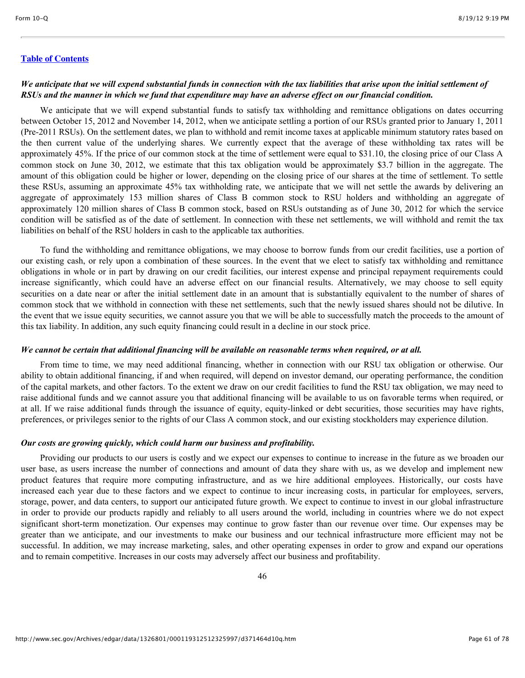# *We anticipate that we will expend substantial funds in connection with the tax liabilities that arise upon the initial settlement of RSUs and the manner in which we fund that expenditure may have an adverse effect on our financial condition.*

We anticipate that we will expend substantial funds to satisfy tax withholding and remittance obligations on dates occurring between October 15, 2012 and November 14, 2012, when we anticipate settling a portion of our RSUs granted prior to January 1, 2011 (Pre-2011 RSUs). On the settlement dates, we plan to withhold and remit income taxes at applicable minimum statutory rates based on the then current value of the underlying shares. We currently expect that the average of these withholding tax rates will be approximately 45%. If the price of our common stock at the time of settlement were equal to \$31.10, the closing price of our Class A common stock on June 30, 2012, we estimate that this tax obligation would be approximately \$3.7 billion in the aggregate. The amount of this obligation could be higher or lower, depending on the closing price of our shares at the time of settlement. To settle these RSUs, assuming an approximate 45% tax withholding rate, we anticipate that we will net settle the awards by delivering an aggregate of approximately 153 million shares of Class B common stock to RSU holders and withholding an aggregate of approximately 120 million shares of Class B common stock, based on RSUs outstanding as of June 30, 2012 for which the service condition will be satisfied as of the date of settlement. In connection with these net settlements, we will withhold and remit the tax liabilities on behalf of the RSU holders in cash to the applicable tax authorities.

To fund the withholding and remittance obligations, we may choose to borrow funds from our credit facilities, use a portion of our existing cash, or rely upon a combination of these sources. In the event that we elect to satisfy tax withholding and remittance obligations in whole or in part by drawing on our credit facilities, our interest expense and principal repayment requirements could increase significantly, which could have an adverse effect on our financial results. Alternatively, we may choose to sell equity securities on a date near or after the initial settlement date in an amount that is substantially equivalent to the number of shares of common stock that we withhold in connection with these net settlements, such that the newly issued shares should not be dilutive. In the event that we issue equity securities, we cannot assure you that we will be able to successfully match the proceeds to the amount of this tax liability. In addition, any such equity financing could result in a decline in our stock price.

### *We cannot be certain that additional financing will be available on reasonable terms when required, or at all.*

From time to time, we may need additional financing, whether in connection with our RSU tax obligation or otherwise. Our ability to obtain additional financing, if and when required, will depend on investor demand, our operating performance, the condition of the capital markets, and other factors. To the extent we draw on our credit facilities to fund the RSU tax obligation, we may need to raise additional funds and we cannot assure you that additional financing will be available to us on favorable terms when required, or at all. If we raise additional funds through the issuance of equity, equity-linked or debt securities, those securities may have rights, preferences, or privileges senior to the rights of our Class A common stock, and our existing stockholders may experience dilution.

### *Our costs are growing quickly, which could harm our business and profitability.*

Providing our products to our users is costly and we expect our expenses to continue to increase in the future as we broaden our user base, as users increase the number of connections and amount of data they share with us, as we develop and implement new product features that require more computing infrastructure, and as we hire additional employees. Historically, our costs have increased each year due to these factors and we expect to continue to incur increasing costs, in particular for employees, servers, storage, power, and data centers, to support our anticipated future growth. We expect to continue to invest in our global infrastructure in order to provide our products rapidly and reliably to all users around the world, including in countries where we do not expect significant short-term monetization. Our expenses may continue to grow faster than our revenue over time. Our expenses may be greater than we anticipate, and our investments to make our business and our technical infrastructure more efficient may not be successful. In addition, we may increase marketing, sales, and other operating expenses in order to grow and expand our operations and to remain competitive. Increases in our costs may adversely affect our business and profitability.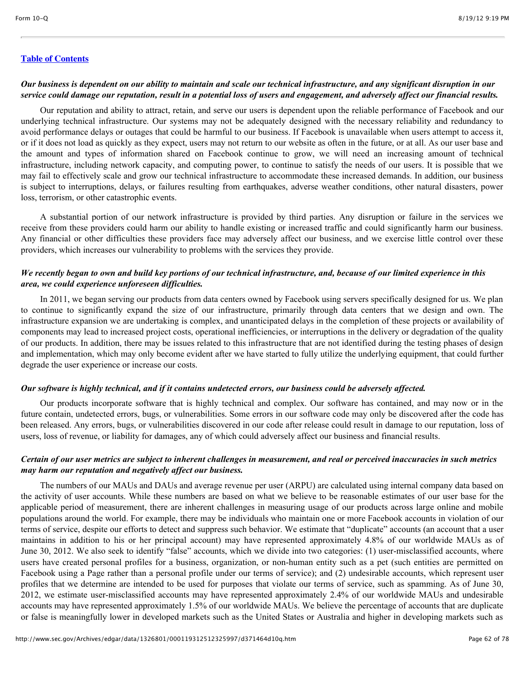# *Our business is dependent on our ability to maintain and scale our technical infrastructure, and any significant disruption in our service could damage our reputation, result in a potential loss of users and engagement, and adversely affect our financial results.*

Our reputation and ability to attract, retain, and serve our users is dependent upon the reliable performance of Facebook and our underlying technical infrastructure. Our systems may not be adequately designed with the necessary reliability and redundancy to avoid performance delays or outages that could be harmful to our business. If Facebook is unavailable when users attempt to access it, or if it does not load as quickly as they expect, users may not return to our website as often in the future, or at all. As our user base and the amount and types of information shared on Facebook continue to grow, we will need an increasing amount of technical infrastructure, including network capacity, and computing power, to continue to satisfy the needs of our users. It is possible that we may fail to effectively scale and grow our technical infrastructure to accommodate these increased demands. In addition, our business is subject to interruptions, delays, or failures resulting from earthquakes, adverse weather conditions, other natural disasters, power loss, terrorism, or other catastrophic events.

A substantial portion of our network infrastructure is provided by third parties. Any disruption or failure in the services we receive from these providers could harm our ability to handle existing or increased traffic and could significantly harm our business. Any financial or other difficulties these providers face may adversely affect our business, and we exercise little control over these providers, which increases our vulnerability to problems with the services they provide.

# *We recently began to own and build key portions of our technical infrastructure, and, because of our limited experience in this area, we could experience unforeseen difficulties.*

In 2011, we began serving our products from data centers owned by Facebook using servers specifically designed for us. We plan to continue to significantly expand the size of our infrastructure, primarily through data centers that we design and own. The infrastructure expansion we are undertaking is complex, and unanticipated delays in the completion of these projects or availability of components may lead to increased project costs, operational inefficiencies, or interruptions in the delivery or degradation of the quality of our products. In addition, there may be issues related to this infrastructure that are not identified during the testing phases of design and implementation, which may only become evident after we have started to fully utilize the underlying equipment, that could further degrade the user experience or increase our costs.

#### *Our software is highly technical, and if it contains undetected errors, our business could be adversely affected.*

Our products incorporate software that is highly technical and complex. Our software has contained, and may now or in the future contain, undetected errors, bugs, or vulnerabilities. Some errors in our software code may only be discovered after the code has been released. Any errors, bugs, or vulnerabilities discovered in our code after release could result in damage to our reputation, loss of users, loss of revenue, or liability for damages, any of which could adversely affect our business and financial results.

## *Certain of our user metrics are subject to inherent challenges in measurement, and real or perceived inaccuracies in such metrics may harm our reputation and negatively affect our business.*

The numbers of our MAUs and DAUs and average revenue per user (ARPU) are calculated using internal company data based on the activity of user accounts. While these numbers are based on what we believe to be reasonable estimates of our user base for the applicable period of measurement, there are inherent challenges in measuring usage of our products across large online and mobile populations around the world. For example, there may be individuals who maintain one or more Facebook accounts in violation of our terms of service, despite our efforts to detect and suppress such behavior. We estimate that "duplicate" accounts (an account that a user maintains in addition to his or her principal account) may have represented approximately 4.8% of our worldwide MAUs as of June 30, 2012. We also seek to identify "false" accounts, which we divide into two categories: (1) user-misclassified accounts, where users have created personal profiles for a business, organization, or non-human entity such as a pet (such entities are permitted on Facebook using a Page rather than a personal profile under our terms of service); and (2) undesirable accounts, which represent user profiles that we determine are intended to be used for purposes that violate our terms of service, such as spamming. As of June 30, 2012, we estimate user-misclassified accounts may have represented approximately 2.4% of our worldwide MAUs and undesirable accounts may have represented approximately 1.5% of our worldwide MAUs. We believe the percentage of accounts that are duplicate or false is meaningfully lower in developed markets such as the United States or Australia and higher in developing markets such as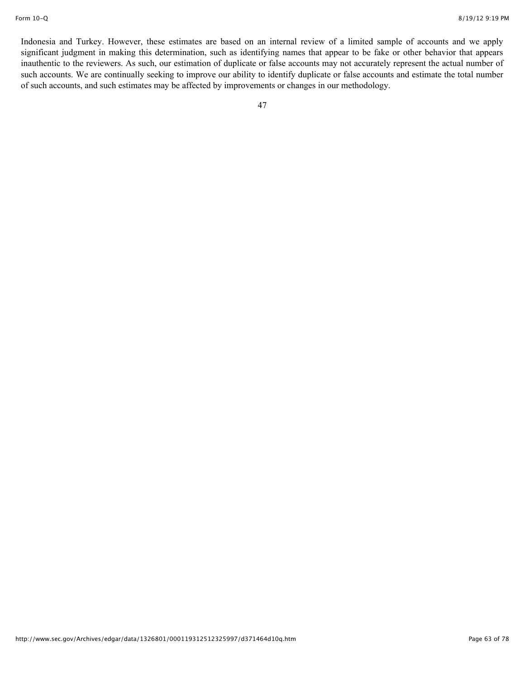Indonesia and Turkey. However, these estimates are based on an internal review of a limited sample of accounts and we apply significant judgment in making this determination, such as identifying names that appear to be fake or other behavior that appears inauthentic to the reviewers. As such, our estimation of duplicate or false accounts may not accurately represent the actual number of such accounts. We are continually seeking to improve our ability to identify duplicate or false accounts and estimate the total number of such accounts, and such estimates may be affected by improvements or changes in our methodology.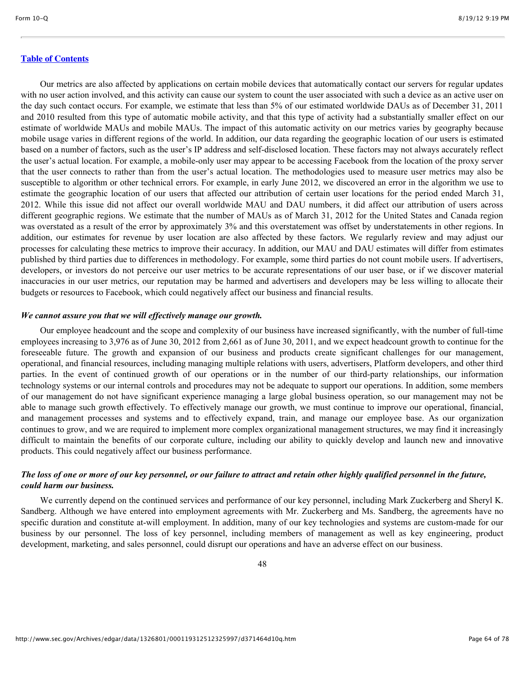Our metrics are also affected by applications on certain mobile devices that automatically contact our servers for regular updates with no user action involved, and this activity can cause our system to count the user associated with such a device as an active user on the day such contact occurs. For example, we estimate that less than 5% of our estimated worldwide DAUs as of December 31, 2011 and 2010 resulted from this type of automatic mobile activity, and that this type of activity had a substantially smaller effect on our estimate of worldwide MAUs and mobile MAUs. The impact of this automatic activity on our metrics varies by geography because mobile usage varies in different regions of the world. In addition, our data regarding the geographic location of our users is estimated based on a number of factors, such as the user's IP address and self-disclosed location. These factors may not always accurately reflect the user's actual location. For example, a mobile-only user may appear to be accessing Facebook from the location of the proxy server that the user connects to rather than from the user's actual location. The methodologies used to measure user metrics may also be susceptible to algorithm or other technical errors. For example, in early June 2012, we discovered an error in the algorithm we use to estimate the geographic location of our users that affected our attribution of certain user locations for the period ended March 31, 2012. While this issue did not affect our overall worldwide MAU and DAU numbers, it did affect our attribution of users across different geographic regions. We estimate that the number of MAUs as of March 31, 2012 for the United States and Canada region was overstated as a result of the error by approximately 3% and this overstatement was offset by understatements in other regions. In addition, our estimates for revenue by user location are also affected by these factors. We regularly review and may adjust our processes for calculating these metrics to improve their accuracy. In addition, our MAU and DAU estimates will differ from estimates published by third parties due to differences in methodology. For example, some third parties do not count mobile users. If advertisers, developers, or investors do not perceive our user metrics to be accurate representations of our user base, or if we discover material inaccuracies in our user metrics, our reputation may be harmed and advertisers and developers may be less willing to allocate their budgets or resources to Facebook, which could negatively affect our business and financial results.

### *We cannot assure you that we will effectively manage our growth.*

Our employee headcount and the scope and complexity of our business have increased significantly, with the number of full-time employees increasing to 3,976 as of June 30, 2012 from 2,661 as of June 30, 2011, and we expect headcount growth to continue for the foreseeable future. The growth and expansion of our business and products create significant challenges for our management, operational, and financial resources, including managing multiple relations with users, advertisers, Platform developers, and other third parties. In the event of continued growth of our operations or in the number of our third-party relationships, our information technology systems or our internal controls and procedures may not be adequate to support our operations. In addition, some members of our management do not have significant experience managing a large global business operation, so our management may not be able to manage such growth effectively. To effectively manage our growth, we must continue to improve our operational, financial, and management processes and systems and to effectively expand, train, and manage our employee base. As our organization continues to grow, and we are required to implement more complex organizational management structures, we may find it increasingly difficult to maintain the benefits of our corporate culture, including our ability to quickly develop and launch new and innovative products. This could negatively affect our business performance.

# *The loss of one or more of our key personnel, or our failure to attract and retain other highly qualified personnel in the future, could harm our business.*

We currently depend on the continued services and performance of our key personnel, including Mark Zuckerberg and Sheryl K. Sandberg. Although we have entered into employment agreements with Mr. Zuckerberg and Ms. Sandberg, the agreements have no specific duration and constitute at-will employment. In addition, many of our key technologies and systems are custom-made for our business by our personnel. The loss of key personnel, including members of management as well as key engineering, product development, marketing, and sales personnel, could disrupt our operations and have an adverse effect on our business.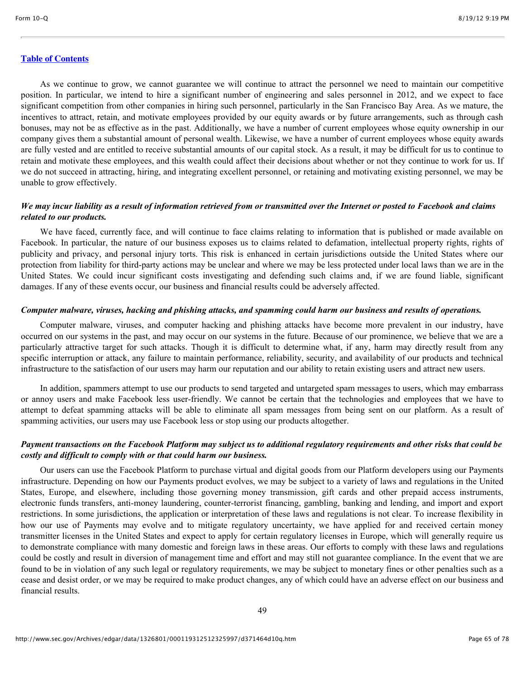As we continue to grow, we cannot guarantee we will continue to attract the personnel we need to maintain our competitive position. In particular, we intend to hire a significant number of engineering and sales personnel in 2012, and we expect to face significant competition from other companies in hiring such personnel, particularly in the San Francisco Bay Area. As we mature, the incentives to attract, retain, and motivate employees provided by our equity awards or by future arrangements, such as through cash bonuses, may not be as effective as in the past. Additionally, we have a number of current employees whose equity ownership in our company gives them a substantial amount of personal wealth. Likewise, we have a number of current employees whose equity awards are fully vested and are entitled to receive substantial amounts of our capital stock. As a result, it may be difficult for us to continue to retain and motivate these employees, and this wealth could affect their decisions about whether or not they continue to work for us. If we do not succeed in attracting, hiring, and integrating excellent personnel, or retaining and motivating existing personnel, we may be unable to grow effectively.

# *We may incur liability as a result of information retrieved from or transmitted over the Internet or posted to Facebook and claims related to our products.*

We have faced, currently face, and will continue to face claims relating to information that is published or made available on Facebook. In particular, the nature of our business exposes us to claims related to defamation, intellectual property rights, rights of publicity and privacy, and personal injury torts. This risk is enhanced in certain jurisdictions outside the United States where our protection from liability for third-party actions may be unclear and where we may be less protected under local laws than we are in the United States. We could incur significant costs investigating and defending such claims and, if we are found liable, significant damages. If any of these events occur, our business and financial results could be adversely affected.

### *Computer malware, viruses, hacking and phishing attacks, and spamming could harm our business and results of operations.*

Computer malware, viruses, and computer hacking and phishing attacks have become more prevalent in our industry, have occurred on our systems in the past, and may occur on our systems in the future. Because of our prominence, we believe that we are a particularly attractive target for such attacks. Though it is difficult to determine what, if any, harm may directly result from any specific interruption or attack, any failure to maintain performance, reliability, security, and availability of our products and technical infrastructure to the satisfaction of our users may harm our reputation and our ability to retain existing users and attract new users.

In addition, spammers attempt to use our products to send targeted and untargeted spam messages to users, which may embarrass or annoy users and make Facebook less user-friendly. We cannot be certain that the technologies and employees that we have to attempt to defeat spamming attacks will be able to eliminate all spam messages from being sent on our platform. As a result of spamming activities, our users may use Facebook less or stop using our products altogether.

### *Payment transactions on the Facebook Platform may subject us to additional regulatory requirements and other risks that could be costly and difficult to comply with or that could harm our business.*

Our users can use the Facebook Platform to purchase virtual and digital goods from our Platform developers using our Payments infrastructure. Depending on how our Payments product evolves, we may be subject to a variety of laws and regulations in the United States, Europe, and elsewhere, including those governing money transmission, gift cards and other prepaid access instruments, electronic funds transfers, anti-money laundering, counter-terrorist financing, gambling, banking and lending, and import and export restrictions. In some jurisdictions, the application or interpretation of these laws and regulations is not clear. To increase flexibility in how our use of Payments may evolve and to mitigate regulatory uncertainty, we have applied for and received certain money transmitter licenses in the United States and expect to apply for certain regulatory licenses in Europe, which will generally require us to demonstrate compliance with many domestic and foreign laws in these areas. Our efforts to comply with these laws and regulations could be costly and result in diversion of management time and effort and may still not guarantee compliance. In the event that we are found to be in violation of any such legal or regulatory requirements, we may be subject to monetary fines or other penalties such as a cease and desist order, or we may be required to make product changes, any of which could have an adverse effect on our business and financial results.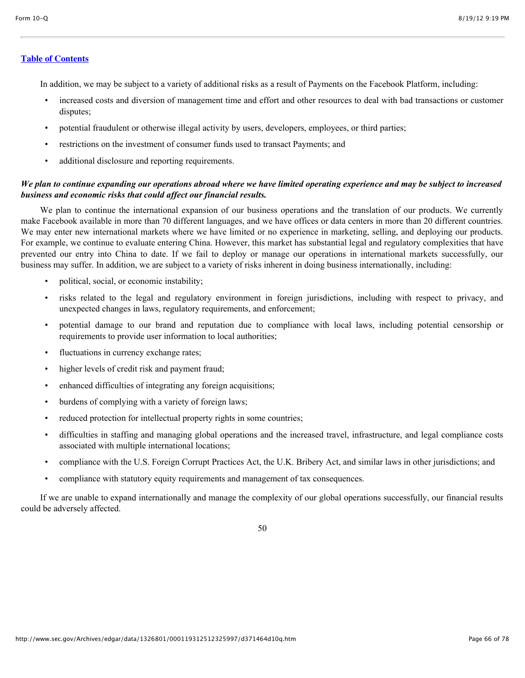In addition, we may be subject to a variety of additional risks as a result of Payments on the Facebook Platform, including:

- increased costs and diversion of management time and effort and other resources to deal with bad transactions or customer disputes;
- potential fraudulent or otherwise illegal activity by users, developers, employees, or third parties;
- restrictions on the investment of consumer funds used to transact Payments; and
- additional disclosure and reporting requirements.

# *We plan to continue expanding our operations abroad where we have limited operating experience and may be subject to increased business and economic risks that could affect our financial results.*

We plan to continue the international expansion of our business operations and the translation of our products. We currently make Facebook available in more than 70 different languages, and we have offices or data centers in more than 20 different countries. We may enter new international markets where we have limited or no experience in marketing, selling, and deploying our products. For example, we continue to evaluate entering China. However, this market has substantial legal and regulatory complexities that have prevented our entry into China to date. If we fail to deploy or manage our operations in international markets successfully, our business may suffer. In addition, we are subject to a variety of risks inherent in doing business internationally, including:

- political, social, or economic instability;
- risks related to the legal and regulatory environment in foreign jurisdictions, including with respect to privacy, and unexpected changes in laws, regulatory requirements, and enforcement;
- potential damage to our brand and reputation due to compliance with local laws, including potential censorship or requirements to provide user information to local authorities;
- fluctuations in currency exchange rates;
- higher levels of credit risk and payment fraud:
- enhanced difficulties of integrating any foreign acquisitions;
- burdens of complying with a variety of foreign laws;
- reduced protection for intellectual property rights in some countries;
- difficulties in staffing and managing global operations and the increased travel, infrastructure, and legal compliance costs associated with multiple international locations;
- compliance with the U.S. Foreign Corrupt Practices Act, the U.K. Bribery Act, and similar laws in other jurisdictions; and
- compliance with statutory equity requirements and management of tax consequences.

If we are unable to expand internationally and manage the complexity of our global operations successfully, our financial results could be adversely affected.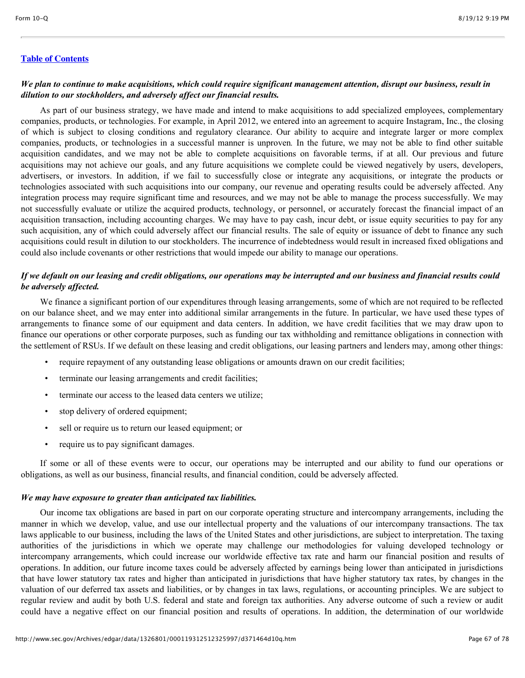# *We plan to continue to make acquisitions, which could require significant management attention, disrupt our business, result in dilution to our stockholders, and adversely affect our financial results.*

As part of our business strategy, we have made and intend to make acquisitions to add specialized employees, complementary companies, products, or technologies. For example, in April 2012, we entered into an agreement to acquire Instagram, Inc., the closing of which is subject to closing conditions and regulatory clearance. Our ability to acquire and integrate larger or more complex companies, products, or technologies in a successful manner is unproven*.* In the future, we may not be able to find other suitable acquisition candidates, and we may not be able to complete acquisitions on favorable terms, if at all. Our previous and future acquisitions may not achieve our goals, and any future acquisitions we complete could be viewed negatively by users, developers, advertisers, or investors. In addition, if we fail to successfully close or integrate any acquisitions, or integrate the products or technologies associated with such acquisitions into our company, our revenue and operating results could be adversely affected. Any integration process may require significant time and resources, and we may not be able to manage the process successfully. We may not successfully evaluate or utilize the acquired products, technology, or personnel, or accurately forecast the financial impact of an acquisition transaction, including accounting charges. We may have to pay cash, incur debt, or issue equity securities to pay for any such acquisition, any of which could adversely affect our financial results. The sale of equity or issuance of debt to finance any such acquisitions could result in dilution to our stockholders. The incurrence of indebtedness would result in increased fixed obligations and could also include covenants or other restrictions that would impede our ability to manage our operations.

# *If we default on our leasing and credit obligations, our operations may be interrupted and our business and financial results could be adversely affected.*

We finance a significant portion of our expenditures through leasing arrangements, some of which are not required to be reflected on our balance sheet, and we may enter into additional similar arrangements in the future. In particular, we have used these types of arrangements to finance some of our equipment and data centers. In addition, we have credit facilities that we may draw upon to finance our operations or other corporate purposes, such as funding our tax withholding and remittance obligations in connection with the settlement of RSUs. If we default on these leasing and credit obligations, our leasing partners and lenders may, among other things:

- require repayment of any outstanding lease obligations or amounts drawn on our credit facilities;
- terminate our leasing arrangements and credit facilities;
- terminate our access to the leased data centers we utilize;
- stop delivery of ordered equipment;
- sell or require us to return our leased equipment; or
- require us to pay significant damages.

If some or all of these events were to occur, our operations may be interrupted and our ability to fund our operations or obligations, as well as our business, financial results, and financial condition, could be adversely affected.

#### *We may have exposure to greater than anticipated tax liabilities.*

Our income tax obligations are based in part on our corporate operating structure and intercompany arrangements, including the manner in which we develop, value, and use our intellectual property and the valuations of our intercompany transactions. The tax laws applicable to our business, including the laws of the United States and other jurisdictions, are subject to interpretation. The taxing authorities of the jurisdictions in which we operate may challenge our methodologies for valuing developed technology or intercompany arrangements, which could increase our worldwide effective tax rate and harm our financial position and results of operations. In addition, our future income taxes could be adversely affected by earnings being lower than anticipated in jurisdictions that have lower statutory tax rates and higher than anticipated in jurisdictions that have higher statutory tax rates, by changes in the valuation of our deferred tax assets and liabilities, or by changes in tax laws, regulations, or accounting principles. We are subject to regular review and audit by both U.S. federal and state and foreign tax authorities. Any adverse outcome of such a review or audit could have a negative effect on our financial position and results of operations. In addition, the determination of our worldwide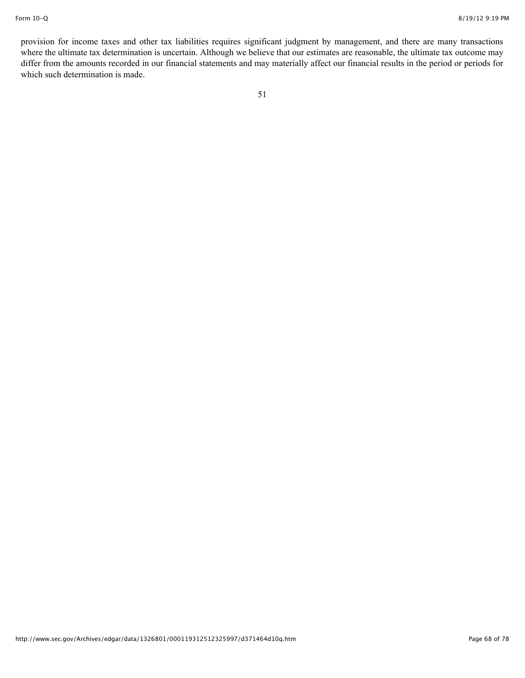provision for income taxes and other tax liabilities requires significant judgment by management, and there are many transactions where the ultimate tax determination is uncertain. Although we believe that our estimates are reasonable, the ultimate tax outcome may differ from the amounts recorded in our financial statements and may materially affect our financial results in the period or periods for which such determination is made.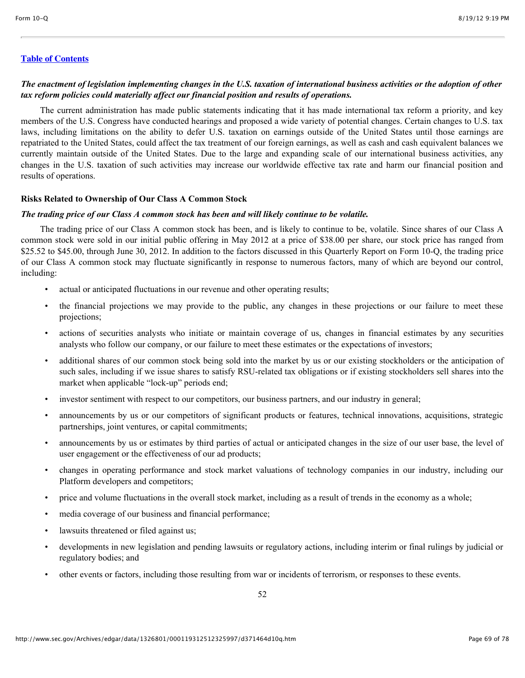# *The enactment of legislation implementing changes in the U.S. taxation of international business activities or the adoption of other tax reform policies could materially affect our financial position and results of operations.*

The current administration has made public statements indicating that it has made international tax reform a priority, and key members of the U.S. Congress have conducted hearings and proposed a wide variety of potential changes. Certain changes to U.S. tax laws, including limitations on the ability to defer U.S. taxation on earnings outside of the United States until those earnings are repatriated to the United States, could affect the tax treatment of our foreign earnings, as well as cash and cash equivalent balances we currently maintain outside of the United States. Due to the large and expanding scale of our international business activities, any changes in the U.S. taxation of such activities may increase our worldwide effective tax rate and harm our financial position and results of operations.

### **Risks Related to Ownership of Our Class A Common Stock**

### *The trading price of our Class A common stock has been and will likely continue to be volatile.*

The trading price of our Class A common stock has been, and is likely to continue to be, volatile. Since shares of our Class A common stock were sold in our initial public offering in May 2012 at a price of \$38.00 per share, our stock price has ranged from \$25.52 to \$45.00, through June 30, 2012. In addition to the factors discussed in this Quarterly Report on Form 10-Q, the trading price of our Class A common stock may fluctuate significantly in response to numerous factors, many of which are beyond our control, including:

- actual or anticipated fluctuations in our revenue and other operating results;
- the financial projections we may provide to the public, any changes in these projections or our failure to meet these projections;
- actions of securities analysts who initiate or maintain coverage of us, changes in financial estimates by any securities analysts who follow our company, or our failure to meet these estimates or the expectations of investors;
- additional shares of our common stock being sold into the market by us or our existing stockholders or the anticipation of such sales, including if we issue shares to satisfy RSU-related tax obligations or if existing stockholders sell shares into the market when applicable "lock-up" periods end;
- investor sentiment with respect to our competitors, our business partners, and our industry in general;
- announcements by us or our competitors of significant products or features, technical innovations, acquisitions, strategic partnerships, joint ventures, or capital commitments;
- announcements by us or estimates by third parties of actual or anticipated changes in the size of our user base, the level of user engagement or the effectiveness of our ad products;
- changes in operating performance and stock market valuations of technology companies in our industry, including our Platform developers and competitors;
- price and volume fluctuations in the overall stock market, including as a result of trends in the economy as a whole;
- media coverage of our business and financial performance;
- lawsuits threatened or filed against us;
- developments in new legislation and pending lawsuits or regulatory actions, including interim or final rulings by judicial or regulatory bodies; and
- other events or factors, including those resulting from war or incidents of terrorism, or responses to these events.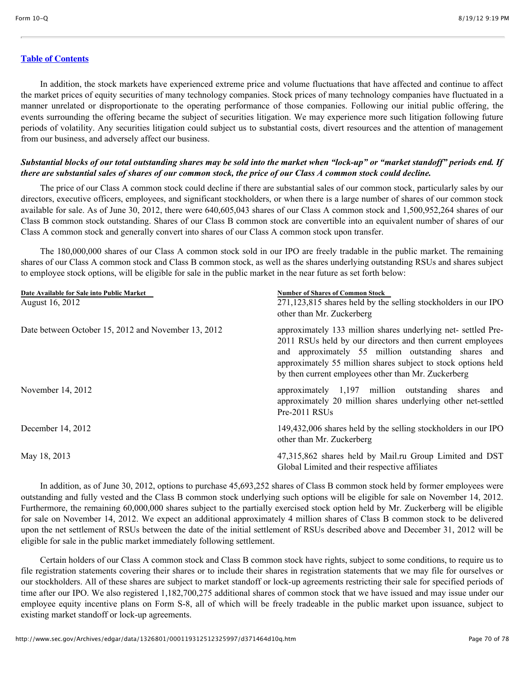In addition, the stock markets have experienced extreme price and volume fluctuations that have affected and continue to affect the market prices of equity securities of many technology companies. Stock prices of many technology companies have fluctuated in a manner unrelated or disproportionate to the operating performance of those companies. Following our initial public offering, the events surrounding the offering became the subject of securities litigation. We may experience more such litigation following future periods of volatility. Any securities litigation could subject us to substantial costs, divert resources and the attention of management from our business, and adversely affect our business.

# *Substantial blocks of our total outstanding shares may be sold into the market when "lock-up" or "market standoff" periods end. If there are substantial sales of shares of our common stock, the price of our Class A common stock could decline.*

The price of our Class A common stock could decline if there are substantial sales of our common stock, particularly sales by our directors, executive officers, employees, and significant stockholders, or when there is a large number of shares of our common stock available for sale. As of June 30, 2012, there were 640,605,043 shares of our Class A common stock and 1,500,952,264 shares of our Class B common stock outstanding. Shares of our Class B common stock are convertible into an equivalent number of shares of our Class A common stock and generally convert into shares of our Class A common stock upon transfer.

The 180,000,000 shares of our Class A common stock sold in our IPO are freely tradable in the public market. The remaining shares of our Class A common stock and Class B common stock, as well as the shares underlying outstanding RSUs and shares subject to employee stock options, will be eligible for sale in the public market in the near future as set forth below:

| Date Available for Sale into Public Market<br>August 16, 2012 | <b>Number of Shares of Common Stock</b><br>271,123,815 shares held by the selling stockholders in our IPO<br>other than Mr. Zuckerberg                                                                                                                                                                     |
|---------------------------------------------------------------|------------------------------------------------------------------------------------------------------------------------------------------------------------------------------------------------------------------------------------------------------------------------------------------------------------|
| Date between October 15, 2012 and November 13, 2012           | approximately 133 million shares underlying net- settled Pre-<br>2011 RSUs held by our directors and then current employees<br>and approximately 55 million outstanding shares and<br>approximately 55 million shares subject to stock options held<br>by then current employees other than Mr. Zuckerberg |
| November 14, 2012                                             | approximately 1,197 million outstanding shares<br>and<br>approximately 20 million shares underlying other net-settled<br>Pre-2011 RSUs                                                                                                                                                                     |
| December 14, 2012                                             | 149,432,006 shares held by the selling stockholders in our IPO<br>other than Mr. Zuckerberg                                                                                                                                                                                                                |
| May 18, 2013                                                  | 47,315,862 shares held by Mail.ru Group Limited and DST<br>Global Limited and their respective affiliates                                                                                                                                                                                                  |

In addition, as of June 30, 2012, options to purchase 45,693,252 shares of Class B common stock held by former employees were outstanding and fully vested and the Class B common stock underlying such options will be eligible for sale on November 14, 2012. Furthermore, the remaining 60,000,000 shares subject to the partially exercised stock option held by Mr. Zuckerberg will be eligible for sale on November 14, 2012. We expect an additional approximately 4 million shares of Class B common stock to be delivered upon the net settlement of RSUs between the date of the initial settlement of RSUs described above and December 31, 2012 will be eligible for sale in the public market immediately following settlement.

Certain holders of our Class A common stock and Class B common stock have rights, subject to some conditions, to require us to file registration statements covering their shares or to include their shares in registration statements that we may file for ourselves or our stockholders. All of these shares are subject to market standoff or lock-up agreements restricting their sale for specified periods of time after our IPO. We also registered 1,182,700,275 additional shares of common stock that we have issued and may issue under our employee equity incentive plans on Form S-8, all of which will be freely tradeable in the public market upon issuance, subject to existing market standoff or lock-up agreements.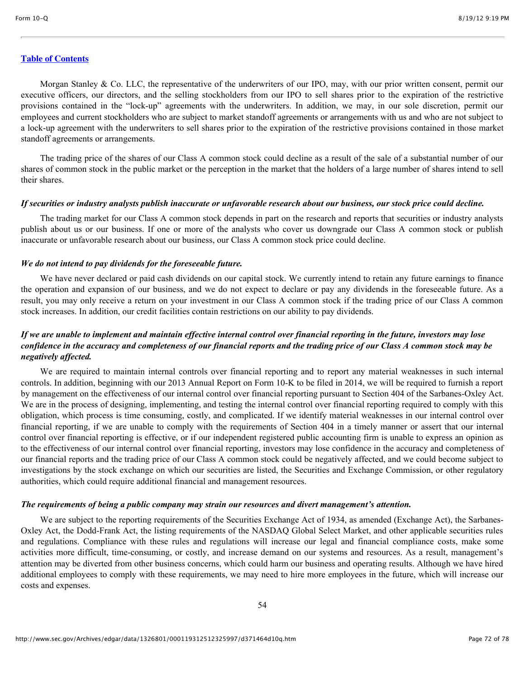Morgan Stanley & Co. LLC, the representative of the underwriters of our IPO, may, with our prior written consent, permit our executive officers, our directors, and the selling stockholders from our IPO to sell shares prior to the expiration of the restrictive provisions contained in the "lock-up" agreements with the underwriters. In addition, we may, in our sole discretion, permit our employees and current stockholders who are subject to market standoff agreements or arrangements with us and who are not subject to a lock-up agreement with the underwriters to sell shares prior to the expiration of the restrictive provisions contained in those market standoff agreements or arrangements.

The trading price of the shares of our Class A common stock could decline as a result of the sale of a substantial number of our shares of common stock in the public market or the perception in the market that the holders of a large number of shares intend to sell their shares.

#### *If securities or industry analysts publish inaccurate or unfavorable research about our business, our stock price could decline.*

The trading market for our Class A common stock depends in part on the research and reports that securities or industry analysts publish about us or our business. If one or more of the analysts who cover us downgrade our Class A common stock or publish inaccurate or unfavorable research about our business, our Class A common stock price could decline.

### *We do not intend to pay dividends for the foreseeable future.*

We have never declared or paid cash dividends on our capital stock. We currently intend to retain any future earnings to finance the operation and expansion of our business, and we do not expect to declare or pay any dividends in the foreseeable future. As a result, you may only receive a return on your investment in our Class A common stock if the trading price of our Class A common stock increases. In addition, our credit facilities contain restrictions on our ability to pay dividends.

# *If we are unable to implement and maintain effective internal control over financial reporting in the future, investors may lose confidence in the accuracy and completeness of our financial reports and the trading price of our Class A common stock may be negatively affected.*

We are required to maintain internal controls over financial reporting and to report any material weaknesses in such internal controls. In addition, beginning with our 2013 Annual Report on Form 10-K to be filed in 2014, we will be required to furnish a report by management on the effectiveness of our internal control over financial reporting pursuant to Section 404 of the Sarbanes-Oxley Act. We are in the process of designing, implementing, and testing the internal control over financial reporting required to comply with this obligation, which process is time consuming, costly, and complicated. If we identify material weaknesses in our internal control over financial reporting, if we are unable to comply with the requirements of Section 404 in a timely manner or assert that our internal control over financial reporting is effective, or if our independent registered public accounting firm is unable to express an opinion as to the effectiveness of our internal control over financial reporting, investors may lose confidence in the accuracy and completeness of our financial reports and the trading price of our Class A common stock could be negatively affected, and we could become subject to investigations by the stock exchange on which our securities are listed, the Securities and Exchange Commission, or other regulatory authorities, which could require additional financial and management resources.

#### *The requirements of being a public company may strain our resources and divert management's attention.*

We are subject to the reporting requirements of the Securities Exchange Act of 1934, as amended (Exchange Act), the Sarbanes-Oxley Act, the Dodd-Frank Act, the listing requirements of the NASDAQ Global Select Market, and other applicable securities rules and regulations. Compliance with these rules and regulations will increase our legal and financial compliance costs, make some activities more difficult, time-consuming, or costly, and increase demand on our systems and resources. As a result, management's attention may be diverted from other business concerns, which could harm our business and operating results. Although we have hired additional employees to comply with these requirements, we may need to hire more employees in the future, which will increase our costs and expenses.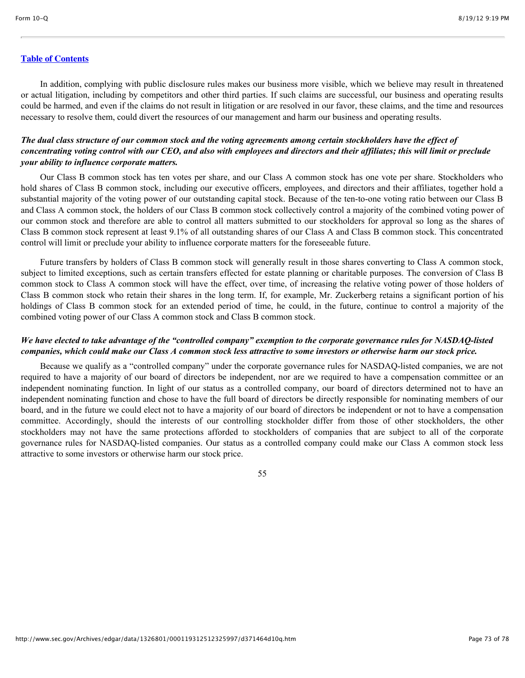In addition, complying with public disclosure rules makes our business more visible, which we believe may result in threatened or actual litigation, including by competitors and other third parties. If such claims are successful, our business and operating results could be harmed, and even if the claims do not result in litigation or are resolved in our favor, these claims, and the time and resources necessary to resolve them, could divert the resources of our management and harm our business and operating results.

# *The dual class structure of our common stock and the voting agreements among certain stockholders have the effect of concentrating voting control with our CEO, and also with employees and directors and their affiliates; this will limit or preclude your ability to influence corporate matters.*

Our Class B common stock has ten votes per share, and our Class A common stock has one vote per share. Stockholders who hold shares of Class B common stock, including our executive officers, employees, and directors and their affiliates, together hold a substantial majority of the voting power of our outstanding capital stock. Because of the ten-to-one voting ratio between our Class B and Class A common stock, the holders of our Class B common stock collectively control a majority of the combined voting power of our common stock and therefore are able to control all matters submitted to our stockholders for approval so long as the shares of Class B common stock represent at least 9.1% of all outstanding shares of our Class A and Class B common stock. This concentrated control will limit or preclude your ability to influence corporate matters for the foreseeable future.

Future transfers by holders of Class B common stock will generally result in those shares converting to Class A common stock, subject to limited exceptions, such as certain transfers effected for estate planning or charitable purposes. The conversion of Class B common stock to Class A common stock will have the effect, over time, of increasing the relative voting power of those holders of Class B common stock who retain their shares in the long term. If, for example, Mr. Zuckerberg retains a significant portion of his holdings of Class B common stock for an extended period of time, he could, in the future, continue to control a majority of the combined voting power of our Class A common stock and Class B common stock.

## *We have elected to take advantage of the "controlled company" exemption to the corporate governance rules for NASDAQ-listed companies, which could make our Class A common stock less attractive to some investors or otherwise harm our stock price.*

Because we qualify as a "controlled company" under the corporate governance rules for NASDAQ-listed companies, we are not required to have a majority of our board of directors be independent, nor are we required to have a compensation committee or an independent nominating function. In light of our status as a controlled company, our board of directors determined not to have an independent nominating function and chose to have the full board of directors be directly responsible for nominating members of our board, and in the future we could elect not to have a majority of our board of directors be independent or not to have a compensation committee. Accordingly, should the interests of our controlling stockholder differ from those of other stockholders, the other stockholders may not have the same protections afforded to stockholders of companies that are subject to all of the corporate governance rules for NASDAQ-listed companies. Our status as a controlled company could make our Class A common stock less attractive to some investors or otherwise harm our stock price.

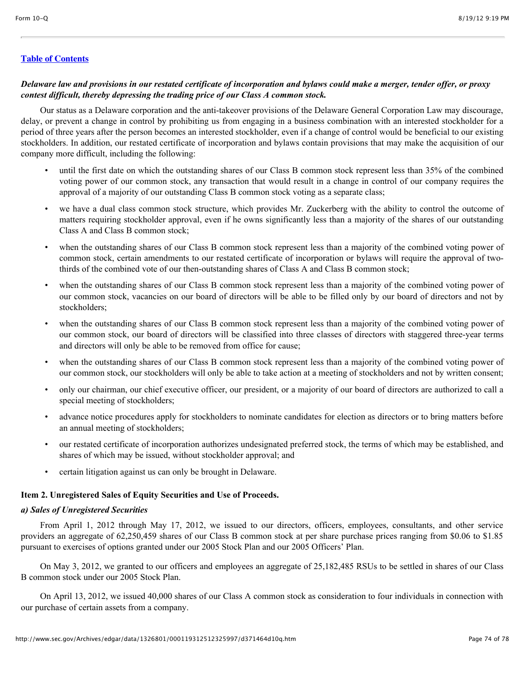# *Delaware law and provisions in our restated certificate of incorporation and bylaws could make a merger, tender offer, or proxy contest difficult, thereby depressing the trading price of our Class A common stock.*

Our status as a Delaware corporation and the anti-takeover provisions of the Delaware General Corporation Law may discourage, delay, or prevent a change in control by prohibiting us from engaging in a business combination with an interested stockholder for a period of three years after the person becomes an interested stockholder, even if a change of control would be beneficial to our existing stockholders. In addition, our restated certificate of incorporation and bylaws contain provisions that may make the acquisition of our company more difficult, including the following:

- until the first date on which the outstanding shares of our Class B common stock represent less than 35% of the combined voting power of our common stock, any transaction that would result in a change in control of our company requires the approval of a majority of our outstanding Class B common stock voting as a separate class;
- we have a dual class common stock structure, which provides Mr. Zuckerberg with the ability to control the outcome of matters requiring stockholder approval, even if he owns significantly less than a majority of the shares of our outstanding Class A and Class B common stock;
- when the outstanding shares of our Class B common stock represent less than a majority of the combined voting power of common stock, certain amendments to our restated certificate of incorporation or bylaws will require the approval of twothirds of the combined vote of our then-outstanding shares of Class A and Class B common stock;
- when the outstanding shares of our Class B common stock represent less than a majority of the combined voting power of our common stock, vacancies on our board of directors will be able to be filled only by our board of directors and not by stockholders;
- when the outstanding shares of our Class B common stock represent less than a majority of the combined voting power of our common stock, our board of directors will be classified into three classes of directors with staggered three-year terms and directors will only be able to be removed from office for cause;
- when the outstanding shares of our Class B common stock represent less than a majority of the combined voting power of our common stock, our stockholders will only be able to take action at a meeting of stockholders and not by written consent;
- only our chairman, our chief executive officer, our president, or a majority of our board of directors are authorized to call a special meeting of stockholders;
- advance notice procedures apply for stockholders to nominate candidates for election as directors or to bring matters before an annual meeting of stockholders;
- our restated certificate of incorporation authorizes undesignated preferred stock, the terms of which may be established, and shares of which may be issued, without stockholder approval; and
- certain litigation against us can only be brought in Delaware.

# **Item 2. Unregistered Sales of Equity Securities and Use of Proceeds.**

### *a) Sales of Unregistered Securities*

From April 1, 2012 through May 17, 2012, we issued to our directors, officers, employees, consultants, and other service providers an aggregate of 62,250,459 shares of our Class B common stock at per share purchase prices ranging from \$0.06 to \$1.85 pursuant to exercises of options granted under our 2005 Stock Plan and our 2005 Officers' Plan.

On May 3, 2012, we granted to our officers and employees an aggregate of 25,182,485 RSUs to be settled in shares of our Class B common stock under our 2005 Stock Plan.

On April 13, 2012, we issued 40,000 shares of our Class A common stock as consideration to four individuals in connection with our purchase of certain assets from a company.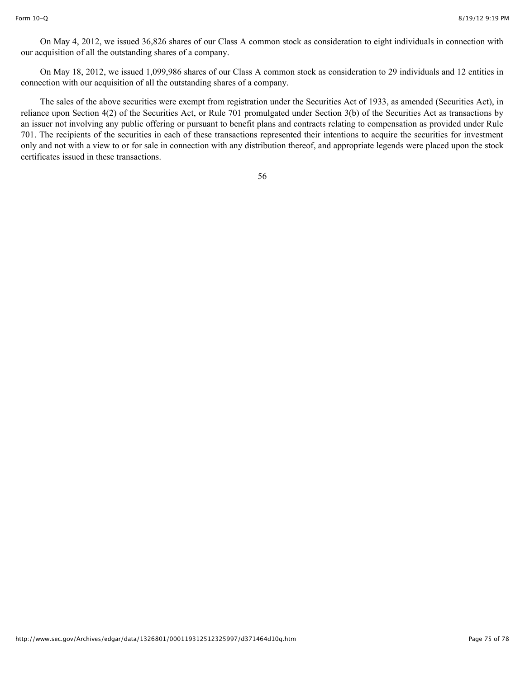On May 4, 2012, we issued 36,826 shares of our Class A common stock as consideration to eight individuals in connection with our acquisition of all the outstanding shares of a company.

On May 18, 2012, we issued 1,099,986 shares of our Class A common stock as consideration to 29 individuals and 12 entities in connection with our acquisition of all the outstanding shares of a company.

The sales of the above securities were exempt from registration under the Securities Act of 1933, as amended (Securities Act), in reliance upon Section 4(2) of the Securities Act, or Rule 701 promulgated under Section 3(b) of the Securities Act as transactions by an issuer not involving any public offering or pursuant to benefit plans and contracts relating to compensation as provided under Rule 701. The recipients of the securities in each of these transactions represented their intentions to acquire the securities for investment only and not with a view to or for sale in connection with any distribution thereof, and appropriate legends were placed upon the stock certificates issued in these transactions.

56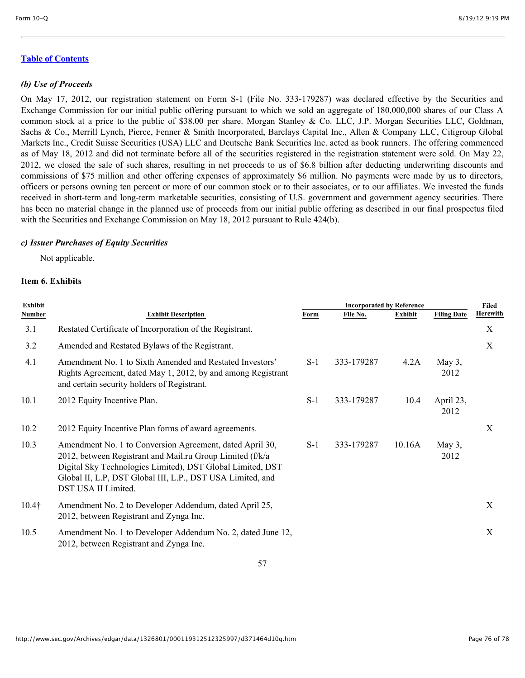### *(b) Use of Proceeds*

On May 17, 2012, our registration statement on Form S-1 (File No. 333-179287) was declared effective by the Securities and Exchange Commission for our initial public offering pursuant to which we sold an aggregate of 180,000,000 shares of our Class A common stock at a price to the public of \$38.00 per share. Morgan Stanley & Co. LLC, J.P. Morgan Securities LLC, Goldman, Sachs & Co., Merrill Lynch, Pierce, Fenner & Smith Incorporated, Barclays Capital Inc., Allen & Company LLC, Citigroup Global Markets Inc., Credit Suisse Securities (USA) LLC and Deutsche Bank Securities Inc. acted as book runners. The offering commenced as of May 18, 2012 and did not terminate before all of the securities registered in the registration statement were sold. On May 22, 2012, we closed the sale of such shares, resulting in net proceeds to us of \$6.8 billion after deducting underwriting discounts and commissions of \$75 million and other offering expenses of approximately \$6 million. No payments were made by us to directors, officers or persons owning ten percent or more of our common stock or to their associates, or to our affiliates. We invested the funds received in short-term and long-term marketable securities, consisting of U.S. government and government agency securities. There has been no material change in the planned use of proceeds from our initial public offering as described in our final prospectus filed with the Securities and Exchange Commission on May 18, 2012 pursuant to Rule 424(b).

#### *c) Issuer Purchases of Equity Securities*

Not applicable.

### **Item 6. Exhibits**

| <b>Exhibit</b> |                                                                                                                                                                                                                                                                           |       | <b>Filed</b> |         |                    |                           |
|----------------|---------------------------------------------------------------------------------------------------------------------------------------------------------------------------------------------------------------------------------------------------------------------------|-------|--------------|---------|--------------------|---------------------------|
| <b>Number</b>  | <b>Exhibit Description</b>                                                                                                                                                                                                                                                | Form  | File No.     | Exhibit | <b>Filing Date</b> | Herewith                  |
| 3.1            | Restated Certificate of Incorporation of the Registrant.                                                                                                                                                                                                                  |       |              |         |                    | X                         |
| 3.2            | Amended and Restated Bylaws of the Registrant.                                                                                                                                                                                                                            |       |              |         |                    | $\boldsymbol{\mathrm{X}}$ |
| 4.1            | Amendment No. 1 to Sixth Amended and Restated Investors'<br>Rights Agreement, dated May 1, 2012, by and among Registrant<br>and certain security holders of Registrant.                                                                                                   | $S-1$ | 333-179287   | 4.2A    | May $3$ ,<br>2012  |                           |
| 10.1           | 2012 Equity Incentive Plan.                                                                                                                                                                                                                                               | $S-1$ | 333-179287   | 10.4    | April 23,<br>2012  |                           |
| 10.2           | 2012 Equity Incentive Plan forms of award agreements.                                                                                                                                                                                                                     |       |              |         |                    | X                         |
| 10.3           | Amendment No. 1 to Conversion Agreement, dated April 30,<br>2012, between Registrant and Mail.ru Group Limited (f/k/a)<br>Digital Sky Technologies Limited), DST Global Limited, DST<br>Global II, L.P, DST Global III, L.P., DST USA Limited, and<br>DST USA II Limited. | $S-1$ | 333-179287   | 10.16A  | May $3$ ,<br>2012  |                           |
| $10.4\dagger$  | Amendment No. 2 to Developer Addendum, dated April 25,<br>2012, between Registrant and Zynga Inc.                                                                                                                                                                         |       |              |         |                    | X                         |
| 10.5           | Amendment No. 1 to Developer Addendum No. 2, dated June 12,<br>2012, between Registrant and Zynga Inc.                                                                                                                                                                    |       |              |         |                    | X                         |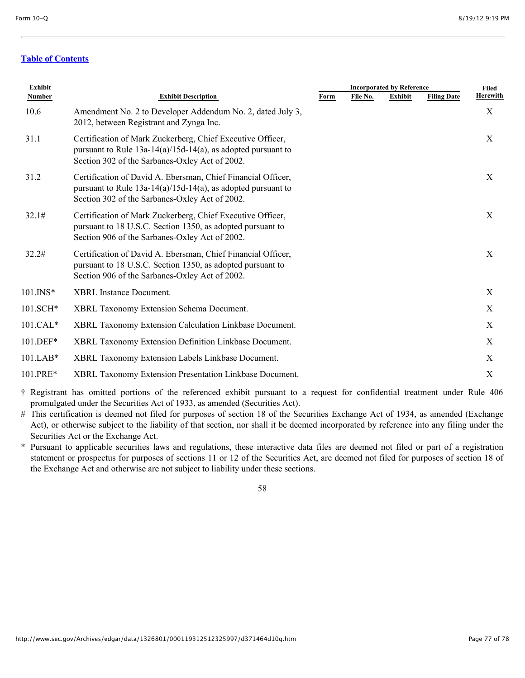| <b>Exhibit</b> |                                                                                                                                                                                   |      | <b>Filed</b> |                |                    |          |
|----------------|-----------------------------------------------------------------------------------------------------------------------------------------------------------------------------------|------|--------------|----------------|--------------------|----------|
| Number         | <b>Exhibit Description</b>                                                                                                                                                        | Form | File No.     | <b>Exhibit</b> | <b>Filing Date</b> | Herewith |
| 10.6           | Amendment No. 2 to Developer Addendum No. 2, dated July 3,<br>2012, between Registrant and Zynga Inc.                                                                             |      |              |                |                    | X        |
| 31.1           | Certification of Mark Zuckerberg, Chief Executive Officer,<br>pursuant to Rule $13a-14(a)/15d-14(a)$ , as adopted pursuant to<br>Section 302 of the Sarbanes-Oxley Act of 2002.   |      |              |                |                    | X        |
| 31.2           | Certification of David A. Ebersman, Chief Financial Officer,<br>pursuant to Rule $13a-14(a)/15d-14(a)$ , as adopted pursuant to<br>Section 302 of the Sarbanes-Oxley Act of 2002. |      |              |                |                    | X        |
| 32.1#          | Certification of Mark Zuckerberg, Chief Executive Officer,<br>pursuant to 18 U.S.C. Section 1350, as adopted pursuant to<br>Section 906 of the Sarbanes-Oxley Act of 2002.        |      |              |                |                    | X        |
| 32.2#          | Certification of David A. Ebersman, Chief Financial Officer,<br>pursuant to 18 U.S.C. Section 1350, as adopted pursuant to<br>Section 906 of the Sarbanes-Oxley Act of 2002.      |      |              |                |                    | X        |
| $101$ . INS*   | <b>XBRL</b> Instance Document.                                                                                                                                                    |      |              |                |                    | X        |
| 101.SCH*       | XBRL Taxonomy Extension Schema Document.                                                                                                                                          |      |              |                |                    | X        |
| 101.CAL*       | XBRL Taxonomy Extension Calculation Linkbase Document.                                                                                                                            |      |              |                |                    | X        |
| 101.DEF*       | XBRL Taxonomy Extension Definition Linkbase Document.                                                                                                                             |      |              |                |                    | X        |
| $101.LAB*$     | XBRL Taxonomy Extension Labels Linkbase Document.                                                                                                                                 |      |              |                |                    | X        |
| 101.PRE*       | XBRL Taxonomy Extension Presentation Linkbase Document.                                                                                                                           |      |              |                |                    | X        |
|                |                                                                                                                                                                                   |      |              |                |                    |          |

† Registrant has omitted portions of the referenced exhibit pursuant to a request for confidential treatment under Rule 406 promulgated under the Securities Act of 1933, as amended (Securities Act).

# This certification is deemed not filed for purposes of section 18 of the Securities Exchange Act of 1934, as amended (Exchange Act), or otherwise subject to the liability of that section, nor shall it be deemed incorporated by reference into any filing under the Securities Act or the Exchange Act.

\* Pursuant to applicable securities laws and regulations, these interactive data files are deemed not filed or part of a registration statement or prospectus for purposes of sections 11 or 12 of the Securities Act, are deemed not filed for purposes of section 18 of the Exchange Act and otherwise are not subject to liability under these sections.

### 58